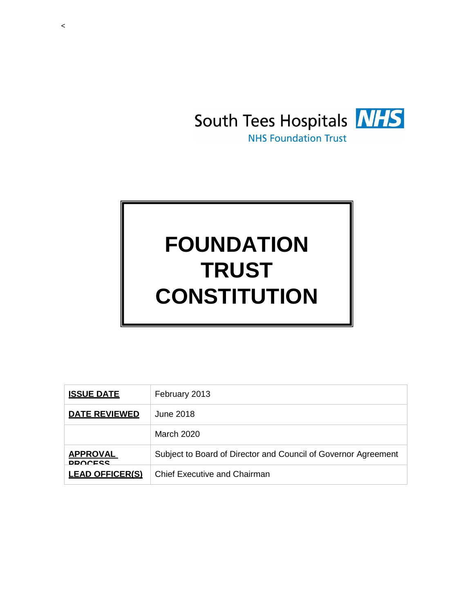

# **FOUNDATION TRUST CONSTITUTION**

| <b>ISSUE DATE</b>                 | February 2013                                                  |
|-----------------------------------|----------------------------------------------------------------|
| <b>DATE REVIEWED</b>              | June 2018                                                      |
|                                   | March 2020                                                     |
| <b>APPROVAL</b><br><b>DDOCECC</b> | Subject to Board of Director and Council of Governor Agreement |
| <b>LEAD OFFICER(S)</b>            | <b>Chief Executive and Chairman</b>                            |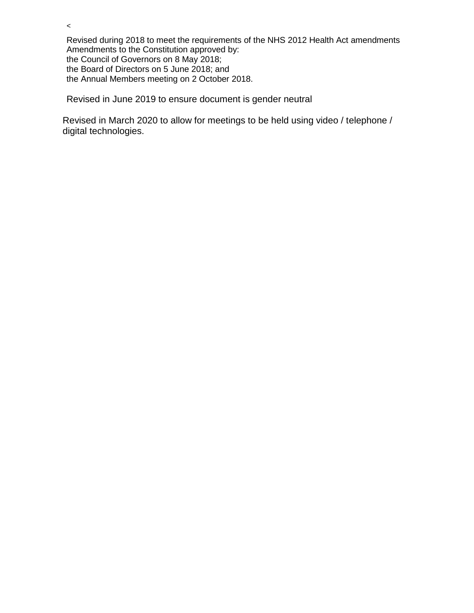Revised during 2018 to meet the requirements of the NHS 2012 Health Act amendments Amendments to the Constitution approved by: the Council of Governors on 8 May 2018; the Board of Directors on 5 June 2018; and the Annual Members meeting on 2 October 2018.

Revised in June 2019 to ensure document is gender neutral

 $\,<$ 

Revised in March 2020 to allow for meetings to be held using video / telephone / digital technologies.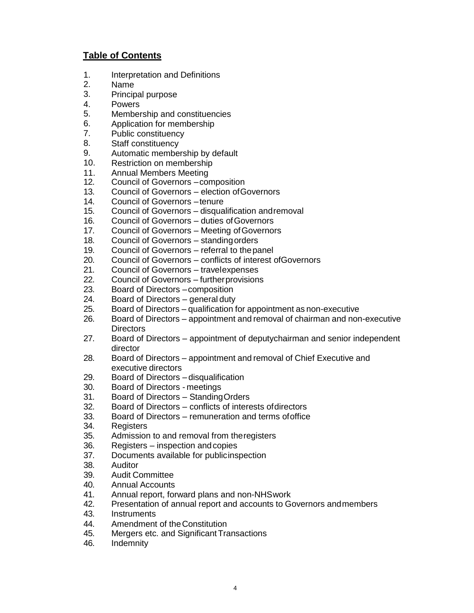## **Table of Contents**

- 1. Interpretation and Definitions
- 2. Name
- 3. Principal purpose
- 4. Powers
- 5. Membership and constituencies
- 6. Application for membership
- 7. Public constituency
- 8. Staff constituency
- 9. Automatic membership by default
- 10. Restriction on membership
- 11. Annual Members Meeting
- 12. Council of Governors –composition
- 13. Council of Governors election ofGovernors
- 14. Council of Governors –tenure
- 15. Council of Governors disqualification andremoval
- 16. Council of Governors duties ofGovernors
- 17. Council of Governors Meeting ofGovernors
- 18. Council of Governors standingorders
- 19. Council of Governors referral to thepanel
- 20. Council of Governors conflicts of interest ofGovernors
- 21. Council of Governors travelexpenses
- 22. Council of Governors furtherprovisions
- 23. Board of Directors –composition
- 24. Board of Directors general duty
- 25. Board of Directors qualification for appointment as non-executive
- 26. Board of Directors appointment and removal of chairman and non-executive **Directors**
- 27. Board of Directors appointment of deputychairman and senior independent director
- 28. Board of Directors appointment and removal of Chief Executive and executive directors
- 29. Board of Directors disqualification
- 30. Board of Directors meetings
- 31. Board of Directors StandingOrders
- 32. Board of Directors conflicts of interests ofdirectors
- 33. Board of Directors remuneration and terms ofoffice
- 34. Registers
- 35. Admission to and removal from theregisters
- 36. Registers inspection andcopies
- 37. Documents available for publicinspection
- 38. Auditor
- 39. Audit Committee
- 40. Annual Accounts
- 41. Annual report, forward plans and non-NHSwork
- 42. Presentation of annual report and accounts to Governors andmembers
- 43. Instruments
- 44. Amendment of theConstitution
- 45. Mergers etc. and Significant Transactions
- 46. Indemnity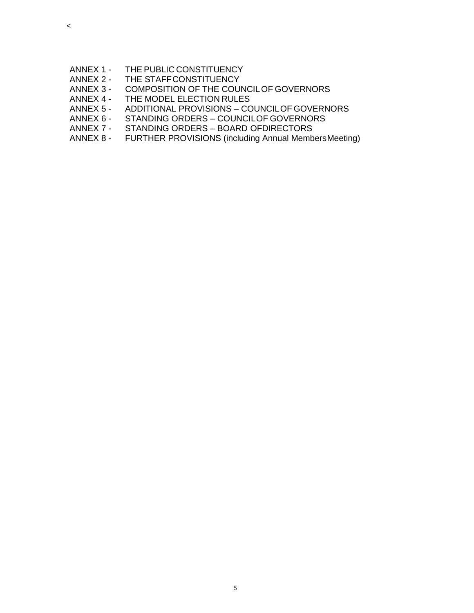- ANNEX 1 THE PUBLIC CONSTITUENCY
- ANNEX 2 THE STAFFCONSTITUENCY
- ANNEX 3 COMPOSITION OF THE COUNCILOF GOVERNORS
- ANNEX 4 THE MODEL ELECTION RULES
- ANNEX 5 ADDITIONAL PROVISIONS COUNCILOF GOVERNORS
- ANNEX 6 STANDING ORDERS COUNCILOF GOVERNORS<br>ANNEX 7 STANDING ORDERS BOARD OFDIRECTORS
- ANNEX 7 STANDING ORDERS BOARD OFDIRECTORS<br>ANNEX 8 FURTHER PROVISIONS (including Annual Memb
- FURTHER PROVISIONS (including Annual MembersMeeting)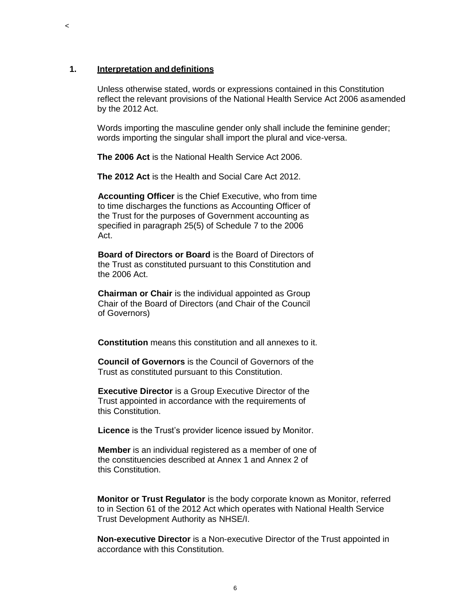#### **1. Interpretation anddefinitions**

 $\prec$ 

Unless otherwise stated, words or expressions contained in this Constitution reflect the relevant provisions of the National Health Service Act 2006 asamended by the 2012 Act.

Words importing the masculine gender only shall include the feminine gender; words importing the singular shall import the plural and vice-versa.

**The 2006 Act** is the National Health Service Act 2006.

**The 2012 Act** is the Health and Social Care Act 2012.

**Accounting Officer** is the Chief Executive, who from time to time discharges the functions as Accounting Officer of the Trust for the purposes of Government accounting as specified in paragraph 25(5) of Schedule 7 to the 2006 Act.

**Board of Directors or Board** is the Board of Directors of the Trust as constituted pursuant to this Constitution and the 2006 Act.

**Chairman or Chair** is the individual appointed as Group Chair of the Board of Directors (and Chair of the Council of Governors)

**Constitution** means this constitution and all annexes to it.

**Council of Governors** is the Council of Governors of the Trust as constituted pursuant to this Constitution.

**Executive Director** is a Group Executive Director of the Trust appointed in accordance with the requirements of this Constitution.

**Licence** is the Trust's provider licence issued by Monitor.

**Member** is an individual registered as a member of one of the constituencies described at Annex 1 and Annex 2 of this Constitution.

**Monitor or Trust Regulator** is the body corporate known as Monitor, referred to in Section 61 of the 2012 Act which operates with National Health Service Trust Development Authority as NHSE/I.

**Non-executive Director** is a Non-executive Director of the Trust appointed in accordance with this Constitution.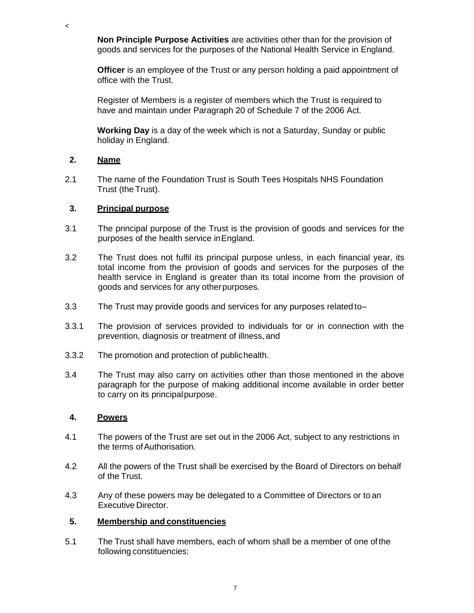**Non Principle Purpose Activities** are activities other than for the provision of goods and services for the purposes of the National Health Service in England.

**Officer** is an employee of the Trust or any person holding a paid appointment of office with the Trust.

Register of Members is a register of members which the Trust is required to have and maintain under Paragraph 20 of Schedule 7 of the 2006 Act.

**Working Day** is a day of the week which is not a Saturday, Sunday or public holiday in England.

## **2. Name**

 $\,<$ 

2.1 The name of the Foundation Trust is South Tees Hospitals NHS Foundation Trust (the Trust).

#### **3. Principal purpose**

- 3.1 The principal purpose of the Trust is the provision of goods and services for the purposes of the health service inEngland.
- 3.2 The Trust does not fulfil its principal purpose unless, in each financial year, its total income from the provision of goods and services for the purposes of the health service in England is greater than its total income from the provision of goods and services for any otherpurposes.
- 3.3 The Trust may provide goods and services for any purposes related to–
- 3.3.1 The provision of services provided to individuals for or in connection with the prevention, diagnosis or treatment of illness, and
- 3.3.2 The promotion and protection of publichealth.
- 3.4 The Trust may also carry on activities other than those mentioned in the above paragraph for the purpose of making additional income available in order better to carry on its principalpurpose.

## **4. Powers**

- 4.1 The powers of the Trust are set out in the 2006 Act, subject to any restrictions in the terms of Authorisation.
- 4.2 All the powers of the Trust shall be exercised by the Board of Directors on behalf of the Trust.
- 4.3 Any of these powers may be delegated to a Committee of Directors or to an Executive Director.

#### **5. Membership and constituencies**

5.1 The Trust shall have members, each of whom shall be a member of one ofthe following constituencies: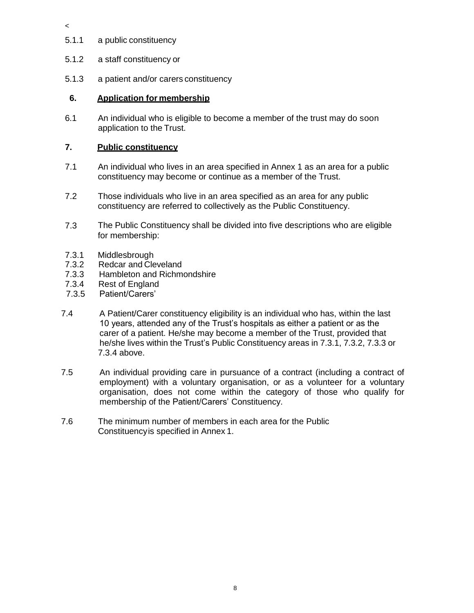5.1.1 a public constituency

 $\,<$ 

- 5.1.2 a staff constituency or
- 5.1.3 a patient and/or carers constituency

## **6. Application for membership**

6.1 An individual who is eligible to become a member of the trust may do soon application to the Trust.

#### **7. Public constituency**

- 7.1 An individual who lives in an area specified in Annex 1 as an area for a public constituency may become or continue as a member of the Trust.
- 7.2 Those individuals who live in an area specified as an area for any public constituency are referred to collectively as the Public Constituency.
- 7.3 The Public Constituency shall be divided into five descriptions who are eligible for membership:
- 7.3.1 Middlesbrough
- 7.3.2 Redcar and Cleveland
- 7.3.3 Hambleton and Richmondshire
- 7.3.4 Rest of England
- 7.3.5 Patient/Carers'
- 7.4 A Patient/Carer constituency eligibility is an individual who has, within the last 10 years, attended any of the Trust's hospitals as either a patient or as the carer of a patient. He/she may become a member of the Trust, provided that he/she lives within the Trust's Public Constituency areas in 7.3.1, 7.3.2, 7.3.3 or 7.3.4 above.
- 7.5 An individual providing care in pursuance of a contract (including a contract of employment) with a voluntary organisation, or as a volunteer for a voluntary organisation, does not come within the category of those who qualify for membership of the Patient/Carers' Constituency.
- 7.6 The minimum number of members in each area for the Public Constituencyis specified in Annex 1.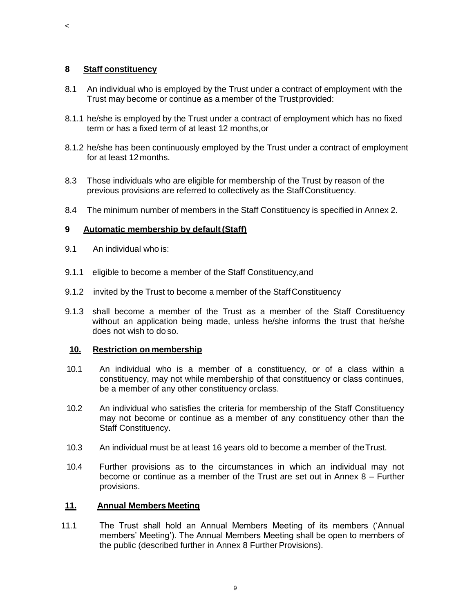#### **8 Staff constituency**

 $\,<$ 

- 8.1 An individual who is employed by the Trust under a contract of employment with the Trust may become or continue as a member of the Trustprovided:
- 8.1.1 he/she is employed by the Trust under a contract of employment which has no fixed term or has a fixed term of at least 12 months,or
- 8.1.2 he/she has been continuously employed by the Trust under a contract of employment for at least 12months.
- 8.3 Those individuals who are eligible for membership of the Trust by reason of the previous provisions are referred to collectively as the StaffConstituency.
- 8.4 The minimum number of members in the Staff Constituency is specified in Annex 2.

#### **9 Automatic membership by default(Staff)**

- 9.1 An individual who is:
- 9.1.1 eligible to become a member of the Staff Constituency, and
- 9.1.2 invited by the Trust to become a member of the StaffConstituency
- 9.1.3 shall become a member of the Trust as a member of the Staff Constituency without an application being made, unless he/she informs the trust that he/she does not wish to do so.

#### **10. Restriction on membership**

- 10.1 An individual who is a member of a constituency, or of a class within a constituency, may not while membership of that constituency or class continues, be a member of any other constituency orclass.
- 10.2 An individual who satisfies the criteria for membership of the Staff Constituency may not become or continue as a member of any constituency other than the Staff Constituency.
- 10.3 An individual must be at least 16 years old to become a member of theTrust.
- 10.4 Further provisions as to the circumstances in which an individual may not become or continue as a member of the Trust are set out in Annex 8 – Further provisions.

#### **11. Annual Members Meeting**

11.1 The Trust shall hold an Annual Members Meeting of its members ('Annual members' Meeting'). The Annual Members Meeting shall be open to members of the public (described further in Annex 8 Further Provisions).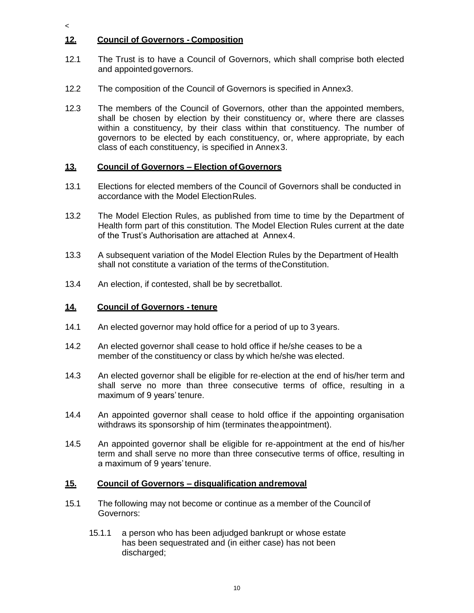## **12. Council of Governors - Composition**

 $\prec$ 

- 12.1 The Trust is to have a Council of Governors, which shall comprise both elected and appointedgovernors.
- 12.2 The composition of the Council of Governors is specified in Annex3.
- 12.3 The members of the Council of Governors, other than the appointed members, shall be chosen by election by their constituency or, where there are classes within a constituency, by their class within that constituency. The number of governors to be elected by each constituency, or, where appropriate, by each class of each constituency, is specified in Annex3.

## **13. Council of Governors – Election ofGovernors**

- 13.1 Elections for elected members of the Council of Governors shall be conducted in accordance with the Model ElectionRules.
- 13.2 The Model Election Rules, as published from time to time by the Department of Health form part of this constitution. The Model Election Rules current at the date of the Trust's Authorisation are attached at Annex4.
- 13.3 A subsequent variation of the Model Election Rules by the Department of Health shall not constitute a variation of the terms of theConstitution.
- 13.4 An election, if contested, shall be by secretballot.

## **14. Council of Governors - tenure**

- 14.1 An elected governor may hold office for a period of up to 3 years.
- 14.2 An elected governor shall cease to hold office if he/she ceases to be a member of the constituency or class by which he/she was elected.
- 14.3 An elected governor shall be eligible for re-election at the end of his/her term and shall serve no more than three consecutive terms of office, resulting in a maximum of 9 years' tenure.
- 14.4 An appointed governor shall cease to hold office if the appointing organisation withdraws its sponsorship of him (terminates theappointment).
- 14.5 An appointed governor shall be eligible for re-appointment at the end of his/her term and shall serve no more than three consecutive terms of office, resulting in a maximum of 9 years'tenure.

## **15. Council of Governors – disqualification andremoval**

- 15.1 The following may not become or continue as a member of the Council of Governors:
	- 15.1.1 a person who has been adjudged bankrupt or whose estate has been sequestrated and (in either case) has not been discharged;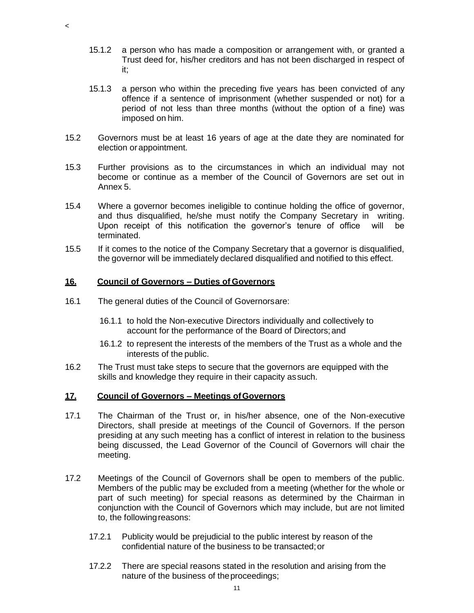- 15.1.2 a person who has made a composition or arrangement with, or granted a Trust deed for, his/her creditors and has not been discharged in respect of it;
- 15.1.3 a person who within the preceding five years has been convicted of any offence if a sentence of imprisonment (whether suspended or not) for a period of not less than three months (without the option of a fine) was imposed on him.
- 15.2 Governors must be at least 16 years of age at the date they are nominated for election orappointment.
- 15.3 Further provisions as to the circumstances in which an individual may not become or continue as a member of the Council of Governors are set out in Annex 5.
- 15.4 Where a governor becomes ineligible to continue holding the office of governor, and thus disqualified, he/she must notify the Company Secretary in writing. Upon receipt of this notification the governor's tenure of office will be terminated.
- 15.5 If it comes to the notice of the Company Secretary that a governor is disqualified, the governor will be immediately declared disqualified and notified to this effect.

#### **16. Council of Governors – Duties of Governors**

 $\,<$ 

- 16.1 The general duties of the Council of Governorsare:
	- 16.1.1 to hold the Non-executive Directors individually and collectively to account for the performance of the Board of Directors;and
	- 16.1.2 to represent the interests of the members of the Trust as a whole and the interests of the public.
- 16.2 The Trust must take steps to secure that the governors are equipped with the skills and knowledge they require in their capacity assuch.

#### **17. Council of Governors – Meetings ofGovernors**

- 17.1 The Chairman of the Trust or, in his/her absence, one of the Non-executive Directors, shall preside at meetings of the Council of Governors. If the person presiding at any such meeting has a conflict of interest in relation to the business being discussed, the Lead Governor of the Council of Governors will chair the meeting.
- 17.2 Meetings of the Council of Governors shall be open to members of the public. Members of the public may be excluded from a meeting (whether for the whole or part of such meeting) for special reasons as determined by the Chairman in conjunction with the Council of Governors which may include, but are not limited to, the followingreasons:
	- 17.2.1 Publicity would be prejudicial to the public interest by reason of the confidential nature of the business to be transacted;or
	- 17.2.2 There are special reasons stated in the resolution and arising from the nature of the business of theproceedings;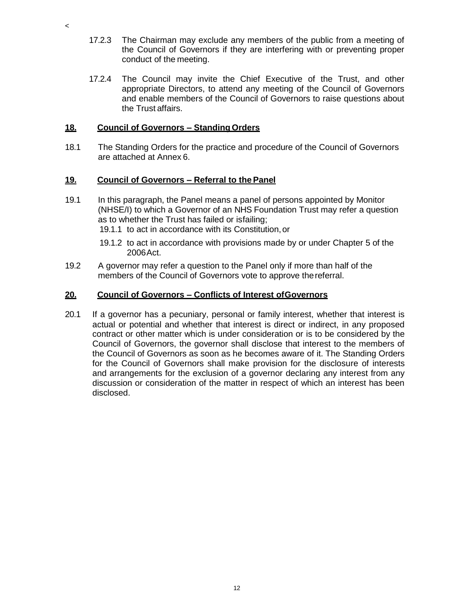- 17.2.3 The Chairman may exclude any members of the public from a meeting of the Council of Governors if they are interfering with or preventing proper conduct of the meeting.
- 17.2.4 The Council may invite the Chief Executive of the Trust, and other appropriate Directors, to attend any meeting of the Council of Governors and enable members of the Council of Governors to raise questions about the Trust affairs.

### **18. Council of Governors – Standing Orders**

18.1 The Standing Orders for the practice and procedure of the Council of Governors are attached at Annex 6.

#### **19. Council of Governors – Referral to thePanel**

- 19.1 In this paragraph, the Panel means a panel of persons appointed by Monitor (NHSE/I) to which a Governor of an NHS Foundation Trust may refer a question as to whether the Trust has failed or isfailing;
	- 19.1.1 to act in accordance with its Constitution,or
	- 19.1.2 to act in accordance with provisions made by or under Chapter 5 of the 2006Act.
- 19.2 A governor may refer a question to the Panel only if more than half of the members of the Council of Governors vote to approve thereferral.

#### **20. Council of Governors – Conflicts of Interest ofGovernors**

20.1 If a governor has a pecuniary, personal or family interest, whether that interest is actual or potential and whether that interest is direct or indirect, in any proposed contract or other matter which is under consideration or is to be considered by the Council of Governors, the governor shall disclose that interest to the members of the Council of Governors as soon as he becomes aware of it. The Standing Orders for the Council of Governors shall make provision for the disclosure of interests and arrangements for the exclusion of a governor declaring any interest from any discussion or consideration of the matter in respect of which an interest has been disclosed.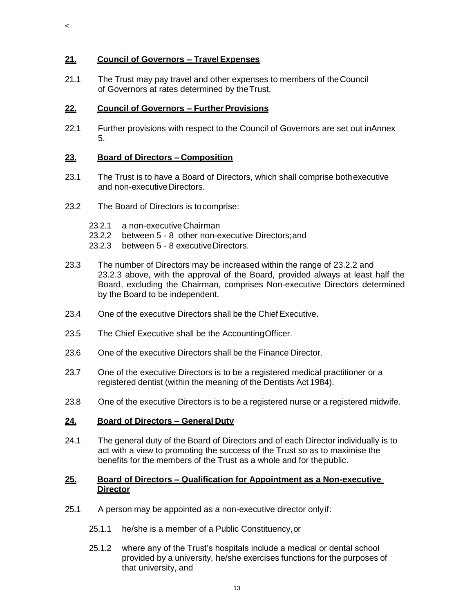## **21. Council of Governors – TravelExpenses**

 $\,<$ 

21.1 The Trust may pay travel and other expenses to members of theCouncil of Governors at rates determined by theTrust.

## **22. Council of Governors – Further Provisions**

22.1 Further provisions with respect to the Council of Governors are set out inAnnex 5.

## **23. Board of Directors – Composition**

- 23.1 The Trust is to have a Board of Directors, which shall comprise bothexecutive and non-executive Directors.
- 23.2 The Board of Directors is tocomprise:
	- 23.2.1 a non-executiveChairman
	- 23.2.2 between 5 8 other non-executive Directors;and
	- 23.2.3 between 5 8 executiveDirectors.
- 23.3 The number of Directors may be increased within the range of 23.2.2 and 23.2.3 above, with the approval of the Board, provided always at least half the Board, excluding the Chairman, comprises Non-executive Directors determined by the Board to be independent.
- 23.4 One of the executive Directors shall be the Chief Executive.
- 23.5 The Chief Executive shall be the AccountingOfficer.
- 23.6 One of the executive Directors shall be the Finance Director.
- 23.7 One of the executive Directors is to be a registered medical practitioner or a registered dentist (within the meaning of the Dentists Act 1984).
- 23.8 One of the executive Directors is to be a registered nurse or a registered midwife.

## **24. Board of Directors – General Duty**

24.1 The general duty of the Board of Directors and of each Director individually is to act with a view to promoting the success of the Trust so as to maximise the benefits for the members of the Trust as a whole and for thepublic.

#### **25. Board of Directors – Qualification for Appointment as a Non-executive Director**

- 25.1 A person may be appointed as a non-executive director onlyif:
	- 25.1.1 he/she is a member of a Public Constituency,or
	- 25.1.2 where any of the Trust's hospitals include a medical or dental school provided by a university, he/she exercises functions for the purposes of that university, and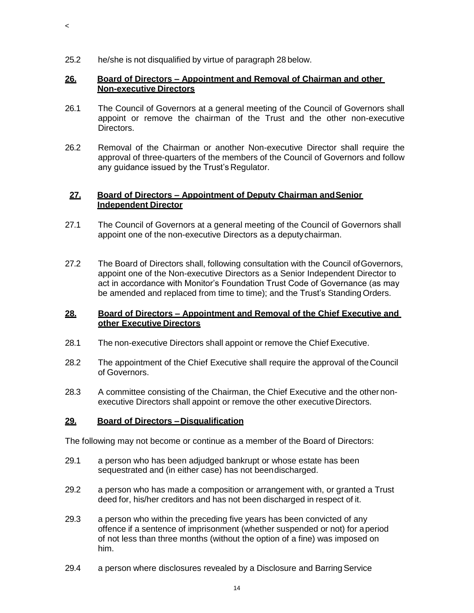25.2 he/she is not disqualified by virtue of paragraph 28 below.

 $\,<$ 

### **26. Board of Directors – Appointment and Removal of Chairman and other Non-executive Directors**

- 26.1 The Council of Governors at a general meeting of the Council of Governors shall appoint or remove the chairman of the Trust and the other non-executive Directors.
- 26.2 Removal of the Chairman or another Non-executive Director shall require the approval of three-quarters of the members of the Council of Governors and follow any guidance issued by the Trust's Regulator.

## **27. Board of Directors – Appointment of Deputy Chairman andSenior Independent Director**

- 27.1 The Council of Governors at a general meeting of the Council of Governors shall appoint one of the non-executive Directors as a deputychairman.
- 27.2 The Board of Directors shall, following consultation with the Council ofGovernors, appoint one of the Non-executive Directors as a Senior Independent Director to act in accordance with Monitor's Foundation Trust Code of Governance (as may be amended and replaced from time to time); and the Trust's Standing Orders.

## **28. Board of Directors – Appointment and Removal of the Chief Executive and other Executive Directors**

- 28.1 The non-executive Directors shall appoint or remove the Chief Executive.
- 28.2 The appointment of the Chief Executive shall require the approval of the Council of Governors.
- 28.3 A committee consisting of the Chairman, the Chief Executive and the other nonexecutive Directors shall appoint or remove the other executive Directors.

## **29. Board of Directors –Disqualification**

The following may not become or continue as a member of the Board of Directors:

- 29.1 a person who has been adjudged bankrupt or whose estate has been sequestrated and (in either case) has not beendischarged.
- 29.2 a person who has made a composition or arrangement with, or granted a Trust deed for, his/her creditors and has not been discharged in respect of it.
- 29.3 a person who within the preceding five years has been convicted of any offence if a sentence of imprisonment (whether suspended or not) for aperiod of not less than three months (without the option of a fine) was imposed on him.
- 29.4 a person where disclosures revealed by a Disclosure and Barring Service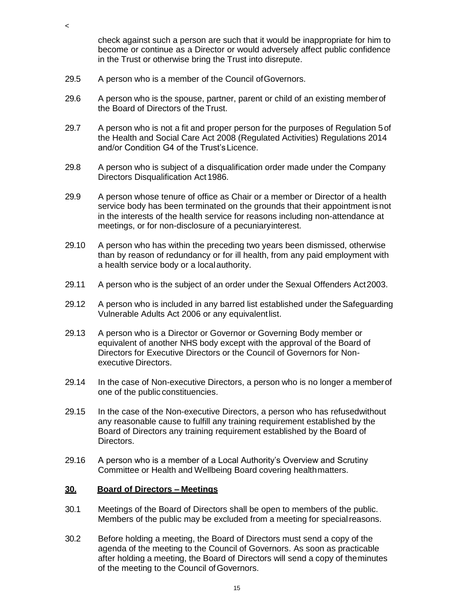check against such a person are such that it would be inappropriate for him to become or continue as a Director or would adversely affect public confidence in the Trust or otherwise bring the Trust into disrepute.

29.5 A person who is a member of the Council ofGovernors.

 $\,<$ 

- 29.6 A person who is the spouse, partner, parent or child of an existing memberof the Board of Directors of the Trust.
- 29.7 A person who is not a fit and proper person for the purposes of Regulation 5of the Health and Social Care Act 2008 (Regulated Activities) Regulations 2014 and/or Condition G4 of the Trust'sLicence.
- 29.8 A person who is subject of a disqualification order made under the Company Directors Disqualification Act 1986.
- 29.9 A person whose tenure of office as Chair or a member or Director of a health service body has been terminated on the grounds that their appointment isnot in the interests of the health service for reasons including non-attendance at meetings, or for non-disclosure of a pecuniaryinterest.
- 29.10 A person who has within the preceding two years been dismissed, otherwise than by reason of redundancy or for ill health, from any paid employment with a health service body or a localauthority.
- 29.11 A person who is the subject of an order under the Sexual Offenders Act2003.
- 29.12 A person who is included in any barred list established under theSafeguarding Vulnerable Adults Act 2006 or any equivalentlist.
- 29.13 A person who is a Director or Governor or Governing Body member or equivalent of another NHS body except with the approval of the Board of Directors for Executive Directors or the Council of Governors for Nonexecutive Directors.
- 29.14 In the case of Non-executive Directors, a person who is no longer a memberof one of the public constituencies.
- 29.15 In the case of the Non-executive Directors, a person who has refusedwithout any reasonable cause to fulfill any training requirement established by the Board of Directors any training requirement established by the Board of Directors.
- 29.16 A person who is a member of a Local Authority's Overview and Scrutiny Committee or Health and Wellbeing Board covering healthmatters.

#### **30. Board of Directors – Meetings**

- 30.1 Meetings of the Board of Directors shall be open to members of the public. Members of the public may be excluded from a meeting for specialreasons.
- 30.2 Before holding a meeting, the Board of Directors must send a copy of the agenda of the meeting to the Council of Governors. As soon as practicable after holding a meeting, the Board of Directors will send a copy of theminutes of the meeting to the Council of Governors.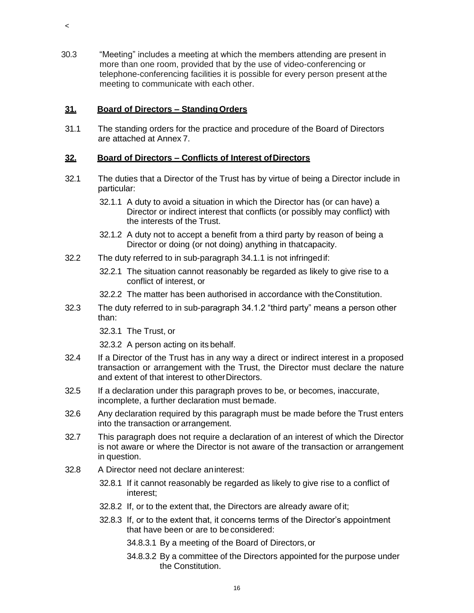30.3 "Meeting" includes a meeting at which the members attending are present in more than one room, provided that by the use of video-conferencing or telephone-conferencing facilities it is possible for every person present at the meeting to communicate with each other.

## **31. Board of Directors – StandingOrders**

 $\,<$ 

31.1 The standing orders for the practice and procedure of the Board of Directors are attached at Annex 7.

## **32. Board of Directors – Conflicts of Interest ofDirectors**

- 32.1 The duties that a Director of the Trust has by virtue of being a Director include in particular:
	- 32.1.1 A duty to avoid a situation in which the Director has (or can have) a Director or indirect interest that conflicts (or possibly may conflict) with the interests of the Trust.
	- 32.1.2 A duty not to accept a benefit from a third party by reason of being a Director or doing (or not doing) anything in thatcapacity.
- 32.2 The duty referred to in sub-paragraph 34.1.1 is not infringedif:
	- 32.2.1 The situation cannot reasonably be regarded as likely to give rise to a conflict of interest, or
	- 32.2.2 The matter has been authorised in accordance with theConstitution.
- 32.3 The duty referred to in sub-paragraph 34.1.2 "third party" means a person other than:
	- 32.3.1 The Trust, or
	- 32.3.2 A person acting on its behalf.
- 32.4 If a Director of the Trust has in any way a direct or indirect interest in a proposed transaction or arrangement with the Trust, the Director must declare the nature and extent of that interest to otherDirectors.
- 32.5 If a declaration under this paragraph proves to be, or becomes, inaccurate, incomplete, a further declaration must bemade.
- 32.6 Any declaration required by this paragraph must be made before the Trust enters into the transaction or arrangement.
- 32.7 This paragraph does not require a declaration of an interest of which the Director is not aware or where the Director is not aware of the transaction or arrangement in question.
- 32.8 A Director need not declare aninterest:
	- 32.8.1 If it cannot reasonably be regarded as likely to give rise to a conflict of interest;
	- 32.8.2 If, or to the extent that, the Directors are already aware of it;
	- 32.8.3 If, or to the extent that, it concerns terms of the Director's appointment that have been or are to be considered:
		- 34.8.3.1 By a meeting of the Board of Directors, or
		- 34.8.3.2 By a committee of the Directors appointed for the purpose under the Constitution.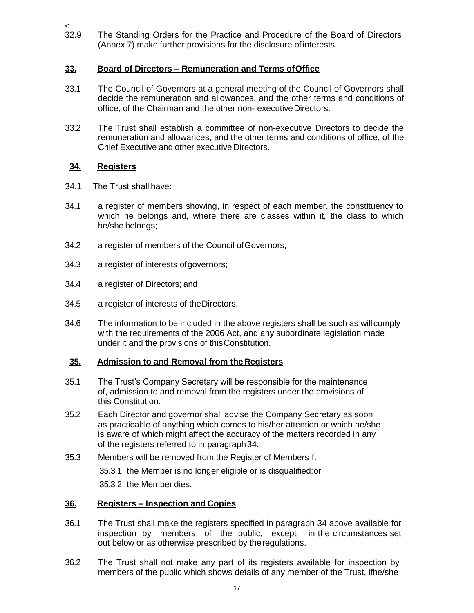$32.9$ The Standing Orders for the Practice and Procedure of the Board of Directors (Annex 7) make further provisions for the disclosure of interests.

## **33. Board of Directors – Remuneration and Terms ofOffice**

- 33.1 The Council of Governors at a general meeting of the Council of Governors shall decide the remuneration and allowances, and the other terms and conditions of office, of the Chairman and the other non- executiveDirectors.
- 33.2 The Trust shall establish a committee of non-executive Directors to decide the remuneration and allowances, and the other terms and conditions of office, of the Chief Executive and other executive Directors.

## **34. Registers**

- 34.1 The Trust shall have:
- 34.1 a register of members showing, in respect of each member, the constituency to which he belongs and, where there are classes within it, the class to which he/she belongs;
- 34.2 a register of members of the Council ofGovernors;
- 34.3 a register of interests ofgovernors;
- 34.4 a register of Directors; and
- 34.5 a register of interests of theDirectors.
- 34.6 The information to be included in the above registers shall be such as will comply with the requirements of the 2006 Act, and any subordinate legislation made under it and the provisions of thisConstitution.

## **35. Admission to and Removal from theRegisters**

- 35.1 The Trust's Company Secretary will be responsible for the maintenance of, admission to and removal from the registers under the provisions of this Constitution.
- 35.2 Each Director and governor shall advise the Company Secretary as soon as practicable of anything which comes to his/her attention or which he/she is aware of which might affect the accuracy of the matters recorded in any of the registers referred to in paragraph34.
- 35.3 Members will be removed from the Register of Membersif: 35.3.1 the Member is no longer eligible or is disqualified;or 35.3.2 the Member dies.

## **36. Registers – Inspection and Copies**

- 36.1 The Trust shall make the registers specified in paragraph 34 above available for inspection by members of the public, except in the circumstances set out below or as otherwise prescribed by theregulations.
- 36.2 The Trust shall not make any part of its registers available for inspection by members of the public which shows details of any member of the Trust, ifhe/she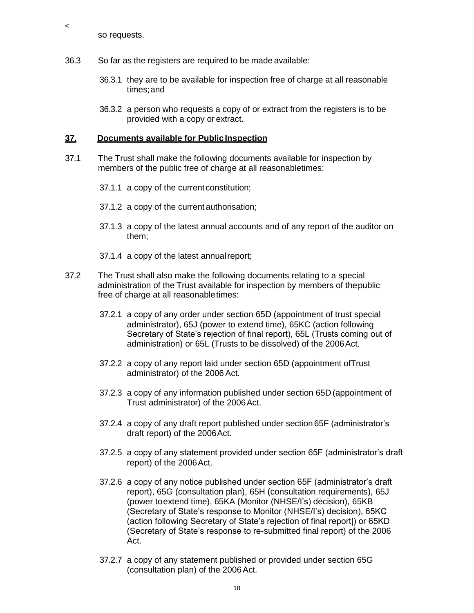so requests.

 $\,<$ 

- 36.3 So far as the registers are required to be made available:
	- 36.3.1 they are to be available for inspection free of charge at all reasonable times;and
	- 36.3.2 a person who requests a copy of or extract from the registers is to be provided with a copy or extract.

#### **37. Documents available for PublicInspection**

- 37.1 The Trust shall make the following documents available for inspection by members of the public free of charge at all reasonabletimes:
	- 37.1.1 a copy of the currentconstitution;
	- 37.1.2 a copy of the currentauthorisation;
	- 37.1.3 a copy of the latest annual accounts and of any report of the auditor on them;
	- 37.1.4 a copy of the latest annualreport;
- 37.2 The Trust shall also make the following documents relating to a special administration of the Trust available for inspection by members of thepublic free of charge at all reasonabletimes:
	- 37.2.1 a copy of any order under section 65D (appointment of trust special administrator), 65J (power to extend time), 65KC (action following Secretary of State's rejection of final report), 65L (Trusts coming out of administration) or 65L (Trusts to be dissolved) of the 2006Act.
	- 37.2.2 a copy of any report laid under section 65D (appointment ofTrust administrator) of the 2006Act.
	- 37.2.3 a copy of any information published under section 65D(appointment of Trust administrator) of the 2006Act.
	- 37.2.4 a copy of any draft report published under section 65F (administrator's draft report) of the 2006Act.
	- 37.2.5 a copy of any statement provided under section 65F (administrator's draft report) of the 2006Act.
	- 37.2.6 a copy of any notice published under section 65F (administrator's draft report), 65G (consultation plan), 65H (consultation requirements), 65J (power toextend time), 65KA (Monitor (NHSE/I's) decision), 65KB (Secretary of State's response to Monitor (NHSE/I's) decision), 65KC (action following Secretary of State's rejection of final report|) or 65KD (Secretary of State's response to re-submitted final report) of the 2006 Act.
	- 37.2.7 a copy of any statement published or provided under section 65G (consultation plan) of the 2006Act.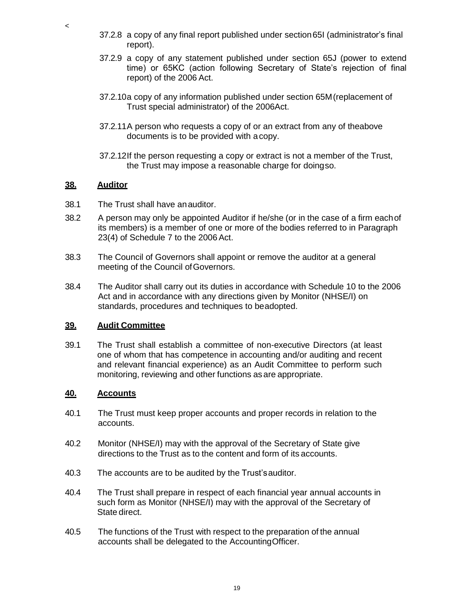- 37.2.8 a copy of any final report published under section65I (administrator's final report).
- 37.2.9 a copy of any statement published under section 65J (power to extend time) or 65KC (action following Secretary of State's rejection of final report) of the 2006 Act.
- 37.2.10a copy of any information published under section 65M(replacement of Trust special administrator) of the 2006Act.
- 37.2.11A person who requests a copy of or an extract from any of theabove documents is to be provided with acopy.
- 37.2.12If the person requesting a copy or extract is not a member of the Trust, the Trust may impose a reasonable charge for doingso.

### **38. Auditor**

 $\,<$ 

- 38.1 The Trust shall have anauditor.
- 38.2 A person may only be appointed Auditor if he/she (or in the case of a firm eachof its members) is a member of one or more of the bodies referred to in Paragraph 23(4) of Schedule 7 to the 2006Act.
- 38.3 The Council of Governors shall appoint or remove the auditor at a general meeting of the Council of Governors.
- 38.4 The Auditor shall carry out its duties in accordance with Schedule 10 to the 2006 Act and in accordance with any directions given by Monitor (NHSE/I) on standards, procedures and techniques to beadopted.

#### **39. Audit Committee**

39.1 The Trust shall establish a committee of non-executive Directors (at least one of whom that has competence in accounting and/or auditing and recent and relevant financial experience) as an Audit Committee to perform such monitoring, reviewing and other functions asare appropriate.

#### **40. Accounts**

- 40.1 The Trust must keep proper accounts and proper records in relation to the accounts.
- 40.2 Monitor (NHSE/I) may with the approval of the Secretary of State give directions to the Trust as to the content and form of its accounts.
- 40.3 The accounts are to be audited by the Trust'sauditor.
- 40.4 The Trust shall prepare in respect of each financial year annual accounts in such form as Monitor (NHSE/I) may with the approval of the Secretary of State direct.
- 40.5 The functions of the Trust with respect to the preparation of the annual accounts shall be delegated to the AccountingOfficer.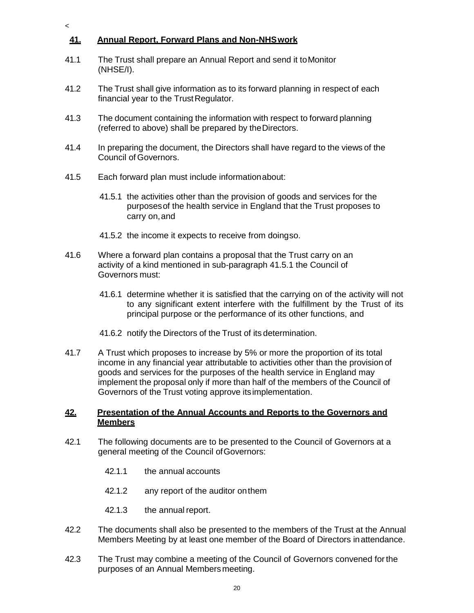## **41. Annual Report, Forward Plans and Non-NHSwork**

 $\overline{a}$ 

- 41.1 The Trust shall prepare an Annual Report and send it toMonitor (NHSE/I).
- 41.2 The Trust shall give information as to its forward planning in respect of each financial year to the Trust Regulator.
- 41.3 The document containing the information with respect to forward planning (referred to above) shall be prepared by theDirectors.
- 41.4 In preparing the document, the Directors shall have regard to the views of the Council of Governors.
- 41.5 Each forward plan must include informationabout:
	- 41.5.1 the activities other than the provision of goods and services for the purposesof the health service in England that the Trust proposes to carry on,and
	- 41.5.2 the income it expects to receive from doingso.
- 41.6 Where a forward plan contains a proposal that the Trust carry on an activity of a kind mentioned in sub-paragraph 41.5.1 the Council of Governors must:
	- 41.6.1 determine whether it is satisfied that the carrying on of the activity will not to any significant extent interfere with the fulfillment by the Trust of its principal purpose or the performance of its other functions, and
	- 41.6.2 notify the Directors of the Trust of its determination.
- 41.7 A Trust which proposes to increase by 5% or more the proportion of its total income in any financial year attributable to activities other than the provision of goods and services for the purposes of the health service in England may implement the proposal only if more than half of the members of the Council of Governors of the Trust voting approve itsimplementation.

#### **42. Presentation of the Annual Accounts and Reports to the Governors and Members**

- 42.1 The following documents are to be presented to the Council of Governors at a general meeting of the Council ofGovernors:
	- 42.1.1 the annual accounts
	- 42.1.2 any report of the auditor onthem
	- 42.1.3 the annual report.
- 42.2 The documents shall also be presented to the members of the Trust at the Annual Members Meeting by at least one member of the Board of Directors inattendance.
- 42.3 The Trust may combine a meeting of the Council of Governors convened forthe purposes of an Annual Members meeting.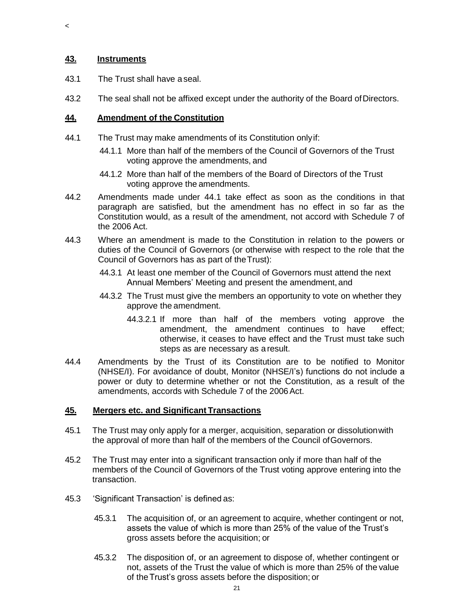## **43. Instruments**

 $\,<$ 

- 43.1 The Trust shall have aseal.
- 43.2 The seal shall not be affixed except under the authority of the Board ofDirectors.

### **44. Amendment of the Constitution**

- 44.1 The Trust may make amendments of its Constitution onlyif:
	- 44.1.1 More than half of the members of the Council of Governors of the Trust voting approve the amendments, and
	- 44.1.2 More than half of the members of the Board of Directors of the Trust voting approve the amendments.
- 44.2 Amendments made under 44.1 take effect as soon as the conditions in that paragraph are satisfied, but the amendment has no effect in so far as the Constitution would, as a result of the amendment, not accord with Schedule 7 of the 2006 Act.
- 44.3 Where an amendment is made to the Constitution in relation to the powers or duties of the Council of Governors (or otherwise with respect to the role that the Council of Governors has as part of theTrust):
	- 44.3.1 At least one member of the Council of Governors must attend the next Annual Members' Meeting and present the amendment, and
	- 44.3.2 The Trust must give the members an opportunity to vote on whether they approve the amendment.
		- 44.3.2.1 If more than half of the members voting approve the amendment, the amendment continues to have effect; otherwise, it ceases to have effect and the Trust must take such steps as are necessary as aresult.
- 44.4 Amendments by the Trust of its Constitution are to be notified to Monitor (NHSE/I). For avoidance of doubt, Monitor (NHSE/I's) functions do not include a power or duty to determine whether or not the Constitution, as a result of the amendments, accords with Schedule 7 of the 2006Act.

#### **45. Mergers etc. and Significant Transactions**

- 45.1 The Trust may only apply for a merger, acquisition, separation or dissolutionwith the approval of more than half of the members of the Council ofGovernors.
- 45.2 The Trust may enter into a significant transaction only if more than half of the members of the Council of Governors of the Trust voting approve entering into the transaction.
- 45.3 'Significant Transaction' is defined as:
	- 45.3.1 The acquisition of, or an agreement to acquire, whether contingent or not, assets the value of which is more than 25% of the value of the Trust's gross assets before the acquisition; or
	- 45.3.2 The disposition of, or an agreement to dispose of, whether contingent or not, assets of the Trust the value of which is more than 25% of the value of theTrust's gross assets before the disposition; or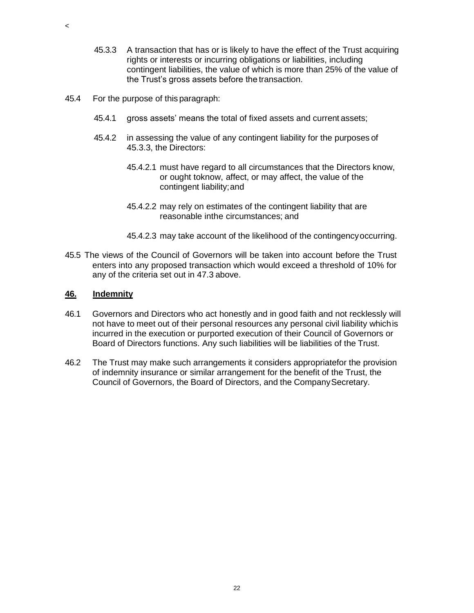- 45.3.3 A transaction that has or is likely to have the effect of the Trust acquiring rights or interests or incurring obligations or liabilities, including contingent liabilities, the value of which is more than 25% of the value of the Trust's gross assets before the transaction.
- 45.4 For the purpose of thisparagraph:
	- 45.4.1 gross assets' means the total of fixed assets and current assets;
	- 45.4.2 in assessing the value of any contingent liability for the purposes of 45.3.3, the Directors:
		- 45.4.2.1 must have regard to all circumstances that the Directors know, or ought toknow, affect, or may affect, the value of the contingent liability;and
		- 45.4.2.2 may rely on estimates of the contingent liability that are reasonable inthe circumstances; and
		- 45.4.2.3 may take account of the likelihood of the contingencyoccurring.
- 45.5 The views of the Council of Governors will be taken into account before the Trust enters into any proposed transaction which would exceed a threshold of 10% for any of the criteria set out in 47.3 above.

#### **46. Indemnity**

 $\,<$ 

- 46.1 Governors and Directors who act honestly and in good faith and not recklessly will not have to meet out of their personal resources any personal civil liability whichis incurred in the execution or purported execution of their Council of Governors or Board of Directors functions. Any such liabilities will be liabilities of the Trust.
- 46.2 The Trust may make such arrangements it considers appropriatefor the provision of indemnity insurance or similar arrangement for the benefit of the Trust, the Council of Governors, the Board of Directors, and the Company Secretary.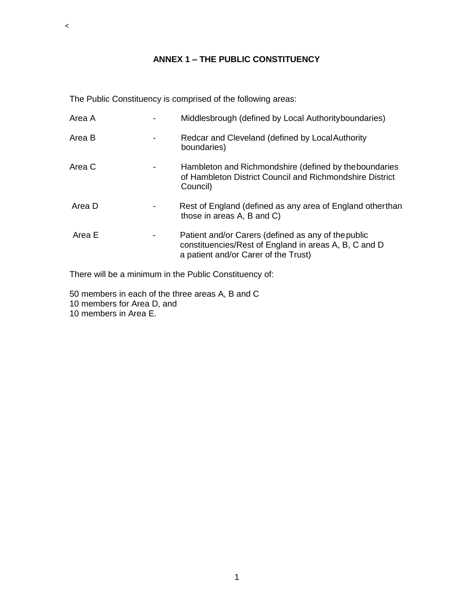## **ANNEX 1 – THE PUBLIC CONSTITUENCY**

The Public Constituency is comprised of the following areas:

| Area A | Middlesbrough (defined by Local Authority boundaries)                                                                                                |
|--------|------------------------------------------------------------------------------------------------------------------------------------------------------|
| Area B | Redcar and Cleveland (defined by Local Authority<br>boundaries)                                                                                      |
| Area C | Hambleton and Richmondshire (defined by the boundaries<br>of Hambleton District Council and Richmondshire District<br>Council)                       |
| Area D | Rest of England (defined as any area of England otherthan<br>those in areas A, B and C)                                                              |
| Area E | Patient and/or Carers (defined as any of the public<br>constituencies/Rest of England in areas A, B, C and D<br>a patient and/or Carer of the Trust) |

There will be a minimum in the Public Constituency of:

50 members in each of the three areas A, B and C

10 members for Area D, and

10 members in Area E.

 $\prec$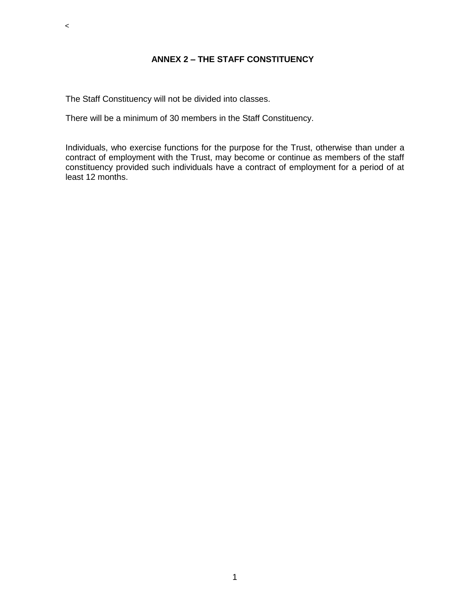The Staff Constituency will not be divided into classes.

 $\prec$ 

There will be a minimum of 30 members in the Staff Constituency.

Individuals, who exercise functions for the purpose for the Trust, otherwise than under a contract of employment with the Trust, may become or continue as members of the staff constituency provided such individuals have a contract of employment for a period of at least 12 months.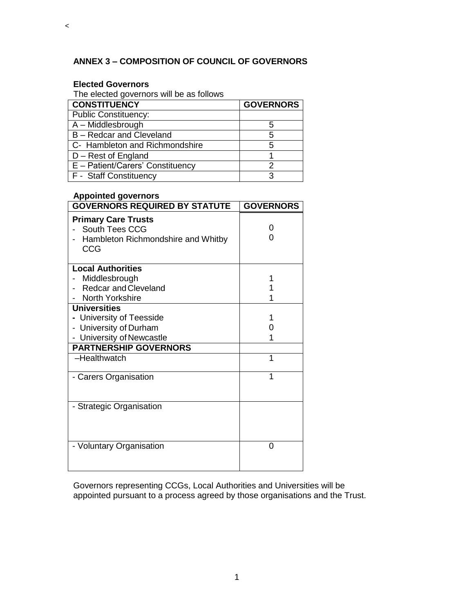## **ANNEX 3 – COMPOSITION OF COUNCIL OF GOVERNORS**

### **Elected Governors**

 $\prec$ 

The elected governors will be as follows

| <b>CONSTITUENCY</b>              | <b>GOVERNORS</b> |
|----------------------------------|------------------|
| <b>Public Constituency:</b>      |                  |
| A - Middlesbrough                | 5                |
| B - Redcar and Cleveland         | 5                |
| C- Hambleton and Richmondshire   | 5                |
| D - Rest of England              |                  |
| E - Patient/Carers' Constituency |                  |
| F - Staff Constituency           |                  |

#### **Appointed governors**

| <b>GOVERNORS REQUIRED BY STATUTE</b>                                                                                                   | <b>GOVERNORS</b> |
|----------------------------------------------------------------------------------------------------------------------------------------|------------------|
| <b>Primary Care Trusts</b><br>South Tees CCG<br>Hambleton Richmondshire and Whitby<br>CCG                                              | O<br>O           |
| <b>Local Authorities</b><br>Middlesbrough<br><b>Redcar and Cleveland</b><br>North Yorkshire                                            | 1                |
| <b>Universities</b><br>- University of Teesside<br>- University of Durham<br>- University of Newcastle<br><b>PARTNERSHIP GOVERNORS</b> | 1<br>0<br>1      |
| -Healthwatch                                                                                                                           | 1                |
| - Carers Organisation                                                                                                                  | 1                |
| - Strategic Organisation                                                                                                               |                  |
| - Voluntary Organisation                                                                                                               | 0                |

Governors representing CCGs, Local Authorities and Universities will be appointed pursuant to a process agreed by those organisations and the Trust.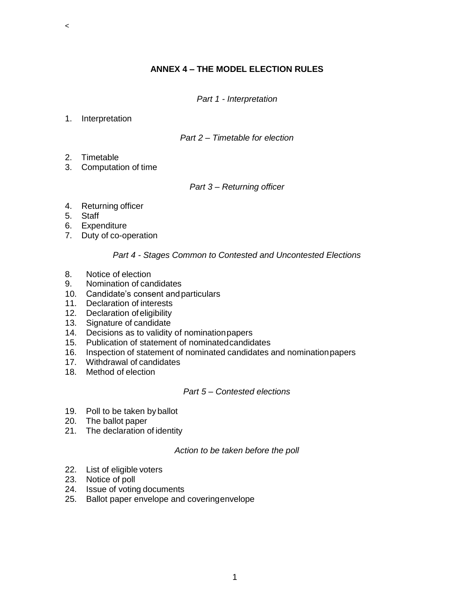## **ANNEX 4 – THE MODEL ELECTION RULES**

*Part 1 - Interpretation*

1. Interpretation

 $\,<$ 

#### *Part 2 – Timetable for election*

- 2. Timetable
- 3. Computation of time

#### *Part 3 – Returning officer*

- 4. Returning officer
- 5. Staff
- 6. Expenditure
- 7. Duty of co-operation

#### *Part 4 - Stages Common to Contested and Uncontested Elections*

- 8. Notice of election
- 9. Nomination of candidates
- 10. Candidate's consent andparticulars
- 11. Declaration of interests
- 12. Declaration ofeligibility
- 13. Signature of candidate
- 14. Decisions as to validity of nominationpapers
- 15. Publication of statement of nominatedcandidates
- 16. Inspection of statement of nominated candidates and nominationpapers
- 17. Withdrawal of candidates
- 18. Method of election

### *Part 5 – Contested elections*

- 19. Poll to be taken by ballot
- 20. The ballot paper
- 21. The declaration of identity

#### *Action to be taken before the poll*

- 22. List of eligible voters
- 23. Notice of poll
- 24. Issue of voting documents
- 25. Ballot paper envelope and coveringenvelope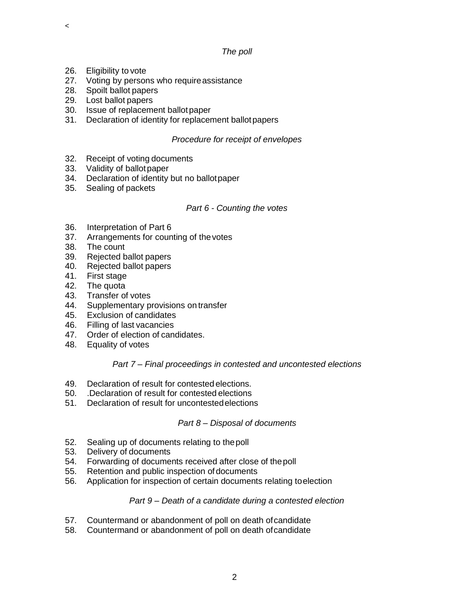#### *The poll*

26. Eligibility to vote

 $\prec$ 

- 27. Voting by persons who require assistance
- 28. Spoilt ballot papers
- 29. Lost ballot papers
- 30. Issue of replacement ballotpaper
- 31. Declaration of identity for replacement ballotpapers

## *Procedure for receipt of envelopes*

- 32. Receipt of voting documents
- 33. Validity of ballotpaper
- 34. Declaration of identity but no ballotpaper
- 35. Sealing of packets

## *Part 6 - Counting the votes*

- 36. Interpretation of Part 6
- 37. Arrangements for counting of thevotes
- 38. The count
- 39. Rejected ballot papers
- 40. Rejected ballot papers
- 41. First stage
- 42. The quota<br>43. Transfer of
- 43. Transfer of votes
- 44. Supplementary provisions on transfer
- 45. Exclusion of candidates
- 46. Filling of last vacancies
- 47. Order of election of candidates.
- 48. Equality of votes

## *Part 7 – Final proceedings in contested and uncontested elections*

- 49. Declaration of result for contested elections.
- 50. .Declaration of result for contested elections
- 51. Declaration of result for uncontestedelections

## *Part 8 – Disposal of documents*

- 52. Sealing up of documents relating to thepoll
- 53. Delivery of documents
- 54. Forwarding of documents received after close of thepoll
- 55. Retention and public inspection of documents
- 56. Application for inspection of certain documents relating toelection

## *Part 9 – Death of a candidate during a contested election*

- 57. Countermand or abandonment of poll on death ofcandidate
- 58. Countermand or abandonment of poll on death ofcandidate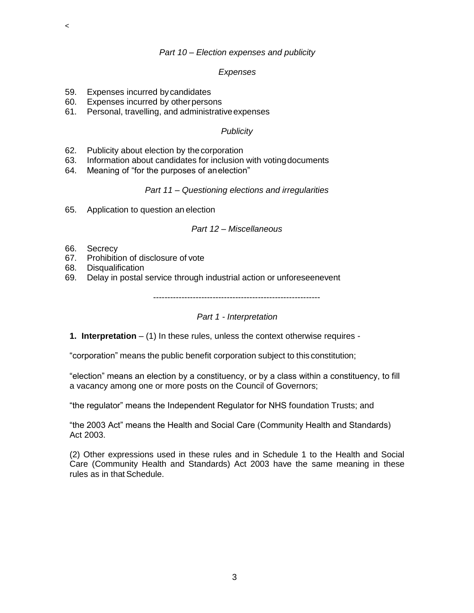#### *Part 10 – Election expenses and publicity*

#### *Expenses*

- 59. Expenses incurred bycandidates
- 60. Expenses incurred by otherpersons
- 61. Personal, travelling, and administrativeexpenses

### *Publicity*

- 62. Publicity about election by thecorporation
- 63. Information about candidates for inclusion with votingdocuments
- 64. Meaning of "for the purposes of anelection"

#### *Part 11 – Questioning elections and irregularities*

65. Application to question an election

#### *Part 12 – Miscellaneous*

66. Secrecy

 $\,<$ 

- 67. Prohibition of disclosure of vote
- 68. Disqualification
- 69. Delay in postal service through industrial action or unforeseenevent

-----------------------------------------------------------

*Part 1 - Interpretation*

**1. Interpretation** – (1) In these rules, unless the context otherwise requires -

"corporation" means the public benefit corporation subject to this constitution;

"election" means an election by a constituency, or by a class within a constituency, to fill a vacancy among one or more posts on the Council of Governors;

"the regulator" means the Independent Regulator for NHS foundation Trusts; and

"the 2003 Act" means the Health and Social Care (Community Health and Standards) Act 2003.

(2) Other expressions used in these rules and in Schedule 1 to the Health and Social Care (Community Health and Standards) Act 2003 have the same meaning in these rules as in that Schedule.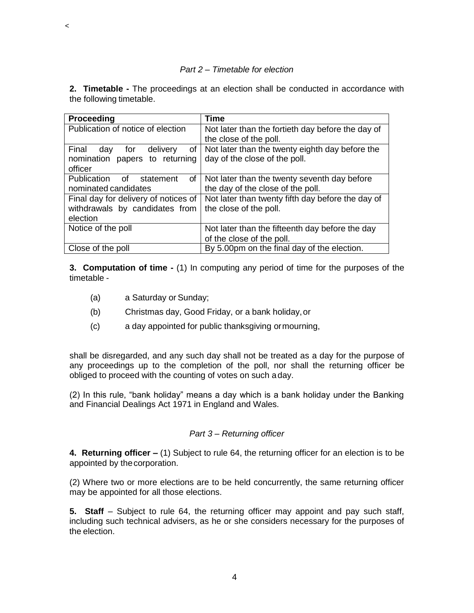#### *Part 2 – Timetable for election*

**2. Timetable -** The proceedings at an election shall be conducted in accordance with the following timetable.

| Proceeding                           | Time                                              |
|--------------------------------------|---------------------------------------------------|
| Publication of notice of election    | Not later than the fortieth day before the day of |
|                                      | the close of the poll.                            |
| Final day for delivery<br>of         | Not later than the twenty eighth day before the   |
| nomination papers to returning       | day of the close of the poll.                     |
| officer                              |                                                   |
| Publication of statement<br>of       | Not later than the twenty seventh day before      |
| nominated candidates                 | the day of the close of the poll.                 |
| Final day for delivery of notices of | Not later than twenty fifth day before the day of |
| withdrawals by candidates from       | the close of the poll.                            |
| election                             |                                                   |
| Notice of the poll                   | Not later than the fifteenth day before the day   |
|                                      | of the close of the poll.                         |
| Close of the poll                    | By 5.00pm on the final day of the election.       |

**3. Computation of time -** (1) In computing any period of time for the purposes of the timetable -

(a) a Saturday or Sunday;

 $\,<$ 

- (b) Christmas day, Good Friday, or a bank holiday,or
- (c) a day appointed for public thanksgiving ormourning,

shall be disregarded, and any such day shall not be treated as a day for the purpose of any proceedings up to the completion of the poll, nor shall the returning officer be obliged to proceed with the counting of votes on such aday.

(2) In this rule, "bank holiday" means a day which is a bank holiday under the Banking and Financial Dealings Act 1971 in England and Wales.

## *Part 3 – Returning officer*

**4. Returning officer –** (1) Subject to rule 64, the returning officer for an election is to be appointed by thecorporation.

(2) Where two or more elections are to be held concurrently, the same returning officer may be appointed for all those elections.

**5. Staff** – Subject to rule 64, the returning officer may appoint and pay such staff, including such technical advisers, as he or she considers necessary for the purposes of the election.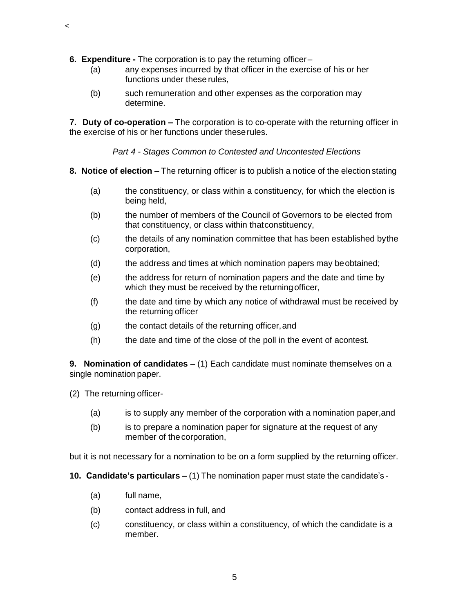- **6. Expenditure -** The corporation is to pay the returning officer–
	- (a) any expenses incurred by that officer in the exercise of his or her functions under these rules,
	- (b) such remuneration and other expenses as the corporation may determine.

**7. Duty of co-operation –** The corporation is to co-operate with the returning officer in the exercise of his or her functions under theserules.

*Part 4 - Stages Common to Contested and Uncontested Elections*

- **8. Notice of election –** The returning officer is to publish a notice of the election stating
	- (a) the constituency, or class within a constituency, for which the election is being held,
	- (b) the number of members of the Council of Governors to be elected from that constituency, or class within thatconstituency,
	- (c) the details of any nomination committee that has been established bythe corporation,
	- (d) the address and times at which nomination papers may beobtained;
	- (e) the address for return of nomination papers and the date and time by which they must be received by the returningofficer,
	- (f) the date and time by which any notice of withdrawal must be received by the returning officer
	- (g) the contact details of the returning officer, and
	- (h) the date and time of the close of the poll in the event of acontest.

**9. Nomination of candidates –** (1) Each candidate must nominate themselves on a single nomination paper.

(2) The returning officer-

 $\,<$ 

- (a) is to supply any member of the corporation with a nomination paper,and
- (b) is to prepare a nomination paper for signature at the request of any member of the corporation,

but it is not necessary for a nomination to be on a form supplied by the returning officer.

**10. Candidate's particulars –** (1) The nomination paper must state the candidate's -

- (a) full name,
- (b) contact address in full, and
- (c) constituency, or class within a constituency, of which the candidate is a member.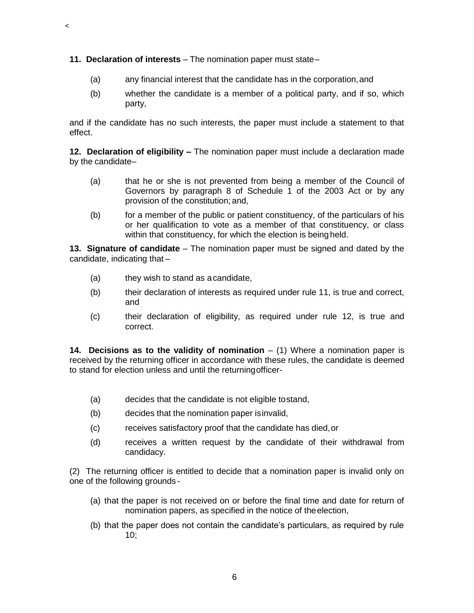**11. Declaration of interests** – The nomination paper must state–

 $\,<$ 

- (a) any financial interest that the candidate has in the corporation,and
- (b) whether the candidate is a member of a political party, and if so, which party,

and if the candidate has no such interests, the paper must include a statement to that effect.

**12. Declaration of eligibility –** The nomination paper must include a declaration made by the candidate–

- (a) that he or she is not prevented from being a member of the Council of Governors by paragraph 8 of Schedule 1 of the 2003 Act or by any provision of the constitution; and,
- (b) for a member of the public or patient constituency, of the particulars of his or her qualification to vote as a member of that constituency, or class within that constituency, for which the election is being held.

**13. Signature of candidate** – The nomination paper must be signed and dated by the candidate, indicating that –

- (a) they wish to stand as acandidate,
- (b) their declaration of interests as required under rule 11, is true and correct, and
- (c) their declaration of eligibility, as required under rule 12, is true and correct.

**14. Decisions as to the validity of nomination** – (1) Where a nomination paper is received by the returning officer in accordance with these rules, the candidate is deemed to stand for election unless and until the returningofficer-

- (a) decides that the candidate is not eligible tostand,
- (b) decides that the nomination paper isinvalid,
- (c) receives satisfactory proof that the candidate has died,or
- (d) receives a written request by the candidate of their withdrawal from candidacy.

(2) The returning officer is entitled to decide that a nomination paper is invalid only on one of the following grounds -

- (a) that the paper is not received on or before the final time and date for return of nomination papers, as specified in the notice of theelection,
- (b) that the paper does not contain the candidate's particulars, as required by rule 10;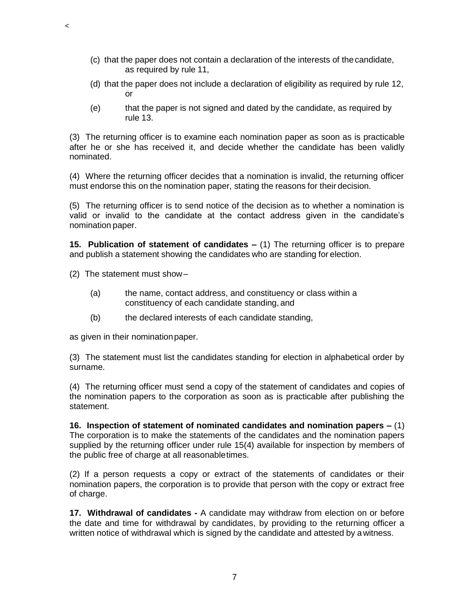- (c) that the paper does not contain a declaration of the interests of thecandidate, as required by rule 11,
- (d) that the paper does not include a declaration of eligibility as required by rule 12, or
- (e) that the paper is not signed and dated by the candidate, as required by rule 13.

(3) The returning officer is to examine each nomination paper as soon as is practicable after he or she has received it, and decide whether the candidate has been validly nominated.

(4) Where the returning officer decides that a nomination is invalid, the returning officer must endorse this on the nomination paper, stating the reasons for their decision.

(5) The returning officer is to send notice of the decision as to whether a nomination is valid or invalid to the candidate at the contact address given in the candidate's nomination paper.

**15. Publication of statement of candidates –** (1) The returning officer is to prepare and publish a statement showing the candidates who are standing for election.

(2) The statement must show–

 $\,<$ 

- (a) the name, contact address, and constituency or class within a constituency of each candidate standing, and
- (b) the declared interests of each candidate standing,

as given in their nominationpaper.

(3) The statement must list the candidates standing for election in alphabetical order by surname.

(4) The returning officer must send a copy of the statement of candidates and copies of the nomination papers to the corporation as soon as is practicable after publishing the statement.

**16. Inspection of statement of nominated candidates and nomination papers –** (1) The corporation is to make the statements of the candidates and the nomination papers supplied by the returning officer under rule 15(4) available for inspection by members of the public free of charge at all reasonabletimes.

(2) If a person requests a copy or extract of the statements of candidates or their nomination papers, the corporation is to provide that person with the copy or extract free of charge.

**17. Withdrawal of candidates -** A candidate may withdraw from election on or before the date and time for withdrawal by candidates, by providing to the returning officer a written notice of withdrawal which is signed by the candidate and attested by awitness.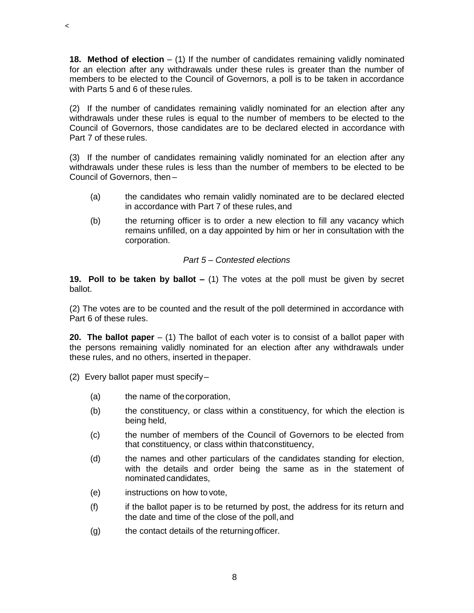**18. Method of election** – (1) If the number of candidates remaining validly nominated for an election after any withdrawals under these rules is greater than the number of members to be elected to the Council of Governors, a poll is to be taken in accordance with Parts 5 and 6 of these rules.

(2) If the number of candidates remaining validly nominated for an election after any withdrawals under these rules is equal to the number of members to be elected to the Council of Governors, those candidates are to be declared elected in accordance with Part 7 of these rules.

(3) If the number of candidates remaining validly nominated for an election after any withdrawals under these rules is less than the number of members to be elected to be Council of Governors, then –

- (a) the candidates who remain validly nominated are to be declared elected in accordance with Part 7 of these rules,and
- (b) the returning officer is to order a new election to fill any vacancy which remains unfilled, on a day appointed by him or her in consultation with the corporation.

## *Part 5 – Contested elections*

**19. Poll to be taken by ballot –** (1) The votes at the poll must be given by secret ballot.

(2) The votes are to be counted and the result of the poll determined in accordance with Part 6 of these rules.

**20. The ballot paper** – (1) The ballot of each voter is to consist of a ballot paper with the persons remaining validly nominated for an election after any withdrawals under these rules, and no others, inserted in thepaper.

(2) Every ballot paper must specify–

 $\,<$ 

- (a) the name of thecorporation,
- (b) the constituency, or class within a constituency, for which the election is being held,
- (c) the number of members of the Council of Governors to be elected from that constituency, or class within thatconstituency,
- (d) the names and other particulars of the candidates standing for election, with the details and order being the same as in the statement of nominated candidates,
- (e) instructions on how to vote,
- (f) if the ballot paper is to be returned by post, the address for its return and the date and time of the close of the poll,and
- (g) the contact details of the returningofficer.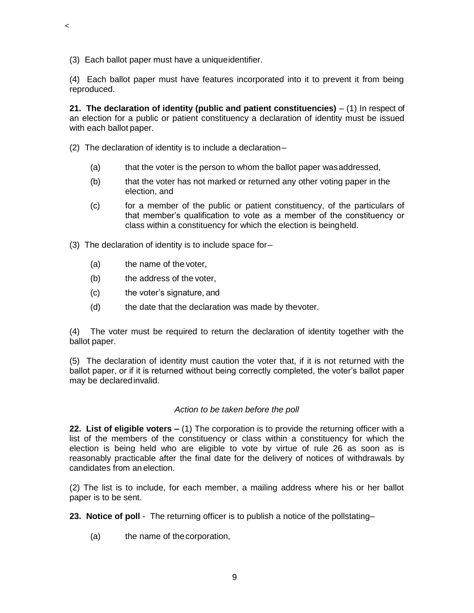(3) Each ballot paper must have a uniqueidentifier.

 $\,<$ 

(4) Each ballot paper must have features incorporated into it to prevent it from being reproduced.

**21. The declaration of identity (public and patient constituencies)** – (1) In respect of an election for a public or patient constituency a declaration of identity must be issued with each ballot paper.

- (2) The declaration of identity is to include a declaration–
	- (a) that the voter is the person to whom the ballot paper wasaddressed,
	- (b) that the voter has not marked or returned any other voting paper in the election, and
	- (c) for a member of the public or patient constituency, of the particulars of that member's qualification to vote as a member of the constituency or class within a constituency for which the election is beingheld.
- (3) The declaration of identity is to include space for–
	- (a) the name of the voter,
	- (b) the address of the voter,
	- (c) the voter's signature, and
	- (d) the date that the declaration was made by thevoter.

(4) The voter must be required to return the declaration of identity together with the ballot paper.

(5) The declaration of identity must caution the voter that, if it is not returned with the ballot paper, or if it is returned without being correctly completed, the voter's ballot paper may be declaredinvalid.

#### *Action to be taken before the poll*

**22. List of eligible voters –** (1) The corporation is to provide the returning officer with a list of the members of the constituency or class within a constituency for which the election is being held who are eligible to vote by virtue of rule 26 as soon as is reasonably practicable after the final date for the delivery of notices of withdrawals by candidates from an election.

(2) The list is to include, for each member, a mailing address where his or her ballot paper is to be sent.

**23. Notice of poll** - The returning officer is to publish a notice of the pollstating–

(a) the name of thecorporation,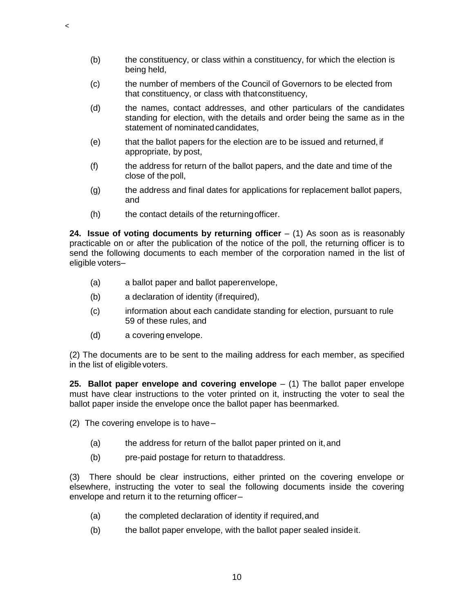- (b) the constituency, or class within a constituency, for which the election is being held,
- (c) the number of members of the Council of Governors to be elected from that constituency, or class with thatconstituency,
- (d) the names, contact addresses, and other particulars of the candidates standing for election, with the details and order being the same as in the statement of nominated candidates.
- (e) that the ballot papers for the election are to be issued and returned, if appropriate, by post,
- (f) the address for return of the ballot papers, and the date and time of the close of the poll,
- (g) the address and final dates for applications for replacement ballot papers, and
- (h) the contact details of the returningofficer.

**24. Issue of voting documents by returning officer**  $-$  (1) As soon as is reasonably practicable on or after the publication of the notice of the poll, the returning officer is to send the following documents to each member of the corporation named in the list of eligible voters–

- (a) a ballot paper and ballot paperenvelope,
- (b) a declaration of identity (ifrequired),
- (c) information about each candidate standing for election, pursuant to rule 59 of these rules, and
- (d) a covering envelope.

 $\,<$ 

(2) The documents are to be sent to the mailing address for each member, as specified in the list of eligiblevoters.

**25. Ballot paper envelope and covering envelope** – (1) The ballot paper envelope must have clear instructions to the voter printed on it, instructing the voter to seal the ballot paper inside the envelope once the ballot paper has beenmarked.

(2) The covering envelope is to have –

- (a) the address for return of the ballot paper printed on it,and
- (b) pre-paid postage for return to thataddress.

(3) There should be clear instructions, either printed on the covering envelope or elsewhere, instructing the voter to seal the following documents inside the covering envelope and return it to the returning officer–

- (a) the completed declaration of identity if required,and
- (b) the ballot paper envelope, with the ballot paper sealed insideit.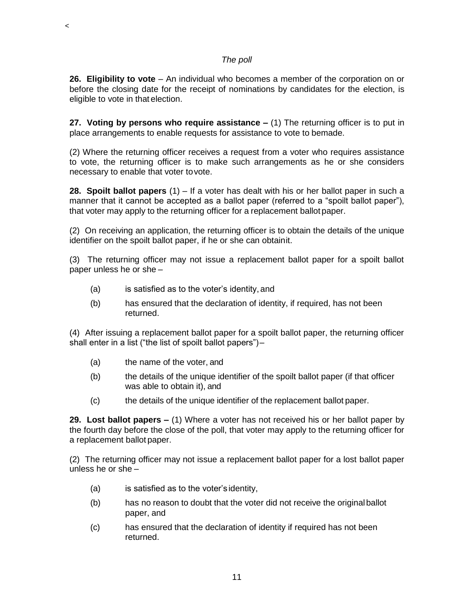# *The poll*

**26. Eligibility to vote** – An individual who becomes a member of the corporation on or before the closing date for the receipt of nominations by candidates for the election, is eligible to vote in that election.

**27. Voting by persons who require assistance –** (1) The returning officer is to put in place arrangements to enable requests for assistance to vote to bemade.

(2) Where the returning officer receives a request from a voter who requires assistance to vote, the returning officer is to make such arrangements as he or she considers necessary to enable that voter tovote.

**28. Spoilt ballot papers** (1) – If a voter has dealt with his or her ballot paper in such a manner that it cannot be accepted as a ballot paper (referred to a "spoilt ballot paper"), that voter may apply to the returning officer for a replacement ballot paper.

(2) On receiving an application, the returning officer is to obtain the details of the unique identifier on the spoilt ballot paper, if he or she can obtainit.

(3) The returning officer may not issue a replacement ballot paper for a spoilt ballot paper unless he or she –

- (a) is satisfied as to the voter's identity, and
- (b) has ensured that the declaration of identity, if required, has not been returned.

(4) After issuing a replacement ballot paper for a spoilt ballot paper, the returning officer shall enter in a list ("the list of spoilt ballot papers")–

(a) the name of the voter, and

 $\,<$ 

- (b) the details of the unique identifier of the spoilt ballot paper (if that officer was able to obtain it), and
- (c) the details of the unique identifier of the replacement ballot paper.

**29. Lost ballot papers –** (1) Where a voter has not received his or her ballot paper by the fourth day before the close of the poll, that voter may apply to the returning officer for a replacement ballot paper.

(2) The returning officer may not issue a replacement ballot paper for a lost ballot paper unless he or she –

- (a) is satisfied as to the voter's identity,
- (b) has no reason to doubt that the voter did not receive the originalballot paper, and
- (c) has ensured that the declaration of identity if required has not been returned.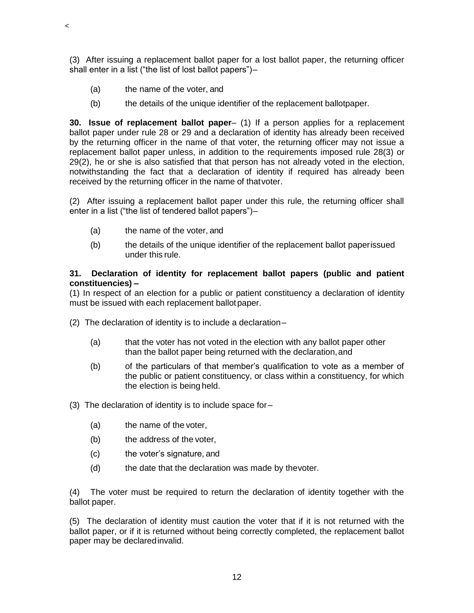(3) After issuing a replacement ballot paper for a lost ballot paper, the returning officer shall enter in a list ("the list of lost ballot papers")–

(a) the name of the voter, and

 $\,<$ 

(b) the details of the unique identifier of the replacement ballotpaper.

**30. Issue of replacement ballot paper**– (1) If a person applies for a replacement ballot paper under rule 28 or 29 and a declaration of identity has already been received by the returning officer in the name of that voter, the returning officer may not issue a replacement ballot paper unless, in addition to the requirements imposed rule 28(3) or 29(2), he or she is also satisfied that that person has not already voted in the election, notwithstanding the fact that a declaration of identity if required has already been received by the returning officer in the name of thatvoter.

(2) After issuing a replacement ballot paper under this rule, the returning officer shall enter in a list ("the list of tendered ballot papers")–

- (a) the name of the voter, and
- (b) the details of the unique identifier of the replacement ballot paperissued under this rule.

# **31. Declaration of identity for replacement ballot papers (public and patient constituencies) –**

(1) In respect of an election for a public or patient constituency a declaration of identity must be issued with each replacement ballotpaper.

- (2) The declaration of identity is to include a declaration–
	- (a) that the voter has not voted in the election with any ballot paper other than the ballot paper being returned with the declaration,and
	- (b) of the particulars of that member's qualification to vote as a member of the public or patient constituency, or class within a constituency, for which the election is being held.
- (3) The declaration of identity is to include space for–
	- (a) the name of the voter,
	- (b) the address of the voter,
	- (c) the voter's signature, and
	- (d) the date that the declaration was made by thevoter.

(4) The voter must be required to return the declaration of identity together with the ballot paper.

(5) The declaration of identity must caution the voter that if it is not returned with the ballot paper, or if it is returned without being correctly completed, the replacement ballot paper may be declaredinvalid.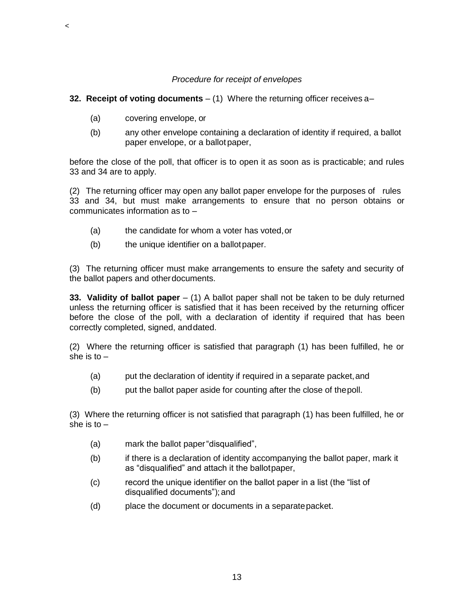### *Procedure for receipt of envelopes*

### **32. Receipt of voting documents** – (1) Where the returning officer receives a–

(a) covering envelope, or

 $\,<$ 

(b) any other envelope containing a declaration of identity if required, a ballot paper envelope, or a ballot paper,

before the close of the poll, that officer is to open it as soon as is practicable; and rules 33 and 34 are to apply.

(2) The returning officer may open any ballot paper envelope for the purposes of rules 33 and 34, but must make arrangements to ensure that no person obtains or communicates information as to –

- (a) the candidate for whom a voter has voted,or
- (b) the unique identifier on a ballot paper.

(3) The returning officer must make arrangements to ensure the safety and security of the ballot papers and otherdocuments.

**33. Validity of ballot paper** – (1) A ballot paper shall not be taken to be duly returned unless the returning officer is satisfied that it has been received by the returning officer before the close of the poll, with a declaration of identity if required that has been correctly completed, signed, anddated.

(2) Where the returning officer is satisfied that paragraph (1) has been fulfilled, he or she is to  $-$ 

- (a) put the declaration of identity if required in a separate packet,and
- (b) put the ballot paper aside for counting after the close of thepoll.

(3) Where the returning officer is not satisfied that paragraph (1) has been fulfilled, he or she is to  $-$ 

- (a) mark the ballot paper"disqualified",
- (b) if there is a declaration of identity accompanying the ballot paper, mark it as "disqualified" and attach it the ballotpaper,
- (c) record the unique identifier on the ballot paper in a list (the "list of disqualified documents");and
- (d) place the document or documents in a separatepacket.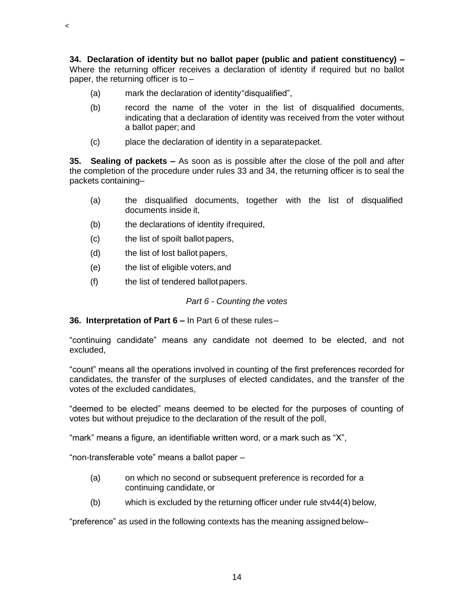**34. Declaration of identity but no ballot paper (public and patient constituency) –** Where the returning officer receives a declaration of identity if required but no ballot paper, the returning officer is to –

- (a) mark the declaration of identity"disqualified",
- (b) record the name of the voter in the list of disqualified documents, indicating that a declaration of identity was received from the voter without a ballot paper; and
- (c) place the declaration of identity in a separatepacket.

**35. Sealing of packets –** As soon as is possible after the close of the poll and after the completion of the procedure under rules 33 and 34, the returning officer is to seal the packets containing–

- (a) the disqualified documents, together with the list of disqualified documents inside it,
- (b) the declarations of identity ifrequired,
- (c) the list of spoilt ballot papers,
- (d) the list of lost ballot papers,

 $\,<$ 

- (e) the list of eligible voters,and
- (f) the list of tendered ballotpapers.

#### *Part 6 - Counting the votes*

#### **36. Interpretation of Part 6 –** In Part 6 of these rules–

"continuing candidate" means any candidate not deemed to be elected, and not excluded,

"count" means all the operations involved in counting of the first preferences recorded for candidates, the transfer of the surpluses of elected candidates, and the transfer of the votes of the excluded candidates,

"deemed to be elected" means deemed to be elected for the purposes of counting of votes but without prejudice to the declaration of the result of the poll,

"mark" means a figure, an identifiable written word, or a mark such as "X",

"non-transferable vote" means a ballot paper –

- (a) on which no second or subsequent preference is recorded for a continuing candidate, or
- (b) which is excluded by the returning officer under rule stv44(4) below,

"preference" as used in the following contexts has the meaning assigned below–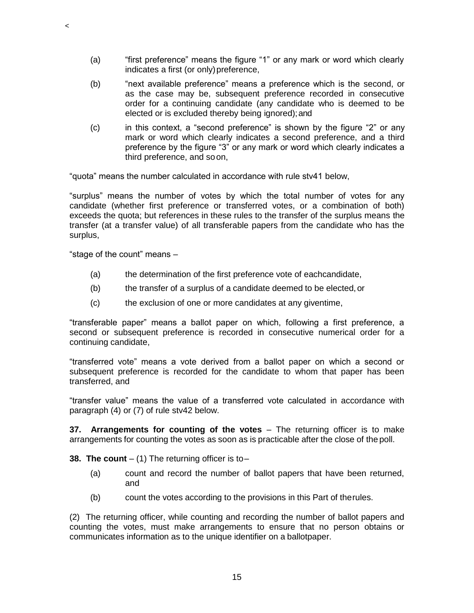- (a) "first preference" means the figure "1" or any mark or word which clearly indicates a first (or only) preference,
- (b) "next available preference" means a preference which is the second, or as the case may be, subsequent preference recorded in consecutive order for a continuing candidate (any candidate who is deemed to be elected or is excluded thereby being ignored);and
- (c) in this context, a "second preference" is shown by the figure "2" or any mark or word which clearly indicates a second preference, and a third preference by the figure "3" or any mark or word which clearly indicates a third preference, and soon,

"quota" means the number calculated in accordance with rule stv41 below,

"surplus" means the number of votes by which the total number of votes for any candidate (whether first preference or transferred votes, or a combination of both) exceeds the quota; but references in these rules to the transfer of the surplus means the transfer (at a transfer value) of all transferable papers from the candidate who has the surplus,

"stage of the count" means –

 $\,<$ 

- (a) the determination of the first preference vote of eachcandidate,
- (b) the transfer of a surplus of a candidate deemed to be elected,or
- (c) the exclusion of one or more candidates at any giventime,

"transferable paper" means a ballot paper on which, following a first preference, a second or subsequent preference is recorded in consecutive numerical order for a continuing candidate,

"transferred vote" means a vote derived from a ballot paper on which a second or subsequent preference is recorded for the candidate to whom that paper has been transferred, and

"transfer value" means the value of a transferred vote calculated in accordance with paragraph (4) or (7) of rule stv42 below.

**37. Arrangements for counting of the votes** – The returning officer is to make arrangements for counting the votes as soon as is practicable after the close of the poll.

**38. The count** – (1) The returning officer is to–

- (a) count and record the number of ballot papers that have been returned, and
- (b) count the votes according to the provisions in this Part of therules.

(2) The returning officer, while counting and recording the number of ballot papers and counting the votes, must make arrangements to ensure that no person obtains or communicates information as to the unique identifier on a ballotpaper.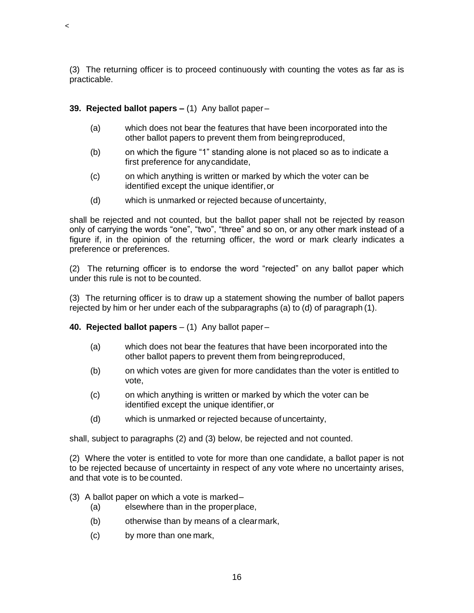(3) The returning officer is to proceed continuously with counting the votes as far as is practicable.

# **39. Rejected ballot papers –** (1) Any ballot paper –

 $\,<$ 

- (a) which does not bear the features that have been incorporated into the other ballot papers to prevent them from beingreproduced,
- (b) on which the figure "1" standing alone is not placed so as to indicate a first preference for anycandidate,
- (c) on which anything is written or marked by which the voter can be identified except the unique identifier,or
- (d) which is unmarked or rejected because of uncertainty,

shall be rejected and not counted, but the ballot paper shall not be rejected by reason only of carrying the words "one", "two", "three" and so on, or any other mark instead of a figure if, in the opinion of the returning officer, the word or mark clearly indicates a preference or preferences.

(2) The returning officer is to endorse the word "rejected" on any ballot paper which under this rule is not to be counted.

(3) The returning officer is to draw up a statement showing the number of ballot papers rejected by him or her under each of the subparagraphs (a) to (d) of paragraph (1).

**40. Rejected ballot papers** – (1) Any ballot paper –

- (a) which does not bear the features that have been incorporated into the other ballot papers to prevent them from beingreproduced,
- (b) on which votes are given for more candidates than the voter is entitled to vote,
- (c) on which anything is written or marked by which the voter can be identified except the unique identifier,or
- (d) which is unmarked or rejected because of uncertainty,

shall, subject to paragraphs (2) and (3) below, be rejected and not counted.

(2) Where the voter is entitled to vote for more than one candidate, a ballot paper is not to be rejected because of uncertainty in respect of any vote where no uncertainty arises, and that vote is to be counted.

- (3) A ballot paper on which a vote is marked–
	- (a) elsewhere than in the properplace,
	- (b) otherwise than by means of a clearmark,
	- (c) by more than one mark,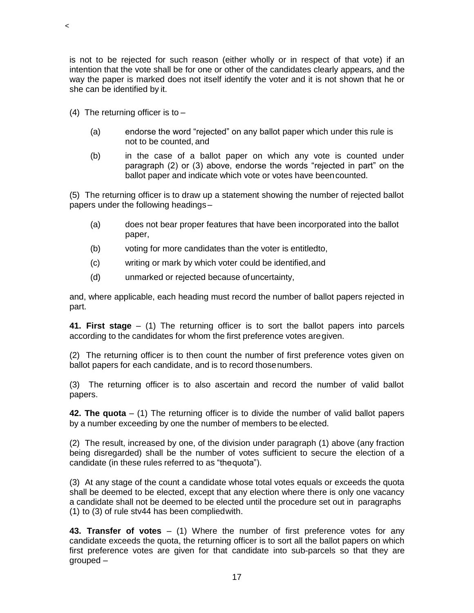is not to be rejected for such reason (either wholly or in respect of that vote) if an intention that the vote shall be for one or other of the candidates clearly appears, and the way the paper is marked does not itself identify the voter and it is not shown that he or she can be identified by it.

- (4) The returning officer is to  $-$ 
	- (a) endorse the word "rejected" on any ballot paper which under this rule is not to be counted, and
	- (b) in the case of a ballot paper on which any vote is counted under paragraph (2) or (3) above, endorse the words "rejected in part" on the ballot paper and indicate which vote or votes have beencounted.

(5) The returning officer is to draw up a statement showing the number of rejected ballot papers under the following headings–

- (a) does not bear proper features that have been incorporated into the ballot paper,
- (b) voting for more candidates than the voter is entitledto,
- (c) writing or mark by which voter could be identified,and
- (d) unmarked or rejected because ofuncertainty,

and, where applicable, each heading must record the number of ballot papers rejected in part.

**41. First stage** – (1) The returning officer is to sort the ballot papers into parcels according to the candidates for whom the first preference votes aregiven.

(2) The returning officer is to then count the number of first preference votes given on ballot papers for each candidate, and is to record thosenumbers.

(3) The returning officer is to also ascertain and record the number of valid ballot papers.

**42. The quota** – (1) The returning officer is to divide the number of valid ballot papers by a number exceeding by one the number of members to be elected.

(2) The result, increased by one, of the division under paragraph (1) above (any fraction being disregarded) shall be the number of votes sufficient to secure the election of a candidate (in these rules referred to as "thequota").

(3) At any stage of the count a candidate whose total votes equals or exceeds the quota shall be deemed to be elected, except that any election where there is only one vacancy a candidate shall not be deemed to be elected until the procedure set out in paragraphs (1) to (3) of rule stv44 has been compliedwith.

**43. Transfer of votes** – (1) Where the number of first preference votes for any candidate exceeds the quota, the returning officer is to sort all the ballot papers on which first preference votes are given for that candidate into sub-parcels so that they are grouped –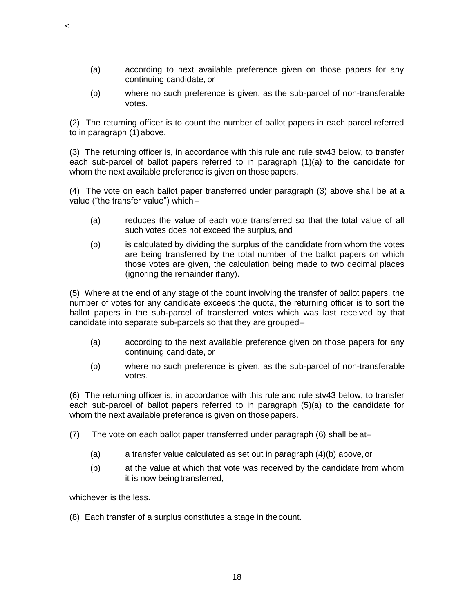- (a) according to next available preference given on those papers for any continuing candidate, or
- (b) where no such preference is given, as the sub-parcel of non-transferable votes.

(2) The returning officer is to count the number of ballot papers in each parcel referred to in paragraph (1)above.

(3) The returning officer is, in accordance with this rule and rule stv43 below, to transfer each sub-parcel of ballot papers referred to in paragraph (1)(a) to the candidate for whom the next available preference is given on those papers.

(4) The vote on each ballot paper transferred under paragraph (3) above shall be at a value ("the transfer value") which–

- (a) reduces the value of each vote transferred so that the total value of all such votes does not exceed the surplus, and
- (b) is calculated by dividing the surplus of the candidate from whom the votes are being transferred by the total number of the ballot papers on which those votes are given, the calculation being made to two decimal places (ignoring the remainder ifany).

(5) Where at the end of any stage of the count involving the transfer of ballot papers, the number of votes for any candidate exceeds the quota, the returning officer is to sort the ballot papers in the sub-parcel of transferred votes which was last received by that candidate into separate sub-parcels so that they are grouped–

- (a) according to the next available preference given on those papers for any continuing candidate, or
- (b) where no such preference is given, as the sub-parcel of non-transferable votes.

(6) The returning officer is, in accordance with this rule and rule stv43 below, to transfer each sub-parcel of ballot papers referred to in paragraph (5)(a) to the candidate for whom the next available preference is given on thosepapers.

- (7) The vote on each ballot paper transferred under paragraph (6) shall be at–
	- (a) a transfer value calculated as set out in paragraph  $(4)(b)$  above, or
	- (b) at the value at which that vote was received by the candidate from whom it is now being transferred,

whichever is the less.

 $\,<$ 

(8) Each transfer of a surplus constitutes a stage in thecount.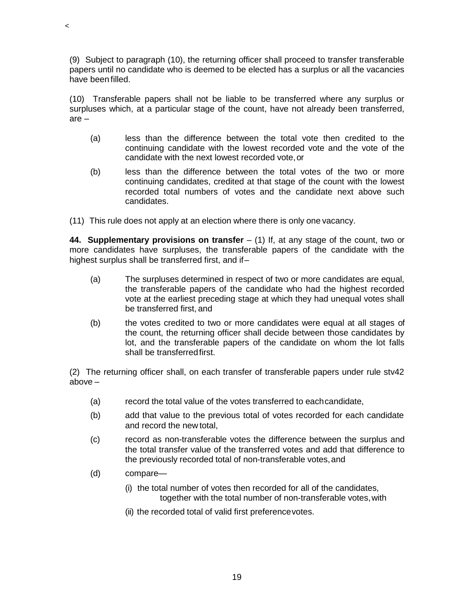(9) Subject to paragraph (10), the returning officer shall proceed to transfer transferable papers until no candidate who is deemed to be elected has a surplus or all the vacancies have been filled.

(10) Transferable papers shall not be liable to be transferred where any surplus or surpluses which, at a particular stage of the count, have not already been transferred, are –

- (a) less than the difference between the total vote then credited to the continuing candidate with the lowest recorded vote and the vote of the candidate with the next lowest recorded vote,or
- (b) less than the difference between the total votes of the two or more continuing candidates, credited at that stage of the count with the lowest recorded total numbers of votes and the candidate next above such candidates.

(11) This rule does not apply at an election where there is only one vacancy.

**44. Supplementary provisions on transfer** – (1) If, at any stage of the count, two or more candidates have surpluses, the transferable papers of the candidate with the highest surplus shall be transferred first, and if–

- (a) The surpluses determined in respect of two or more candidates are equal, the transferable papers of the candidate who had the highest recorded vote at the earliest preceding stage at which they had unequal votes shall be transferred first, and
- (b) the votes credited to two or more candidates were equal at all stages of the count, the returning officer shall decide between those candidates by lot, and the transferable papers of the candidate on whom the lot falls shall be transferredfirst.

(2) The returning officer shall, on each transfer of transferable papers under rule stv42 above –

- (a) record the total value of the votes transferred to eachcandidate,
- (b) add that value to the previous total of votes recorded for each candidate and record the new total,
- (c) record as non-transferable votes the difference between the surplus and the total transfer value of the transferred votes and add that difference to the previously recorded total of non-transferable votes,and
- (d) compare—

 $\,<$ 

- (i) the total number of votes then recorded for all of the candidates, together with the total number of non-transferable votes,with
- (ii) the recorded total of valid first preferencevotes.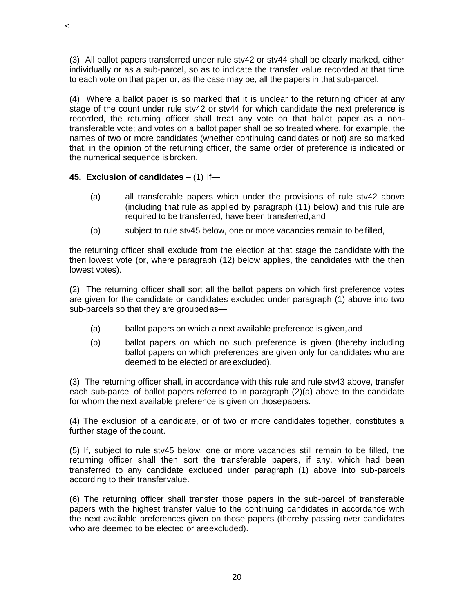(3) All ballot papers transferred under rule stv42 or stv44 shall be clearly marked, either individually or as a sub-parcel, so as to indicate the transfer value recorded at that time to each vote on that paper or, as the case may be, all the papers in that sub-parcel.

(4) Where a ballot paper is so marked that it is unclear to the returning officer at any stage of the count under rule stv42 or stv44 for which candidate the next preference is recorded, the returning officer shall treat any vote on that ballot paper as a nontransferable vote; and votes on a ballot paper shall be so treated where, for example, the names of two or more candidates (whether continuing candidates or not) are so marked that, in the opinion of the returning officer, the same order of preference is indicated or the numerical sequence isbroken.

# **45. Exclusion of candidates** – (1) If—

 $\,<$ 

- (a) all transferable papers which under the provisions of rule stv42 above (including that rule as applied by paragraph (11) below) and this rule are required to be transferred, have been transferred,and
- (b) subject to rule stv45 below, one or more vacancies remain to befilled,

the returning officer shall exclude from the election at that stage the candidate with the then lowest vote (or, where paragraph (12) below applies, the candidates with the then lowest votes).

(2) The returning officer shall sort all the ballot papers on which first preference votes are given for the candidate or candidates excluded under paragraph (1) above into two sub-parcels so that they are grouped as—

- (a) ballot papers on which a next available preference is given,and
- (b) ballot papers on which no such preference is given (thereby including ballot papers on which preferences are given only for candidates who are deemed to be elected or areexcluded).

(3) The returning officer shall, in accordance with this rule and rule stv43 above, transfer each sub-parcel of ballot papers referred to in paragraph (2)(a) above to the candidate for whom the next available preference is given on thosepapers.

(4) The exclusion of a candidate, or of two or more candidates together, constitutes a further stage of the count.

(5) If, subject to rule stv45 below, one or more vacancies still remain to be filled, the returning officer shall then sort the transferable papers, if any, which had been transferred to any candidate excluded under paragraph (1) above into sub-parcels according to their transfervalue.

(6) The returning officer shall transfer those papers in the sub-parcel of transferable papers with the highest transfer value to the continuing candidates in accordance with the next available preferences given on those papers (thereby passing over candidates who are deemed to be elected or areexcluded).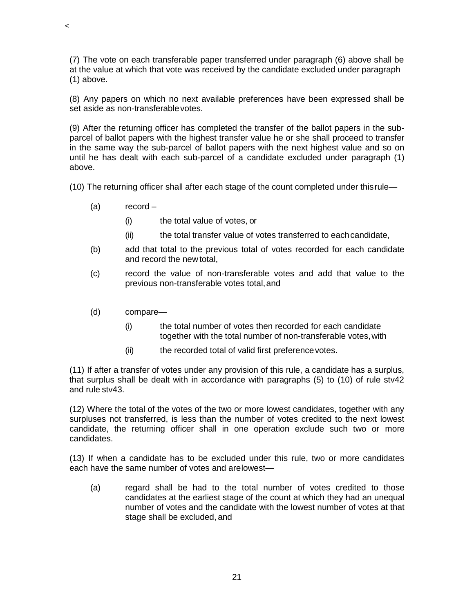(7) The vote on each transferable paper transferred under paragraph (6) above shall be at the value at which that vote was received by the candidate excluded under paragraph (1) above.

(8) Any papers on which no next available preferences have been expressed shall be set aside as non-transferablevotes.

(9) After the returning officer has completed the transfer of the ballot papers in the subparcel of ballot papers with the highest transfer value he or she shall proceed to transfer in the same way the sub-parcel of ballot papers with the next highest value and so on until he has dealt with each sub-parcel of a candidate excluded under paragraph (1) above.

(10) The returning officer shall after each stage of the count completed under thisrule—

(a) record –

 $\,<$ 

- (i) the total value of votes, or
- (ii) the total transfer value of votes transferred to eachcandidate,
- (b) add that total to the previous total of votes recorded for each candidate and record the new total,
- (c) record the value of non-transferable votes and add that value to the previous non-transferable votes total,and
- (d) compare—
	- (i) the total number of votes then recorded for each candidate together with the total number of non-transferable votes,with
	- (ii) the recorded total of valid first preference votes.

(11) If after a transfer of votes under any provision of this rule, a candidate has a surplus, that surplus shall be dealt with in accordance with paragraphs (5) to (10) of rule stv42 and rule stv43.

(12) Where the total of the votes of the two or more lowest candidates, together with any surpluses not transferred, is less than the number of votes credited to the next lowest candidate, the returning officer shall in one operation exclude such two or more candidates.

(13) If when a candidate has to be excluded under this rule, two or more candidates each have the same number of votes and arelowest—

(a) regard shall be had to the total number of votes credited to those candidates at the earliest stage of the count at which they had an unequal number of votes and the candidate with the lowest number of votes at that stage shall be excluded, and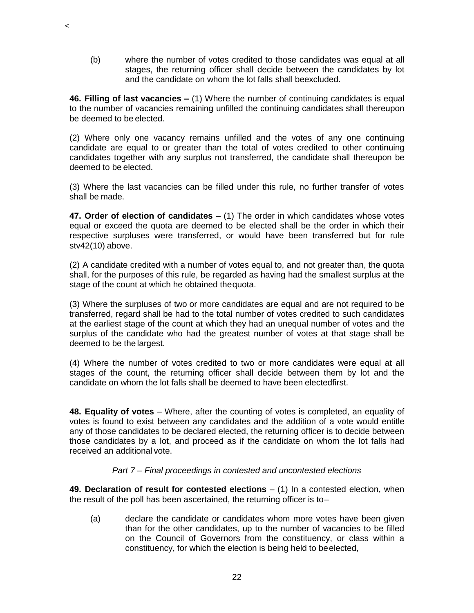(b) where the number of votes credited to those candidates was equal at all stages, the returning officer shall decide between the candidates by lot and the candidate on whom the lot falls shall beexcluded.

**46. Filling of last vacancies –** (1) Where the number of continuing candidates is equal to the number of vacancies remaining unfilled the continuing candidates shall thereupon be deemed to be elected.

 $\prec$ 

(2) Where only one vacancy remains unfilled and the votes of any one continuing candidate are equal to or greater than the total of votes credited to other continuing candidates together with any surplus not transferred, the candidate shall thereupon be deemed to be elected.

(3) Where the last vacancies can be filled under this rule, no further transfer of votes shall be made.

**47. Order of election of candidates** – (1) The order in which candidates whose votes equal or exceed the quota are deemed to be elected shall be the order in which their respective surpluses were transferred, or would have been transferred but for rule stv42(10) above.

(2) A candidate credited with a number of votes equal to, and not greater than, the quota shall, for the purposes of this rule, be regarded as having had the smallest surplus at the stage of the count at which he obtained thequota.

(3) Where the surpluses of two or more candidates are equal and are not required to be transferred, regard shall be had to the total number of votes credited to such candidates at the earliest stage of the count at which they had an unequal number of votes and the surplus of the candidate who had the greatest number of votes at that stage shall be deemed to be the largest.

(4) Where the number of votes credited to two or more candidates were equal at all stages of the count, the returning officer shall decide between them by lot and the candidate on whom the lot falls shall be deemed to have been electedfirst.

**48. Equality of votes** – Where, after the counting of votes is completed, an equality of votes is found to exist between any candidates and the addition of a vote would entitle any of those candidates to be declared elected, the returning officer is to decide between those candidates by a lot, and proceed as if the candidate on whom the lot falls had received an additional vote.

# *Part 7 – Final proceedings in contested and uncontested elections*

**49. Declaration of result for contested elections** – (1) In a contested election, when the result of the poll has been ascertained, the returning officer is to–

(a) declare the candidate or candidates whom more votes have been given than for the other candidates, up to the number of vacancies to be filled on the Council of Governors from the constituency, or class within a constituency, for which the election is being held to beelected,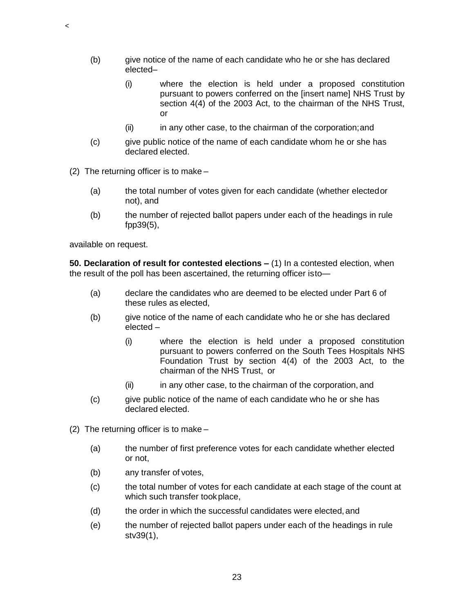- (b) give notice of the name of each candidate who he or she has declared elected–
	- (i) where the election is held under a proposed constitution pursuant to powers conferred on the [insert name] NHS Trust by section 4(4) of the 2003 Act, to the chairman of the NHS Trust, or
	- (ii) in any other case, to the chairman of the corporation;and
- (c) give public notice of the name of each candidate whom he or she has declared elected.
- (2) The returning officer is to make
	- (a) the total number of votes given for each candidate (whether electedor not), and
	- (b) the number of rejected ballot papers under each of the headings in rule fpp39(5),

available on request.

 $\,<$ 

**50. Declaration of result for contested elections –** (1) In a contested election, when the result of the poll has been ascertained, the returning officer isto—

- (a) declare the candidates who are deemed to be elected under Part 6 of these rules as elected,
- (b) give notice of the name of each candidate who he or she has declared elected –
	- (i) where the election is held under a proposed constitution pursuant to powers conferred on the South Tees Hospitals NHS Foundation Trust by section 4(4) of the 2003 Act, to the chairman of the NHS Trust, or
	- (ii) in any other case, to the chairman of the corporation, and
- (c) give public notice of the name of each candidate who he or she has declared elected.
- (2) The returning officer is to make
	- (a) the number of first preference votes for each candidate whether elected or not,
	- (b) any transfer of votes,
	- (c) the total number of votes for each candidate at each stage of the count at which such transfer tookplace,
	- (d) the order in which the successful candidates were elected,and
	- (e) the number of rejected ballot papers under each of the headings in rule stv39(1),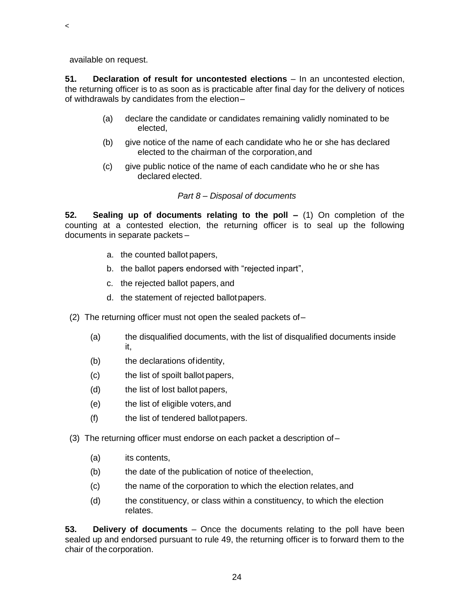available on request.

 $\,<$ 

**51. Declaration of result for uncontested elections** – In an uncontested election, the returning officer is to as soon as is practicable after final day for the delivery of notices of withdrawals by candidates from the election–

- (a) declare the candidate or candidates remaining validly nominated to be elected,
- (b) give notice of the name of each candidate who he or she has declared elected to the chairman of the corporation,and
- (c) give public notice of the name of each candidate who he or she has declared elected.

# *Part 8 – Disposal of documents*

**52. Sealing up of documents relating to the poll –** (1) On completion of the counting at a contested election, the returning officer is to seal up the following documents in separate packets –

- a. the counted ballot papers,
- b. the ballot papers endorsed with "rejected inpart",
- c. the rejected ballot papers, and
- d. the statement of rejected ballotpapers.
- (2) The returning officer must not open the sealed packets of–
	- (a) the disqualified documents, with the list of disqualified documents inside it,
	- (b) the declarations ofidentity,
	- (c) the list of spoilt ballot papers,
	- (d) the list of lost ballot papers,
	- (e) the list of eligible voters,and
	- (f) the list of tendered ballotpapers.
- (3) The returning officer must endorse on each packet a description of
	- (a) its contents,
	- (b) the date of the publication of notice of theelection,
	- (c) the name of the corporation to which the election relates,and
	- (d) the constituency, or class within a constituency, to which the election relates.

**53. Delivery of documents** – Once the documents relating to the poll have been sealed up and endorsed pursuant to rule 49, the returning officer is to forward them to the chair of the corporation.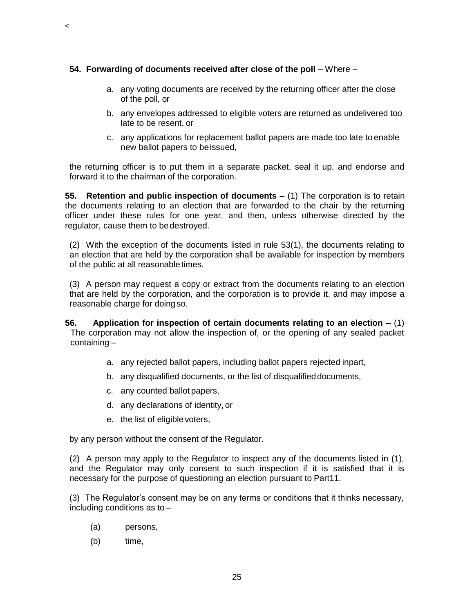# **54. Forwarding of documents received after close of the poll – Where –**

- a. any voting documents are received by the returning officer after the close of the poll, or
- b. any envelopes addressed to eligible voters are returned as undelivered too late to be resent, or
- c. any applications for replacement ballot papers are made too late to enable new ballot papers to beissued,

the returning officer is to put them in a separate packet, seal it up, and endorse and forward it to the chairman of the corporation.

**55. Retention and public inspection of documents –** (1) The corporation is to retain the documents relating to an election that are forwarded to the chair by the returning officer under these rules for one year, and then, unless otherwise directed by the regulator, cause them to bedestroyed.

(2) With the exception of the documents listed in rule 53(1), the documents relating to an election that are held by the corporation shall be available for inspection by members of the public at all reasonabletimes.

(3) A person may request a copy or extract from the documents relating to an election that are held by the corporation, and the corporation is to provide it, and may impose a reasonable charge for doingso.

- **56. Application for inspection of certain documents relating to an election**  (1) The corporation may not allow the inspection of, or the opening of any sealed packet containing –
	- a. any rejected ballot papers, including ballot papers rejected inpart,
	- b. any disqualified documents, or the list of disqualifieddocuments,
	- c. any counted ballot papers,
	- d. any declarations of identity, or
	- e. the list of eligiblevoters,

by any person without the consent of the Regulator.

(2) A person may apply to the Regulator to inspect any of the documents listed in (1), and the Regulator may only consent to such inspection if it is satisfied that it is necessary for the purpose of questioning an election pursuant to Part11.

(3) The Regulator's consent may be on any terms or conditions that it thinks necessary, including conditions as to –

- (a) persons,
- (b) time,

 $\,<$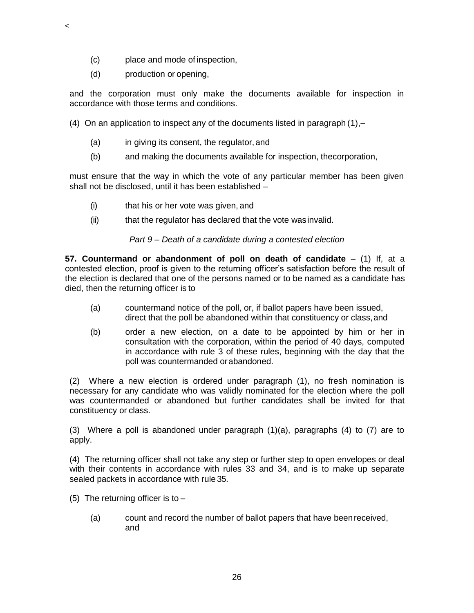- (c) place and mode of inspection,
- (d) production or opening,

 $\,<$ 

and the corporation must only make the documents available for inspection in accordance with those terms and conditions.

- (4) On an application to inspect any of the documents listed in paragraph (1),–
	- (a) in giving its consent, the regulator, and
	- (b) and making the documents available for inspection, thecorporation,

must ensure that the way in which the vote of any particular member has been given shall not be disclosed, until it has been established –

- (i) that his or her vote was given, and
- (ii) that the regulator has declared that the vote was invalid.

# *Part 9 – Death of a candidate during a contested election*

**57. Countermand or abandonment of poll on death of candidate** – (1) If, at a contested election, proof is given to the returning officer's satisfaction before the result of the election is declared that one of the persons named or to be named as a candidate has died, then the returning officer is to

- (a) countermand notice of the poll, or, if ballot papers have been issued, direct that the poll be abandoned within that constituency or class,and
- (b) order a new election, on a date to be appointed by him or her in consultation with the corporation, within the period of 40 days, computed in accordance with rule 3 of these rules, beginning with the day that the poll was countermanded orabandoned.

(2) Where a new election is ordered under paragraph (1), no fresh nomination is necessary for any candidate who was validly nominated for the election where the poll was countermanded or abandoned but further candidates shall be invited for that constituency or class.

(3) Where a poll is abandoned under paragraph (1)(a), paragraphs (4) to (7) are to apply.

(4) The returning officer shall not take any step or further step to open envelopes or deal with their contents in accordance with rules 33 and 34, and is to make up separate sealed packets in accordance with rule 35.

- (5) The returning officer is to  $-$ 
	- (a) count and record the number of ballot papers that have beenreceived, and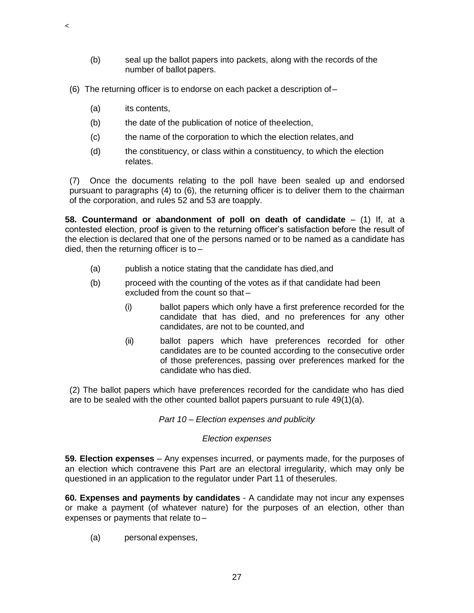- (b) seal up the ballot papers into packets, along with the records of the number of ballot papers.
- (6) The returning officer is to endorse on each packet a description of–
	- (a) its contents,

 $\,<$ 

- (b) the date of the publication of notice of theelection,
- (c) the name of the corporation to which the election relates,and
- (d) the constituency, or class within a constituency, to which the election relates.

(7) Once the documents relating to the poll have been sealed up and endorsed pursuant to paragraphs (4) to (6), the returning officer is to deliver them to the chairman of the corporation, and rules 52 and 53 are toapply.

**58. Countermand or abandonment of poll on death of candidate** – (1) If, at a contested election, proof is given to the returning officer's satisfaction before the result of the election is declared that one of the persons named or to be named as a candidate has died, then the returning officer is to –

- (a) publish a notice stating that the candidate has died,and
- (b) proceed with the counting of the votes as if that candidate had been excluded from the count so that –
	- (i) ballot papers which only have a first preference recorded for the candidate that has died, and no preferences for any other candidates, are not to be counted, and
	- (ii) ballot papers which have preferences recorded for other candidates are to be counted according to the consecutive order of those preferences, passing over preferences marked for the candidate who has died.

(2) The ballot papers which have preferences recorded for the candidate who has died are to be sealed with the other counted ballot papers pursuant to rule 49(1)(a).

*Part 10 – Election expenses and publicity* 

# *Election expenses*

**59. Election expenses** – Any expenses incurred, or payments made, for the purposes of an election which contravene this Part are an electoral irregularity, which may only be questioned in an application to the regulator under Part 11 of theserules.

**60. Expenses and payments by candidates** - A candidate may not incur any expenses or make a payment (of whatever nature) for the purposes of an election, other than expenses or payments that relate to –

(a) personal expenses,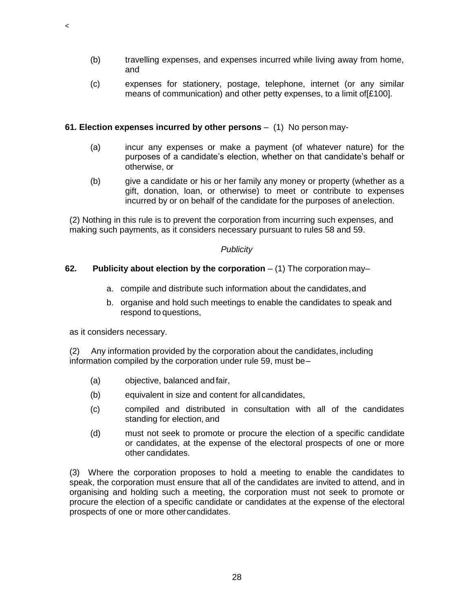- (b) travelling expenses, and expenses incurred while living away from home, and
- (c) expenses for stationery, postage, telephone, internet (or any similar means of communication) and other petty expenses, to a limit of[£100].

# **61. Election expenses incurred by other persons** – (1) No person may-

- (a) incur any expenses or make a payment (of whatever nature) for the purposes of a candidate's election, whether on that candidate's behalf or otherwise, or
- (b) give a candidate or his or her family any money or property (whether as a gift, donation, loan, or otherwise) to meet or contribute to expenses incurred by or on behalf of the candidate for the purposes of anelection.

(2) Nothing in this rule is to prevent the corporation from incurring such expenses, and making such payments, as it considers necessary pursuant to rules 58 and 59.

#### *Publicity*

#### **62. Publicity about election by the corporation** – (1) The corporation may–

- a. compile and distribute such information about the candidates,and
- b. organise and hold such meetings to enable the candidates to speak and respond to questions,

as it considers necessary.

 $\,<$ 

 $(2)$  Any information provided by the corporation about the candidates, including information compiled by the corporation under rule 59, must be–

- (a) objective, balanced andfair,
- (b) equivalent in size and content for allcandidates,
- (c) compiled and distributed in consultation with all of the candidates standing for election, and
- (d) must not seek to promote or procure the election of a specific candidate or candidates, at the expense of the electoral prospects of one or more other candidates.

(3) Where the corporation proposes to hold a meeting to enable the candidates to speak, the corporation must ensure that all of the candidates are invited to attend, and in organising and holding such a meeting, the corporation must not seek to promote or procure the election of a specific candidate or candidates at the expense of the electoral prospects of one or more othercandidates.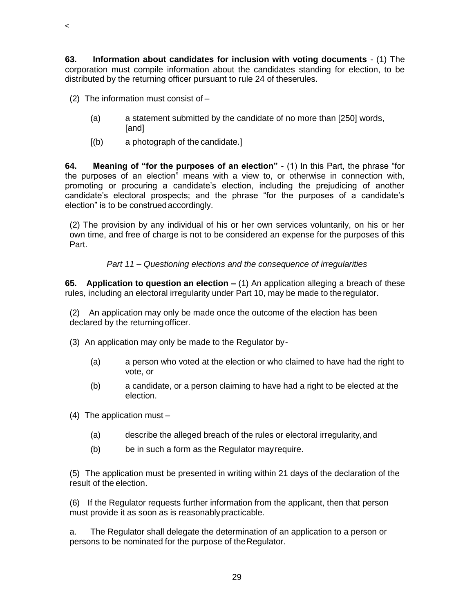**63. Information about candidates for inclusion with voting documents** - (1) The corporation must compile information about the candidates standing for election, to be distributed by the returning officer pursuant to rule 24 of theserules.

(2) The information must consist of –

- (a) a statement submitted by the candidate of no more than [250] words, [and]
- [(b) a photograph of the candidate.]

**64. Meaning of "for the purposes of an election" -** (1) In this Part, the phrase "for the purposes of an election" means with a view to, or otherwise in connection with, promoting or procuring a candidate's election, including the prejudicing of another candidate's electoral prospects; and the phrase "for the purposes of a candidate's election" is to be construedaccordingly.

(2) The provision by any individual of his or her own services voluntarily, on his or her own time, and free of charge is not to be considered an expense for the purposes of this Part.

#### *Part 11 – Questioning elections and the consequence of irregularities*

**65. Application to question an election –** (1) An application alleging a breach of these rules, including an electoral irregularity under Part 10, may be made to theregulator.

(2) An application may only be made once the outcome of the election has been declared by the returning officer.

- (3) An application may only be made to the Regulator by-
	- (a) a person who voted at the election or who claimed to have had the right to vote, or
	- (b) a candidate, or a person claiming to have had a right to be elected at the election.
- (4) The application must
	- (a) describe the alleged breach of the rules or electoral irregularity,and
	- (b) be in such a form as the Regulator mayrequire.

(5) The application must be presented in writing within 21 days of the declaration of the result of the election.

(6) If the Regulator requests further information from the applicant, then that person must provide it as soon as is reasonablypracticable.

a. The Regulator shall delegate the determination of an application to a person or persons to be nominated for the purpose of theRegulator.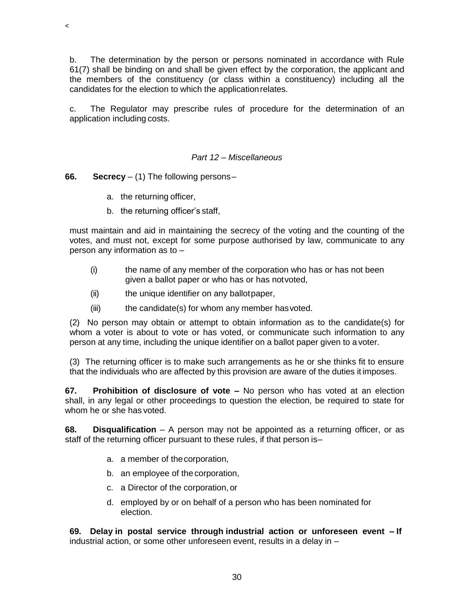b. The determination by the person or persons nominated in accordance with Rule 61(7) shall be binding on and shall be given effect by the corporation, the applicant and the members of the constituency (or class within a constituency) including all the candidates for the election to which the applicationrelates.

c. The Regulator may prescribe rules of procedure for the determination of an application including costs.

### *Part 12 – Miscellaneous*

#### **66. Secrecy** – (1) The following persons–

 $\,<$ 

- a. the returning officer,
- b. the returning officer's staff,

must maintain and aid in maintaining the secrecy of the voting and the counting of the votes, and must not, except for some purpose authorised by law, communicate to any person any information as to –

- (i) the name of any member of the corporation who has or has not been given a ballot paper or who has or has notvoted,
- (ii) the unique identifier on any ballotpaper,
- $(iii)$  the candidate(s) for whom any member has voted.

(2) No person may obtain or attempt to obtain information as to the candidate(s) for whom a voter is about to vote or has voted, or communicate such information to any person at any time, including the unique identifier on a ballot paper given to a voter.

(3) The returning officer is to make such arrangements as he or she thinks fit to ensure that the individuals who are affected by this provision are aware of the duties it imposes.

**67. Prohibition of disclosure of vote –** No person who has voted at an election shall, in any legal or other proceedings to question the election, be required to state for whom he or she has voted.

**68. Disqualification** – A person may not be appointed as a returning officer, or as staff of the returning officer pursuant to these rules, if that person is–

- a. a member of thecorporation,
- b. an employee of thecorporation,
- c. a Director of the corporation, or
- d. employed by or on behalf of a person who has been nominated for election.

**69. Delay in postal service through industrial action or unforeseen event – If** industrial action, or some other unforeseen event, results in a delay in –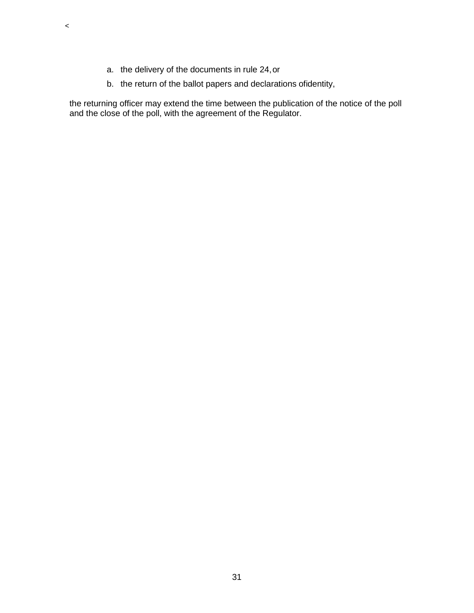a. the delivery of the documents in rule 24,or

 $\prec$ 

b. the return of the ballot papers and declarations ofidentity,

the returning officer may extend the time between the publication of the notice of the poll and the close of the poll, with the agreement of the Regulator.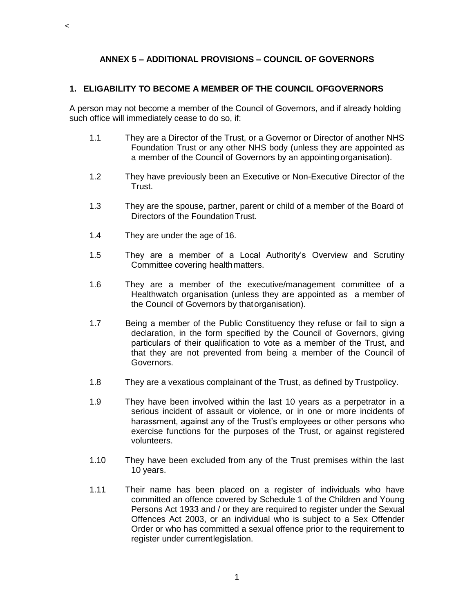# **ANNEX 5 – ADDITIONAL PROVISIONS – COUNCIL OF GOVERNORS**

### **1. ELIGABILITY TO BECOME A MEMBER OF THE COUNCIL OFGOVERNORS**

A person may not become a member of the Council of Governors, and if already holding such office will immediately cease to do so, if:

- 1.1 They are a Director of the Trust, or a Governor or Director of another NHS Foundation Trust or any other NHS body (unless they are appointed as a member of the Council of Governors by an appointingorganisation).
- 1.2 They have previously been an Executive or Non-Executive Director of the Trust.
- 1.3 They are the spouse, partner, parent or child of a member of the Board of Directors of the FoundationTrust.
- 1.4 They are under the age of 16.

 $\,<$ 

- 1.5 They are a member of a Local Authority's Overview and Scrutiny Committee covering healthmatters.
- 1.6 They are a member of the executive/management committee of a Healthwatch organisation (unless they are appointed as a member of the Council of Governors by thatorganisation).
- 1.7 Being a member of the Public Constituency they refuse or fail to sign a declaration, in the form specified by the Council of Governors, giving particulars of their qualification to vote as a member of the Trust, and that they are not prevented from being a member of the Council of Governors.
- 1.8 They are a vexatious complainant of the Trust, as defined by Trustpolicy.
- 1.9 They have been involved within the last 10 years as a perpetrator in a serious incident of assault or violence, or in one or more incidents of harassment, against any of the Trust's employees or other persons who exercise functions for the purposes of the Trust, or against registered volunteers.
- 1.10 They have been excluded from any of the Trust premises within the last 10 years.
- 1.11 Their name has been placed on a register of individuals who have committed an offence covered by Schedule 1 of the Children and Young Persons Act 1933 and / or they are required to register under the Sexual Offences Act 2003, or an individual who is subject to a Sex Offender Order or who has committed a sexual offence prior to the requirement to register under currentlegislation.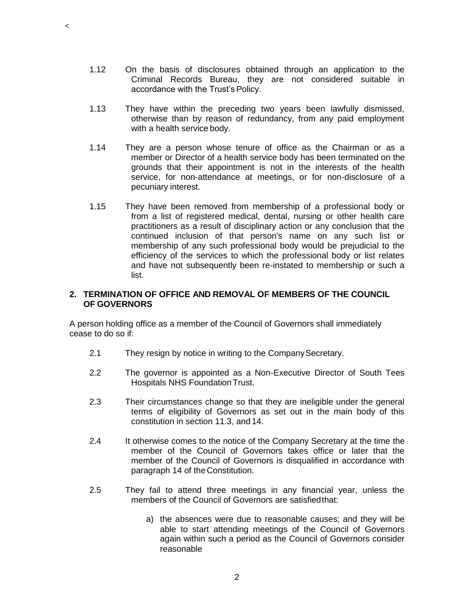1.12 On the basis of disclosures obtained through an application to the Criminal Records Bureau, they are not considered suitable in accordance with the Trust's Policy.

 $\,<$ 

- 1.13 They have within the preceding two years been lawfully dismissed, otherwise than by reason of redundancy, from any paid employment with a health service body.
- 1.14 They are a person whose tenure of office as the Chairman or as a member or Director of a health service body has been terminated on the grounds that their appointment is not in the interests of the health service, for non-attendance at meetings, or for non-disclosure of a pecuniary interest.
- 1.15 They have been removed from membership of a professional body or from a list of registered medical, dental, nursing or other health care practitioners as a result of disciplinary action or any conclusion that the continued inclusion of that person's name on any such list or membership of any such professional body would be prejudicial to the efficiency of the services to which the professional body or list relates and have not subsequently been re-instated to membership or such a list.

#### **2. TERMINATION OF OFFICE AND REMOVAL OF MEMBERS OF THE COUNCIL OF GOVERNORS**

A person holding office as a member of the Council of Governors shall immediately cease to do so if:

- 2.1 They resign by notice in writing to the Company Secretary.
- 2.2 The governor is appointed as a Non-Executive Director of South Tees Hospitals NHS FoundationTrust.
- 2.3 Their circumstances change so that they are ineligible under the general terms of eligibility of Governors as set out in the main body of this constitution in section 11.3, and 14.
- 2.4 It otherwise comes to the notice of the Company Secretary at the time the member of the Council of Governors takes office or later that the member of the Council of Governors is disqualified in accordance with paragraph 14 of the Constitution.
- 2.5 They fail to attend three meetings in any financial year, unless the members of the Council of Governors are satisfiedthat:
	- a) the absences were due to reasonable causes; and they will be able to start attending meetings of the Council of Governors again within such a period as the Council of Governors consider reasonable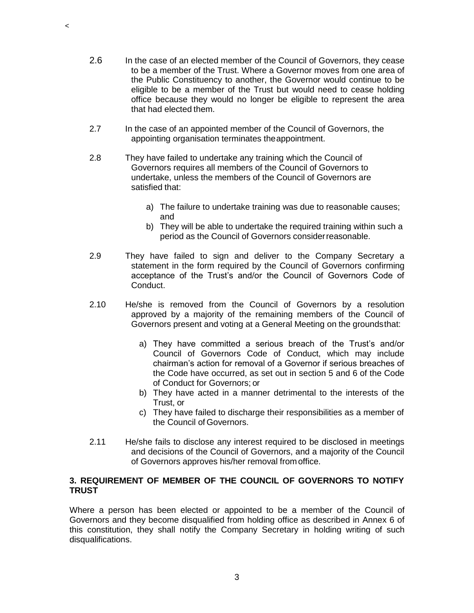- 2.6 In the case of an elected member of the Council of Governors, they cease to be a member of the Trust. Where a Governor moves from one area of the Public Constituency to another, the Governor would continue to be eligible to be a member of the Trust but would need to cease holding office because they would no longer be eligible to represent the area that had elected them.
- 2.7 In the case of an appointed member of the Council of Governors, the appointing organisation terminates theappointment.

 $\,<$ 

- 2.8 They have failed to undertake any training which the Council of Governors requires all members of the Council of Governors to undertake, unless the members of the Council of Governors are satisfied that:
	- a) The failure to undertake training was due to reasonable causes; and
	- b) They will be able to undertake the required training within such a period as the Council of Governors considerreasonable.
- 2.9 They have failed to sign and deliver to the Company Secretary a statement in the form required by the Council of Governors confirming acceptance of the Trust's and/or the Council of Governors Code of Conduct.
- 2.10 He/she is removed from the Council of Governors by a resolution approved by a majority of the remaining members of the Council of Governors present and voting at a General Meeting on the groundsthat:
	- a) They have committed a serious breach of the Trust's and/or Council of Governors Code of Conduct, which may include chairman's action for removal of a Governor if serious breaches of the Code have occurred, as set out in section 5 and 6 of the Code of Conduct for Governors; or
	- b) They have acted in a manner detrimental to the interests of the Trust, or
	- c) They have failed to discharge their responsibilities as a member of the Council of Governors.
- 2.11 He/she fails to disclose any interest required to be disclosed in meetings and decisions of the Council of Governors, and a majority of the Council of Governors approves his/her removal fromoffice.

# **3. REQUIREMENT OF MEMBER OF THE COUNCIL OF GOVERNORS TO NOTIFY TRUST**

Where a person has been elected or appointed to be a member of the Council of Governors and they become disqualified from holding office as described in Annex 6 of this constitution, they shall notify the Company Secretary in holding writing of such disqualifications.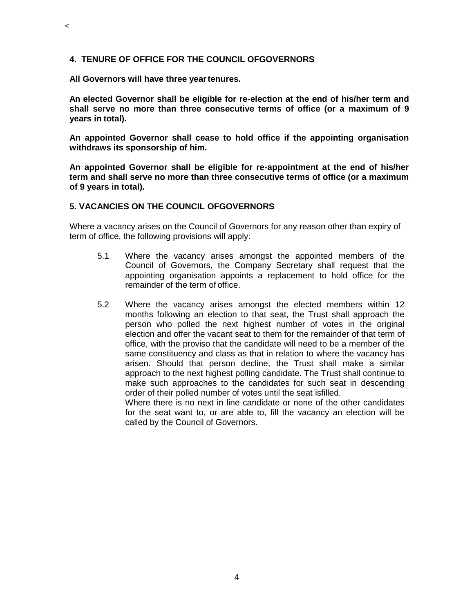### **4. TENURE OF OFFICE FOR THE COUNCIL OFGOVERNORS**

**All Governors will have three yeartenures.**

 $\,<$ 

**An elected Governor shall be eligible for re-election at the end of his/her term and shall serve no more than three consecutive terms of office (or a maximum of 9 years in total).**

**An appointed Governor shall cease to hold office if the appointing organisation withdraws its sponsorship of him.**

**An appointed Governor shall be eligible for re-appointment at the end of his/her term and shall serve no more than three consecutive terms of office (or a maximum of 9 years in total).**

#### **5. VACANCIES ON THE COUNCIL OFGOVERNORS**

Where a vacancy arises on the Council of Governors for any reason other than expiry of term of office, the following provisions will apply:

- 5.1 Where the vacancy arises amongst the appointed members of the Council of Governors, the Company Secretary shall request that the appointing organisation appoints a replacement to hold office for the remainder of the term of office.
- 5.2 Where the vacancy arises amongst the elected members within 12 months following an election to that seat, the Trust shall approach the person who polled the next highest number of votes in the original election and offer the vacant seat to them for the remainder of that term of office, with the proviso that the candidate will need to be a member of the same constituency and class as that in relation to where the vacancy has arisen. Should that person decline, the Trust shall make a similar approach to the next highest polling candidate. The Trust shall continue to make such approaches to the candidates for such seat in descending order of their polled number of votes until the seat isfilled.

Where there is no next in line candidate or none of the other candidates for the seat want to, or are able to, fill the vacancy an election will be called by the Council of Governors.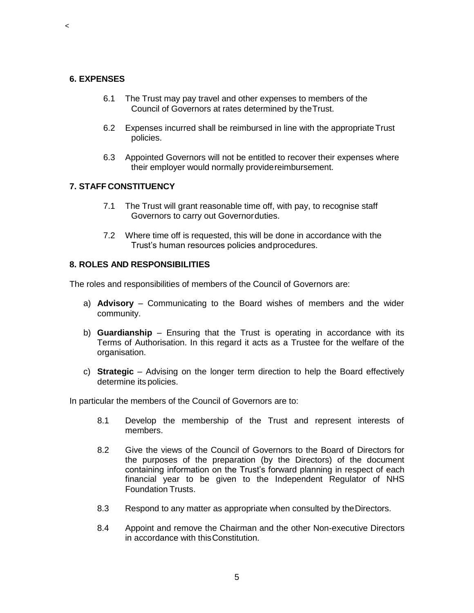#### **6. EXPENSES**

 $\,<$ 

- 6.1 The Trust may pay travel and other expenses to members of the Council of Governors at rates determined by theTrust.
- 6.2 Expenses incurred shall be reimbursed in line with the appropriate Trust policies.
- 6.3 Appointed Governors will not be entitled to recover their expenses where their employer would normally providereimbursement.

#### **7. STAFF CONSTITUENCY**

- 7.1 The Trust will grant reasonable time off, with pay, to recognise staff Governors to carry out Governorduties.
- 7.2 Where time off is requested, this will be done in accordance with the Trust's human resources policies andprocedures.

#### **8. ROLES AND RESPONSIBILITIES**

The roles and responsibilities of members of the Council of Governors are:

- a) **Advisory**  Communicating to the Board wishes of members and the wider community.
- b) **Guardianship**  Ensuring that the Trust is operating in accordance with its Terms of Authorisation. In this regard it acts as a Trustee for the welfare of the organisation.
- c) **Strategic**  Advising on the longer term direction to help the Board effectively determine its policies.

In particular the members of the Council of Governors are to:

- 8.1 Develop the membership of the Trust and represent interests of members.
- 8.2 Give the views of the Council of Governors to the Board of Directors for the purposes of the preparation (by the Directors) of the document containing information on the Trust's forward planning in respect of each financial year to be given to the Independent Regulator of NHS Foundation Trusts.
- 8.3 Respond to any matter as appropriate when consulted by theDirectors.
- 8.4 Appoint and remove the Chairman and the other Non-executive Directors in accordance with thisConstitution.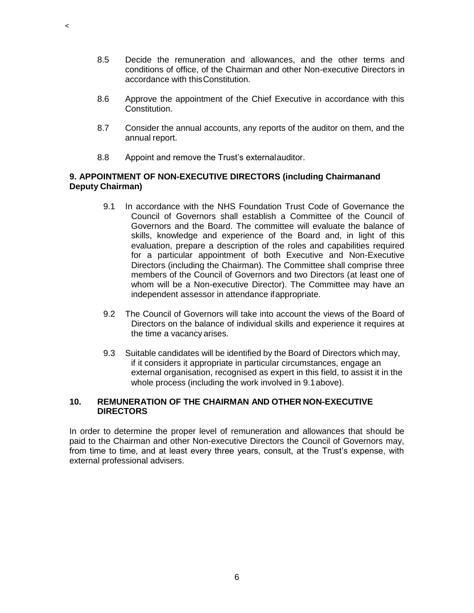- 8.5 Decide the remuneration and allowances, and the other terms and conditions of office, of the Chairman and other Non-executive Directors in accordance with thisConstitution.
- 8.6 Approve the appointment of the Chief Executive in accordance with this Constitution.
- 8.7 Consider the annual accounts, any reports of the auditor on them, and the annual report.
- 8.8 Appoint and remove the Trust's externalauditor.

 $\,<$ 

### **9. APPOINTMENT OF NON-EXECUTIVE DIRECTORS (including Chairmanand Deputy Chairman)**

- 9.1 In accordance with the NHS Foundation Trust Code of Governance the Council of Governors shall establish a Committee of the Council of Governors and the Board. The committee will evaluate the balance of skills, knowledge and experience of the Board and, in light of this evaluation, prepare a description of the roles and capabilities required for a particular appointment of both Executive and Non-Executive Directors (including the Chairman). The Committee shall comprise three members of the Council of Governors and two Directors (at least one of whom will be a Non-executive Director). The Committee may have an independent assessor in attendance ifappropriate.
- 9.2 The Council of Governors will take into account the views of the Board of Directors on the balance of individual skills and experience it requires at the time a vacancy arises.
- 9.3 Suitable candidates will be identified by the Board of Directors which may, if it considers it appropriate in particular circumstances, engage an external organisation, recognised as expert in this field, to assist it in the whole process (including the work involved in 9.1above).

# **10. REMUNERATION OF THE CHAIRMAN AND OTHER NON-EXECUTIVE DIRECTORS**

In order to determine the proper level of remuneration and allowances that should be paid to the Chairman and other Non-executive Directors the Council of Governors may, from time to time, and at least every three years, consult, at the Trust's expense, with external professional advisers.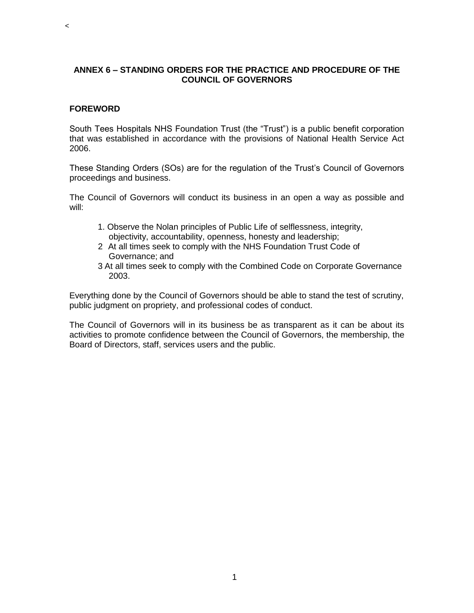# **ANNEX 6 – STANDING ORDERS FOR THE PRACTICE AND PROCEDURE OF THE COUNCIL OF GOVERNORS**

### **FOREWORD**

 $\,<$ 

South Tees Hospitals NHS Foundation Trust (the "Trust") is a public benefit corporation that was established in accordance with the provisions of National Health Service Act 2006.

These Standing Orders (SOs) are for the regulation of the Trust's Council of Governors proceedings and business.

The Council of Governors will conduct its business in an open a way as possible and will:

- 1. Observe the Nolan principles of Public Life of selflessness, integrity, objectivity, accountability, openness, honesty and leadership;
- 2 At all times seek to comply with the NHS Foundation Trust Code of Governance; and
- 3 At all times seek to comply with the Combined Code on Corporate Governance 2003.

Everything done by the Council of Governors should be able to stand the test of scrutiny, public judgment on propriety, and professional codes of conduct.

The Council of Governors will in its business be as transparent as it can be about its activities to promote confidence between the Council of Governors, the membership, the Board of Directors, staff, services users and the public.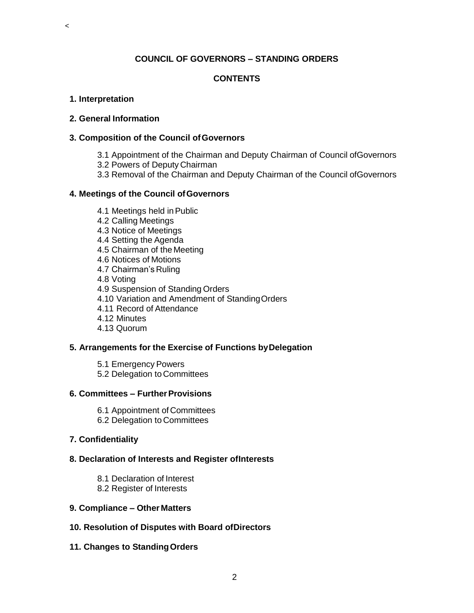# **COUNCIL OF GOVERNORS – STANDING ORDERS**

# **CONTENTS**

#### **1. Interpretation**

 $\,<$ 

#### **2. General Information**

#### **3. Composition of the Council ofGovernors**

- 3.1 Appointment of the Chairman and Deputy Chairman of Council ofGovernors
- 3.2 Powers of Deputy Chairman
- 3.3 Removal of the Chairman and Deputy Chairman of the Council ofGovernors

# **4. Meetings of the Council ofGovernors**

4.1 Meetings held inPublic 4.2 Calling Meetings 4.3 Notice of Meetings 4.4 Setting the Agenda 4.5 Chairman of the Meeting 4.6 Notices of Motions 4.7 Chairman's Ruling 4.8 Voting 4.9 Suspension of Standing Orders 4.10 Variation and Amendment of StandingOrders 4.11 Record of Attendance 4.12 Minutes 4.13 Quorum

# **5. Arrangements for the Exercise of Functions byDelegation**

5.1 Emergency Powers 5.2 Delegation to Committees

#### **6. Committees – FurtherProvisions**

- 6.1 Appointment of Committees
- 6.2 Delegation to Committees

# **7. Confidentiality**

# **8. Declaration of Interests and Register ofInterests**

8.1 Declaration of Interest 8.2 Register of Interests

# **9. Compliance – Other Matters**

- **10. Resolution of Disputes with Board ofDirectors**
- **11. Changes to StandingOrders**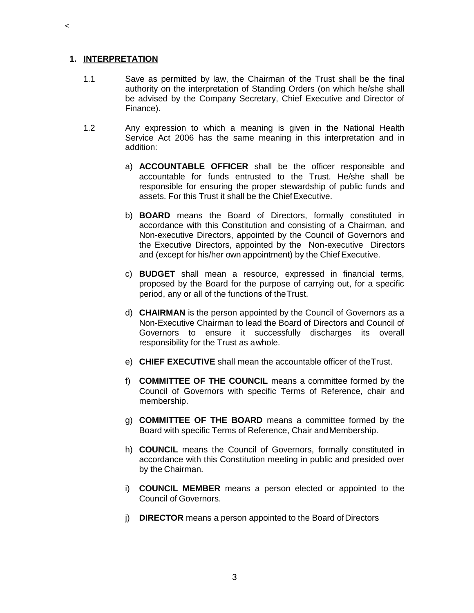#### **1. INTERPRETATION**

- 1.1 Save as permitted by law, the Chairman of the Trust shall be the final authority on the interpretation of Standing Orders (on which he/she shall be advised by the Company Secretary, Chief Executive and Director of Finance).
- 1.2 Any expression to which a meaning is given in the National Health Service Act 2006 has the same meaning in this interpretation and in addition:
	- a) **ACCOUNTABLE OFFICER** shall be the officer responsible and accountable for funds entrusted to the Trust. He/she shall be responsible for ensuring the proper stewardship of public funds and assets. For this Trust it shall be the ChiefExecutive.
	- b) **BOARD** means the Board of Directors, formally constituted in accordance with this Constitution and consisting of a Chairman, and Non-executive Directors, appointed by the Council of Governors and the Executive Directors, appointed by the Non-executive Directors and (except for his/her own appointment) by the Chief Executive.
	- c) **BUDGET** shall mean a resource, expressed in financial terms, proposed by the Board for the purpose of carrying out, for a specific period, any or all of the functions of theTrust.
	- d) **CHAIRMAN** is the person appointed by the Council of Governors as a Non-Executive Chairman to lead the Board of Directors and Council of Governors to ensure it successfully discharges its overall responsibility for the Trust as awhole.
	- e) **CHIEF EXECUTIVE** shall mean the accountable officer of theTrust.
	- f) **COMMITTEE OF THE COUNCIL** means a committee formed by the Council of Governors with specific Terms of Reference, chair and membership.
	- g) **COMMITTEE OF THE BOARD** means a committee formed by the Board with specific Terms of Reference, Chair andMembership.
	- h) **COUNCIL** means the Council of Governors, formally constituted in accordance with this Constitution meeting in public and presided over by the Chairman.
	- i) **COUNCIL MEMBER** means a person elected or appointed to the Council of Governors.
	- j) **DIRECTOR** means a person appointed to the Board of Directors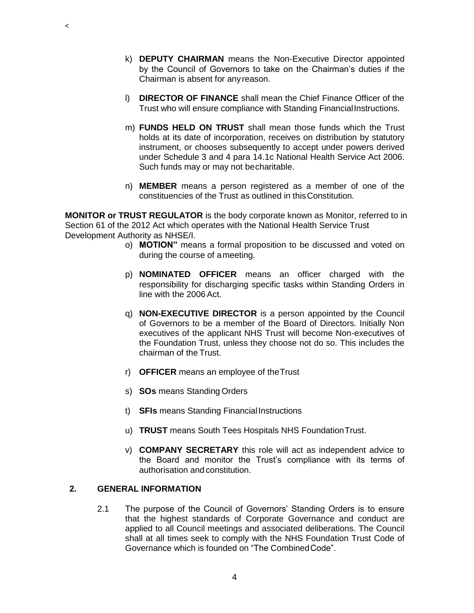- k) **DEPUTY CHAIRMAN** means the Non-Executive Director appointed by the Council of Governors to take on the Chairman's duties if the Chairman is absent for any reason.
- l) **DIRECTOR OF FINANCE** shall mean the Chief Finance Officer of the Trust who will ensure compliance with Standing FinancialInstructions.
- m) **FUNDS HELD ON TRUST** shall mean those funds which the Trust holds at its date of incorporation, receives on distribution by statutory instrument, or chooses subsequently to accept under powers derived under Schedule 3 and 4 para 14.1c National Health Service Act 2006. Such funds may or may not becharitable.
- n) **MEMBER** means a person registered as a member of one of the constituencies of the Trust as outlined in thisConstitution.

**MONITOR or TRUST REGULATOR** is the body corporate known as Monitor, referred to in Section 61 of the 2012 Act which operates with the National Health Service Trust Development Authority as NHSE/I.

- o) **MOTION"** means a formal proposition to be discussed and voted on during the course of ameeting.
- p) **NOMINATED OFFICER** means an officer charged with the responsibility for discharging specific tasks within Standing Orders in line with the 2006Act.
- q) **NON-EXECUTIVE DIRECTOR** is a person appointed by the Council of Governors to be a member of the Board of Directors. Initially Non executives of the applicant NHS Trust will become Non-executives of the Foundation Trust, unless they choose not do so. This includes the chairman of the Trust.
- r) **OFFICER** means an employee of theTrust
- s) **SOs** means Standing Orders
- t) **SFIs** means Standing FinancialInstructions
- u) **TRUST** means South Tees Hospitals NHS FoundationTrust.
- v) **COMPANY SECRETARY** this role will act as independent advice to the Board and monitor the Trust's compliance with its terms of authorisation and constitution.

#### **2. GENERAL INFORMATION**

2.1 The purpose of the Council of Governors' Standing Orders is to ensure that the highest standards of Corporate Governance and conduct are applied to all Council meetings and associated deliberations. The Council shall at all times seek to comply with the NHS Foundation Trust Code of Governance which is founded on "The CombinedCode".

4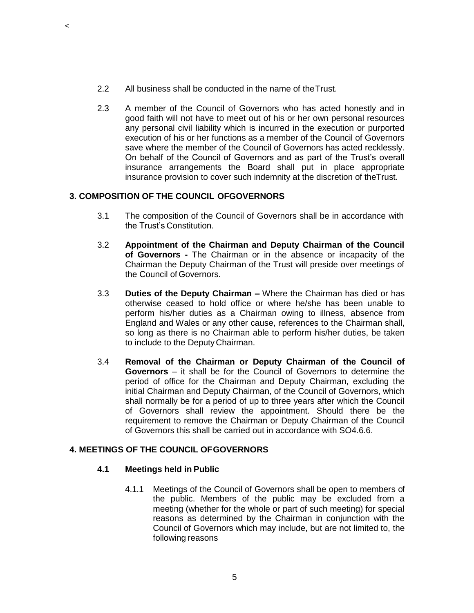- 2.2 All business shall be conducted in the name of theTrust.
- 2.3 A member of the Council of Governors who has acted honestly and in good faith will not have to meet out of his or her own personal resources any personal civil liability which is incurred in the execution or purported execution of his or her functions as a member of the Council of Governors save where the member of the Council of Governors has acted recklessly. On behalf of the Council of Governors and as part of the Trust's overall insurance arrangements the Board shall put in place appropriate insurance provision to cover such indemnity at the discretion of theTrust.

# **3. COMPOSITION OF THE COUNCIL OFGOVERNORS**

- 3.1 The composition of the Council of Governors shall be in accordance with the Trust's Constitution.
- 3.2 **Appointment of the Chairman and Deputy Chairman of the Council of Governors -** The Chairman or in the absence or incapacity of the Chairman the Deputy Chairman of the Trust will preside over meetings of the Council of Governors.
- 3.3 **Duties of the Deputy Chairman –** Where the Chairman has died or has otherwise ceased to hold office or where he/she has been unable to perform his/her duties as a Chairman owing to illness, absence from England and Wales or any other cause, references to the Chairman shall, so long as there is no Chairman able to perform his/her duties, be taken to include to the DeputyChairman.
- 3.4 **Removal of the Chairman or Deputy Chairman of the Council of Governors** – it shall be for the Council of Governors to determine the period of office for the Chairman and Deputy Chairman, excluding the initial Chairman and Deputy Chairman, of the Council of Governors, which shall normally be for a period of up to three years after which the Council of Governors shall review the appointment. Should there be the requirement to remove the Chairman or Deputy Chairman of the Council of Governors this shall be carried out in accordance with SO4.6.6.

# **4. MEETINGS OF THE COUNCIL OFGOVERNORS**

# **4.1 Meetings held in Public**

4.1.1 Meetings of the Council of Governors shall be open to members of the public. Members of the public may be excluded from a meeting (whether for the whole or part of such meeting) for special reasons as determined by the Chairman in conjunction with the Council of Governors which may include, but are not limited to, the following reasons

 $\,<$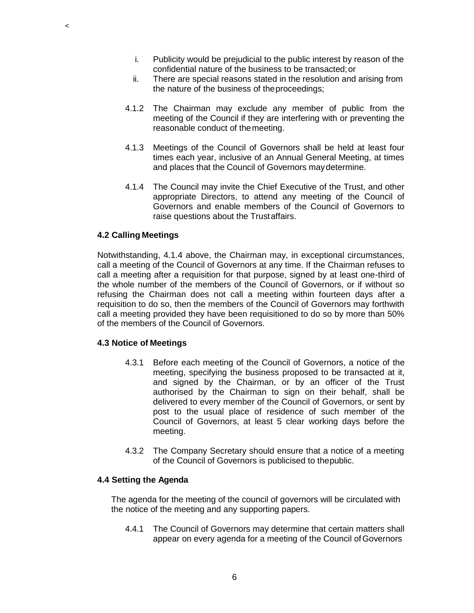- i. Publicity would be prejudicial to the public interest by reason of the confidential nature of the business to be transacted;or
- ii. There are special reasons stated in the resolution and arising from the nature of the business of theproceedings;
- 4.1.2 The Chairman may exclude any member of public from the meeting of the Council if they are interfering with or preventing the reasonable conduct of themeeting.
- 4.1.3 Meetings of the Council of Governors shall be held at least four times each year, inclusive of an Annual General Meeting, at times and places that the Council of Governors maydetermine.
- 4.1.4 The Council may invite the Chief Executive of the Trust, and other appropriate Directors, to attend any meeting of the Council of Governors and enable members of the Council of Governors to raise questions about the Trustaffairs.

#### **4.2 Calling Meetings**

 $\prec$ 

Notwithstanding, 4.1.4 above, the Chairman may, in exceptional circumstances, call a meeting of the Council of Governors at any time. If the Chairman refuses to call a meeting after a requisition for that purpose, signed by at least one-third of the whole number of the members of the Council of Governors, or if without so refusing the Chairman does not call a meeting within fourteen days after a requisition to do so, then the members of the Council of Governors may forthwith call a meeting provided they have been requisitioned to do so by more than 50% of the members of the Council of Governors.

#### **4.3 Notice of Meetings**

- 4.3.1 Before each meeting of the Council of Governors, a notice of the meeting, specifying the business proposed to be transacted at it, and signed by the Chairman, or by an officer of the Trust authorised by the Chairman to sign on their behalf, shall be delivered to every member of the Council of Governors, or sent by post to the usual place of residence of such member of the Council of Governors, at least 5 clear working days before the meeting.
- 4.3.2 The Company Secretary should ensure that a notice of a meeting of the Council of Governors is publicised to thepublic.

#### **4.4 Setting the Agenda**

The agenda for the meeting of the council of governors will be circulated with the notice of the meeting and any supporting papers.

4.4.1 The Council of Governors may determine that certain matters shall appear on every agenda for a meeting of the Council of Governors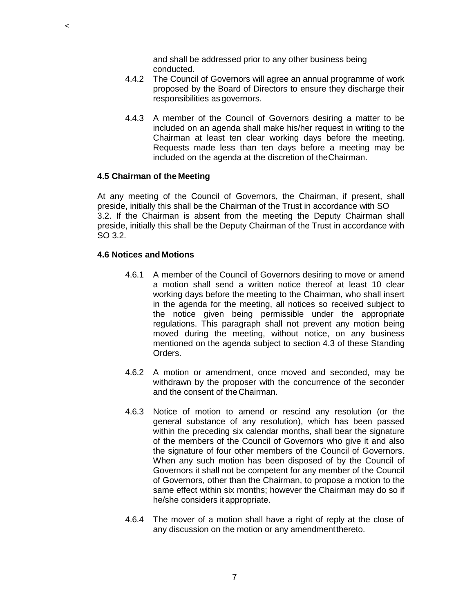and shall be addressed prior to any other business being conducted.

- 4.4.2 The Council of Governors will agree an annual programme of work proposed by the Board of Directors to ensure they discharge their responsibilities as governors.
- 4.4.3 A member of the Council of Governors desiring a matter to be included on an agenda shall make his/her request in writing to the Chairman at least ten clear working days before the meeting. Requests made less than ten days before a meeting may be included on the agenda at the discretion of theChairman.

#### **4.5 Chairman of the Meeting**

 $\prec$ 

At any meeting of the Council of Governors, the Chairman, if present, shall preside, initially this shall be the Chairman of the Trust in accordance with SO 3.2. If the Chairman is absent from the meeting the Deputy Chairman shall preside, initially this shall be the Deputy Chairman of the Trust in accordance with SO 3.2.

#### **4.6 Notices and Motions**

- 4.6.1 A member of the Council of Governors desiring to move or amend a motion shall send a written notice thereof at least 10 clear working days before the meeting to the Chairman, who shall insert in the agenda for the meeting, all notices so received subject to the notice given being permissible under the appropriate regulations. This paragraph shall not prevent any motion being moved during the meeting, without notice, on any business mentioned on the agenda subject to section 4.3 of these Standing Orders.
- 4.6.2 A motion or amendment, once moved and seconded, may be withdrawn by the proposer with the concurrence of the seconder and the consent of theChairman.
- 4.6.3 Notice of motion to amend or rescind any resolution (or the general substance of any resolution), which has been passed within the preceding six calendar months, shall bear the signature of the members of the Council of Governors who give it and also the signature of four other members of the Council of Governors. When any such motion has been disposed of by the Council of Governors it shall not be competent for any member of the Council of Governors, other than the Chairman, to propose a motion to the same effect within six months; however the Chairman may do so if he/she considers it appropriate.
- 4.6.4 The mover of a motion shall have a right of reply at the close of any discussion on the motion or any amendmentthereto.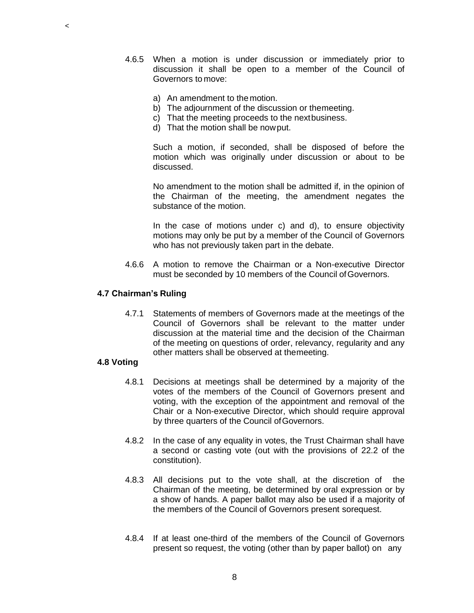- 4.6.5 When a motion is under discussion or immediately prior to discussion it shall be open to a member of the Council of Governors to move:
	- a) An amendment to themotion.
	- b) The adjournment of the discussion or themeeting.
	- c) That the meeting proceeds to the nextbusiness.
	- d) That the motion shall be nowput.

Such a motion, if seconded, shall be disposed of before the motion which was originally under discussion or about to be discussed.

No amendment to the motion shall be admitted if, in the opinion of the Chairman of the meeting, the amendment negates the substance of the motion.

In the case of motions under c) and d), to ensure objectivity motions may only be put by a member of the Council of Governors who has not previously taken part in the debate.

4.6.6 A motion to remove the Chairman or a Non-executive Director must be seconded by 10 members of the Council of Governors.

#### **4.7 Chairman's Ruling**

4.7.1 Statements of members of Governors made at the meetings of the Council of Governors shall be relevant to the matter under discussion at the material time and the decision of the Chairman of the meeting on questions of order, relevancy, regularity and any other matters shall be observed at themeeting.

### **4.8 Voting**

 $\,<$ 

- 4.8.1 Decisions at meetings shall be determined by a majority of the votes of the members of the Council of Governors present and voting, with the exception of the appointment and removal of the Chair or a Non-executive Director, which should require approval by three quarters of the Council ofGovernors.
- 4.8.2 In the case of any equality in votes, the Trust Chairman shall have a second or casting vote (out with the provisions of 22.2 of the constitution).
- 4.8.3 All decisions put to the vote shall, at the discretion of the Chairman of the meeting, be determined by oral expression or by a show of hands. A paper ballot may also be used if a majority of the members of the Council of Governors present sorequest.
- 4.8.4 If at least one-third of the members of the Council of Governors present so request, the voting (other than by paper ballot) on any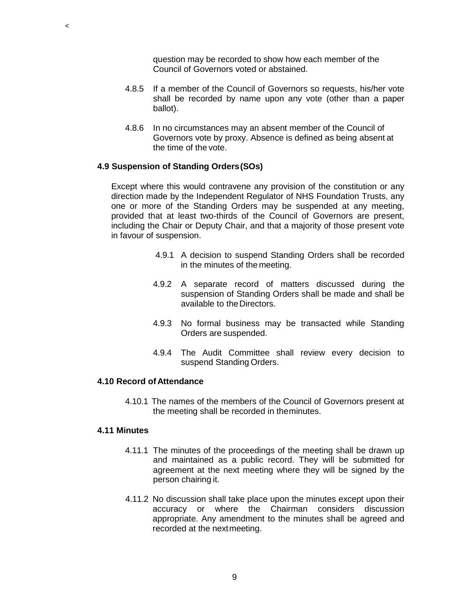question may be recorded to show how each member of the Council of Governors voted or abstained.

- 4.8.5 If a member of the Council of Governors so requests, his/her vote shall be recorded by name upon any vote (other than a paper ballot).
- 4.8.6 In no circumstances may an absent member of the Council of Governors vote by proxy. Absence is defined as being absent at the time of the vote.

#### **4.9 Suspension of Standing Orders(SOs)**

Except where this would contravene any provision of the constitution or any direction made by the Independent Regulator of NHS Foundation Trusts, any one or more of the Standing Orders may be suspended at any meeting, provided that at least two-thirds of the Council of Governors are present, including the Chair or Deputy Chair, and that a majority of those present vote in favour of suspension.

- 4.9.1 A decision to suspend Standing Orders shall be recorded in the minutes of the meeting.
- 4.9.2 A separate record of matters discussed during the suspension of Standing Orders shall be made and shall be available to the Directors.
- 4.9.3 No formal business may be transacted while Standing Orders are suspended.
- 4.9.4 The Audit Committee shall review every decision to suspend Standing Orders.

### **4.10 Record of Attendance**

4.10.1 The names of the members of the Council of Governors present at the meeting shall be recorded in theminutes.

#### **4.11 Minutes**

 $\,<$ 

- 4.11.1 The minutes of the proceedings of the meeting shall be drawn up and maintained as a public record. They will be submitted for agreement at the next meeting where they will be signed by the person chairing it.
- 4.11.2 No discussion shall take place upon the minutes except upon their accuracy or where the Chairman considers discussion appropriate. Any amendment to the minutes shall be agreed and recorded at the nextmeeting.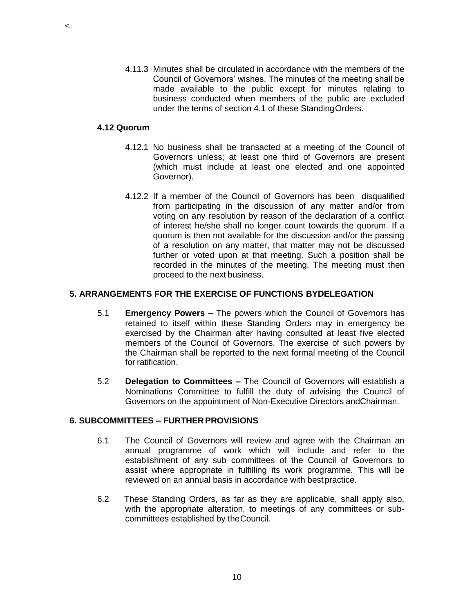4.11.3 Minutes shall be circulated in accordance with the members of the Council of Governors' wishes. The minutes of the meeting shall be made available to the public except for minutes relating to business conducted when members of the public are excluded under the terms of section 4.1 of these StandingOrders.

# **4.12 Quorum**

 $\,<$ 

- 4.12.1 No business shall be transacted at a meeting of the Council of Governors unless; at least one third of Governors are present (which must include at least one elected and one appointed Governor).
- 4.12.2 If a member of the Council of Governors has been disqualified from participating in the discussion of any matter and/or from voting on any resolution by reason of the declaration of a conflict of interest he/she shall no longer count towards the quorum. If a quorum is then not available for the discussion and/or the passing of a resolution on any matter, that matter may not be discussed further or voted upon at that meeting. Such a position shall be recorded in the minutes of the meeting. The meeting must then proceed to the next business.

### **5. ARRANGEMENTS FOR THE EXERCISE OF FUNCTIONS BYDELEGATION**

- 5.1 **Emergency Powers –** The powers which the Council of Governors has retained to itself within these Standing Orders may in emergency be exercised by the Chairman after having consulted at least five elected members of the Council of Governors. The exercise of such powers by the Chairman shall be reported to the next formal meeting of the Council for ratification.
- 5.2 **Delegation to Committees –** The Council of Governors will establish a Nominations Committee to fulfill the duty of advising the Council of Governors on the appointment of Non-Executive Directors andChairman.

#### **6. SUBCOMMITTEES – FURTHER PROVISIONS**

- 6.1 The Council of Governors will review and agree with the Chairman an annual programme of work which will include and refer to the establishment of any sub committees of the Council of Governors to assist where appropriate in fulfilling its work programme. This will be reviewed on an annual basis in accordance with bestpractice.
- 6.2 These Standing Orders, as far as they are applicable, shall apply also, with the appropriate alteration, to meetings of any committees or subcommittees established by theCouncil.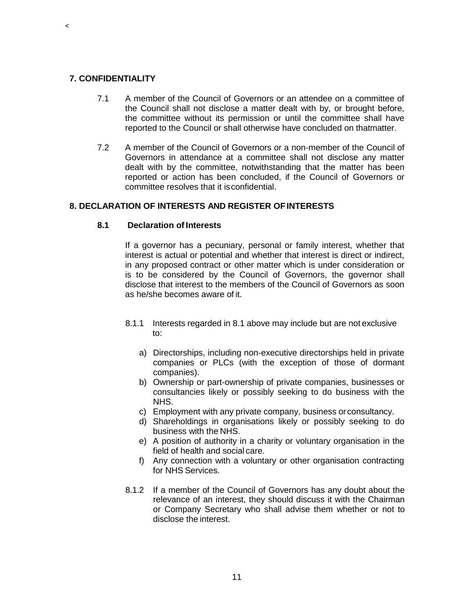### **7. CONFIDENTIALITY**

 $\,<$ 

- 7.1 A member of the Council of Governors or an attendee on a committee of the Council shall not disclose a matter dealt with by, or brought before, the committee without its permission or until the committee shall have reported to the Council or shall otherwise have concluded on thatmatter.
- 7.2 A member of the Council of Governors or a non-member of the Council of Governors in attendance at a committee shall not disclose any matter dealt with by the committee, notwithstanding that the matter has been reported or action has been concluded, if the Council of Governors or committee resolves that it isconfidential.

### **8. DECLARATION OF INTERESTS AND REGISTER OFINTERESTS**

#### **8.1 Declaration of Interests**

If a governor has a pecuniary, personal or family interest, whether that interest is actual or potential and whether that interest is direct or indirect, in any proposed contract or other matter which is under consideration or is to be considered by the Council of Governors, the governor shall disclose that interest to the members of the Council of Governors as soon as he/she becomes aware of it.

- 8.1.1 Interests regarded in 8.1 above may include but are not exclusive to:
	- a) Directorships, including non-executive directorships held in private companies or PLCs (with the exception of those of dormant companies).
	- b) Ownership or part-ownership of private companies, businesses or consultancies likely or possibly seeking to do business with the NHS.
	- c) Employment with any private company, business orconsultancy.
	- d) Shareholdings in organisations likely or possibly seeking to do business with the NHS.
	- e) A position of authority in a charity or voluntary organisation in the field of health and social care.
	- f) Any connection with a voluntary or other organisation contracting for NHS Services.
- 8.1.2 If a member of the Council of Governors has any doubt about the relevance of an interest, they should discuss it with the Chairman or Company Secretary who shall advise them whether or not to disclose the interest.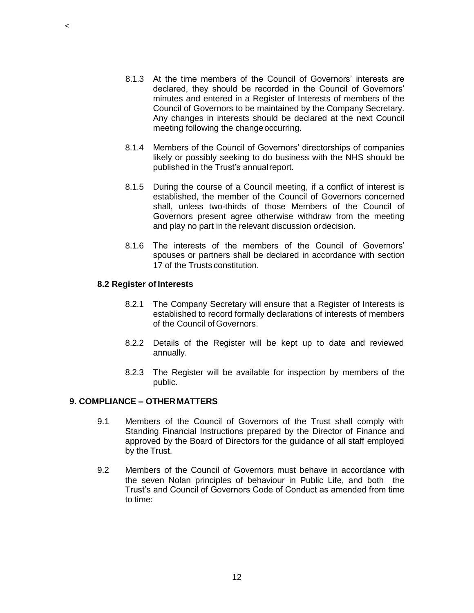- 8.1.3 At the time members of the Council of Governors' interests are declared, they should be recorded in the Council of Governors' minutes and entered in a Register of Interests of members of the Council of Governors to be maintained by the Company Secretary. Any changes in interests should be declared at the next Council meeting following the change occurring.
- 8.1.4 Members of the Council of Governors' directorships of companies likely or possibly seeking to do business with the NHS should be published in the Trust's annualreport.
- 8.1.5 During the course of a Council meeting, if a conflict of interest is established, the member of the Council of Governors concerned shall, unless two-thirds of those Members of the Council of Governors present agree otherwise withdraw from the meeting and play no part in the relevant discussion ordecision.
- 8.1.6 The interests of the members of the Council of Governors' spouses or partners shall be declared in accordance with section 17 of the Trusts constitution.

#### **8.2 Register of Interests**

- 8.2.1 The Company Secretary will ensure that a Register of Interests is established to record formally declarations of interests of members of the Council of Governors.
- 8.2.2 Details of the Register will be kept up to date and reviewed annually.
- 8.2.3 The Register will be available for inspection by members of the public.

### **9. COMPLIANCE – OTHERMATTERS**

- 9.1 Members of the Council of Governors of the Trust shall comply with Standing Financial Instructions prepared by the Director of Finance and approved by the Board of Directors for the guidance of all staff employed by the Trust.
- 9.2 Members of the Council of Governors must behave in accordance with the seven Nolan principles of behaviour in Public Life, and both the Trust's and Council of Governors Code of Conduct as amended from time to time:

 $\,<$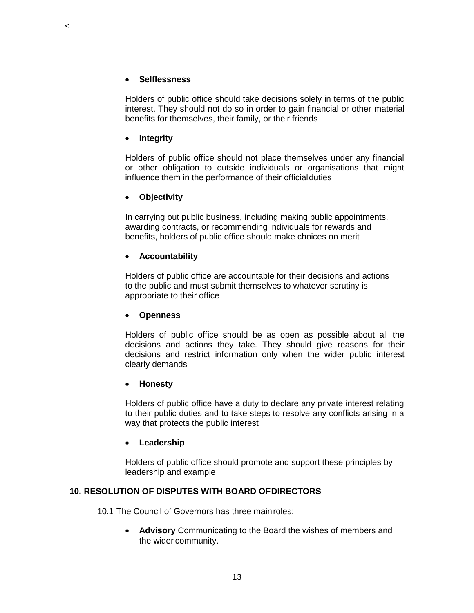#### **Selflessness**

 $\,<$ 

Holders of public office should take decisions solely in terms of the public interest. They should not do so in order to gain financial or other material benefits for themselves, their family, or their friends

### **Integrity**

Holders of public office should not place themselves under any financial or other obligation to outside individuals or organisations that might influence them in the performance of their officialduties

### **Objectivity**

In carrying out public business, including making public appointments, awarding contracts, or recommending individuals for rewards and benefits, holders of public office should make choices on merit

### **Accountability**

Holders of public office are accountable for their decisions and actions to the public and must submit themselves to whatever scrutiny is appropriate to their office

#### **Openness**

Holders of public office should be as open as possible about all the decisions and actions they take. They should give reasons for their decisions and restrict information only when the wider public interest clearly demands

#### **Honesty**

Holders of public office have a duty to declare any private interest relating to their public duties and to take steps to resolve any conflicts arising in a way that protects the public interest

#### **Leadership**

Holders of public office should promote and support these principles by leadership and example

### **10. RESOLUTION OF DISPUTES WITH BOARD OFDIRECTORS**

10.1 The Council of Governors has three mainroles:

 **Advisory** Communicating to the Board the wishes of members and the wider community.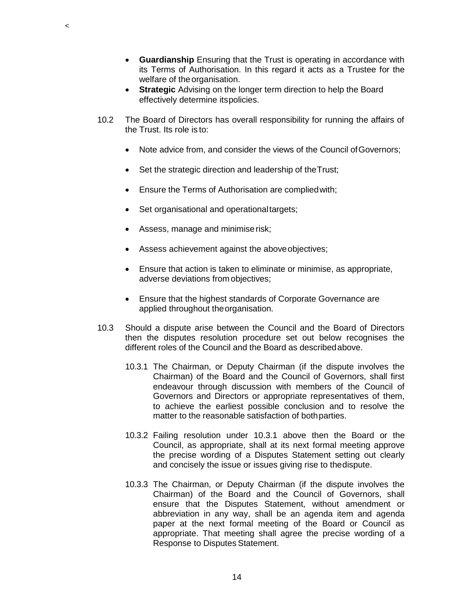- **Guardianship** Ensuring that the Trust is operating in accordance with its Terms of Authorisation. In this regard it acts as a Trustee for the welfare of the organisation.
- **Strategic** Advising on the longer term direction to help the Board effectively determine itspolicies.
- 10.2 The Board of Directors has overall responsibility for running the affairs of the Trust. Its role is to:
	- Note advice from, and consider the views of the Council of Governors;
	- Set the strategic direction and leadership of the Trust;
	- Ensure the Terms of Authorisation are compliedwith;
	- Set organisational and operationaltargets;
	- Assess, manage and minimiserisk;

 $\prec$ 

- Assess achievement against the aboveobjectives;
- Ensure that action is taken to eliminate or minimise, as appropriate, adverse deviations from objectives;
- Ensure that the highest standards of Corporate Governance are applied throughout theorganisation.
- 10.3 Should a dispute arise between the Council and the Board of Directors then the disputes resolution procedure set out below recognises the different roles of the Council and the Board as describedabove.
	- 10.3.1 The Chairman, or Deputy Chairman (if the dispute involves the Chairman) of the Board and the Council of Governors, shall first endeavour through discussion with members of the Council of Governors and Directors or appropriate representatives of them, to achieve the earliest possible conclusion and to resolve the matter to the reasonable satisfaction of bothparties.
	- 10.3.2 Failing resolution under 10.3.1 above then the Board or the Council, as appropriate, shall at its next formal meeting approve the precise wording of a Disputes Statement setting out clearly and concisely the issue or issues giving rise to thedispute.
	- 10.3.3 The Chairman, or Deputy Chairman (if the dispute involves the Chairman) of the Board and the Council of Governors, shall ensure that the Disputes Statement, without amendment or abbreviation in any way, shall be an agenda item and agenda paper at the next formal meeting of the Board or Council as appropriate. That meeting shall agree the precise wording of a Response to Disputes Statement.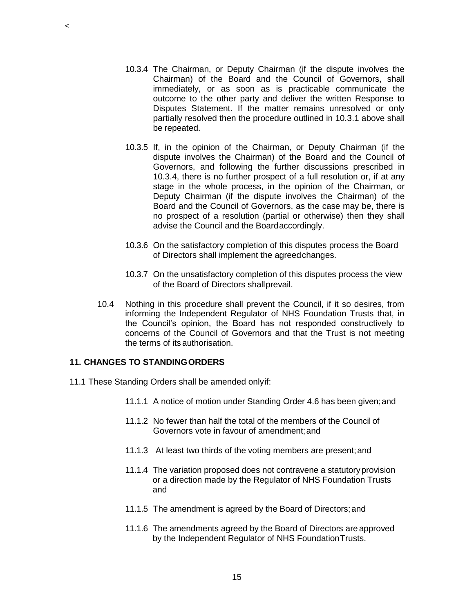- 10.3.4 The Chairman, or Deputy Chairman (if the dispute involves the Chairman) of the Board and the Council of Governors, shall immediately, or as soon as is practicable communicate the outcome to the other party and deliver the written Response to Disputes Statement. If the matter remains unresolved or only partially resolved then the procedure outlined in 10.3.1 above shall be repeated.
- 10.3.5 If, in the opinion of the Chairman, or Deputy Chairman (if the dispute involves the Chairman) of the Board and the Council of Governors, and following the further discussions prescribed in 10.3.4, there is no further prospect of a full resolution or, if at any stage in the whole process, in the opinion of the Chairman, or Deputy Chairman (if the dispute involves the Chairman) of the Board and the Council of Governors, as the case may be, there is no prospect of a resolution (partial or otherwise) then they shall advise the Council and the Boardaccordingly.
- 10.3.6 On the satisfactory completion of this disputes process the Board of Directors shall implement the agreedchanges.
- 10.3.7 On the unsatisfactory completion of this disputes process the view of the Board of Directors shallprevail.
- 10.4 Nothing in this procedure shall prevent the Council, if it so desires, from informing the Independent Regulator of NHS Foundation Trusts that, in the Council's opinion, the Board has not responded constructively to concerns of the Council of Governors and that the Trust is not meeting the terms of itsauthorisation.

### **11. CHANGES TO STANDINGORDERS**

- 11.1 These Standing Orders shall be amended onlyif:
	- 11.1.1 A notice of motion under Standing Order 4.6 has been given;and
	- 11.1.2 No fewer than half the total of the members of the Council of Governors vote in favour of amendment;and
	- 11.1.3 At least two thirds of the voting members are present;and
	- 11.1.4 The variation proposed does not contravene a statutoryprovision or a direction made by the Regulator of NHS Foundation Trusts and
	- 11.1.5 The amendment is agreed by the Board of Directors;and
	- 11.1.6 The amendments agreed by the Board of Directors are approved by the Independent Regulator of NHS FoundationTrusts.

 $\prec$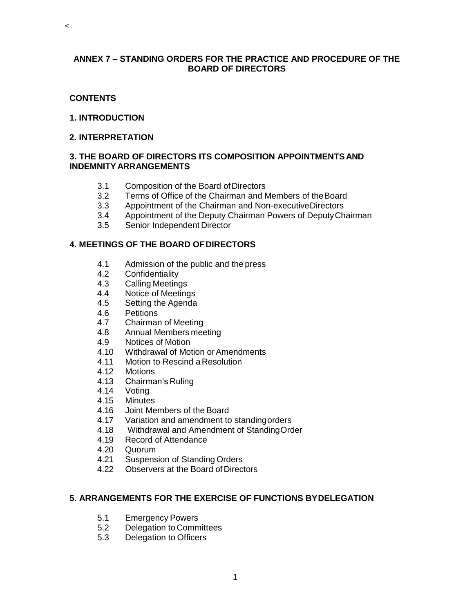### **ANNEX 7 – STANDING ORDERS FOR THE PRACTICE AND PROCEDURE OF THE BOARD OF DIRECTORS**

### **CONTENTS**

 $\,<$ 

### **1. INTRODUCTION**

#### **2. INTERPRETATION**

### **3. THE BOARD OF DIRECTORS ITS COMPOSITION APPOINTMENTSAND INDEMNITY ARRANGEMENTS**

- 3.1 Composition of the Board ofDirectors
- 3.2 Terms of Office of the Chairman and Members of theBoard
- 3.3 Appointment of the Chairman and Non-executiveDirectors
- 3.4 Appointment of the Deputy Chairman Powers of DeputyChairman
- 3.5 Senior Independent Director

### **4. MEETINGS OF THE BOARD OFDIRECTORS**

- 4.1 Admission of the public and the press
- 4.2 Confidentiality
- 4.3 Calling Meetings
- 4.4 Notice of Meetings
- 4.5 Setting the Agenda
- 4.6 Petitions
- 4.7 Chairman of Meeting
- 4.8 Annual Members meeting
- 4.9 Notices of Motion
- 4.10 Withdrawal of Motion orAmendments
- 4.11 Motion to Rescind a Resolution<br>4.12 Motions
- **Motions**
- 4.13 Chairman's Ruling
- 4.14 Voting<br>4.15 Minutes
- 4.15 Minutes<br>4.16 Joint Me
- 4.16 Joint Members of the Board
- 4.17 Variation and amendment to standingorders
- 4.18 Withdrawal and Amendment of StandingOrder
- 4.19 Record of Attendance
- 4.20 Quorum
- 4.21 Suspension of Standing Orders
- 4.22 Observers at the Board of Directors

### **5. ARRANGEMENTS FOR THE EXERCISE OF FUNCTIONS BYDELEGATION**

- 5.1 Emergency Powers
- 5.2 Delegation to Committees
- 5.3 Delegation to Officers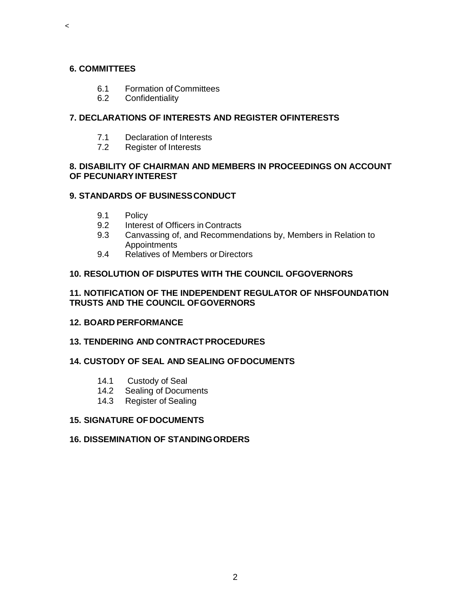# **6. COMMITTEES**

 $\,<$ 

- 6.1 Formation of Committees
- 6.2 Confidentiality

## **7. DECLARATIONS OF INTERESTS AND REGISTER OFINTERESTS**

- 7.1 Declaration of Interests
- 7.2 Register of Interests

## **8. DISABILITY OF CHAIRMAN AND MEMBERS IN PROCEEDINGS ON ACCOUNT OF PECUNIARYINTEREST**

# **9. STANDARDS OF BUSINESSCONDUCT**

- 9.1 Policy
- 9.2 Interest of Officers in Contracts
- 9.3 Canvassing of, and Recommendations by, Members in Relation to **Appointments**
- 9.4 Relatives of Members or Directors

# **10. RESOLUTION OF DISPUTES WITH THE COUNCIL OFGOVERNORS**

## **11. NOTIFICATION OF THE INDEPENDENT REGULATOR OF NHSFOUNDATION TRUSTS AND THE COUNCIL OFGOVERNORS**

### **12. BOARD PERFORMANCE**

### **13. TENDERING AND CONTRACTPROCEDURES**

# **14. CUSTODY OF SEAL AND SEALING OFDOCUMENTS**

- 14.1 Custody of Seal
- 14.2 Sealing of Documents
- 14.3 Register of Sealing

### **15. SIGNATURE OFDOCUMENTS**

### **16. DISSEMINATION OF STANDINGORDERS**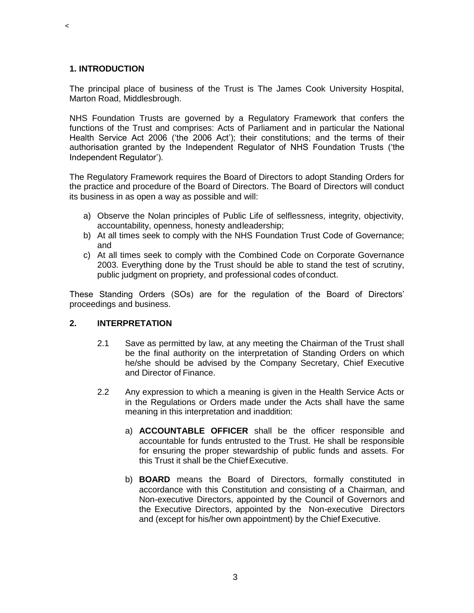#### **1. INTRODUCTION**

 $\,<$ 

The principal place of business of the Trust is The James Cook University Hospital, Marton Road, Middlesbrough.

NHS Foundation Trusts are governed by a Regulatory Framework that confers the functions of the Trust and comprises: Acts of Parliament and in particular the National Health Service Act 2006 ('the 2006 Act'); their constitutions; and the terms of their authorisation granted by the Independent Regulator of NHS Foundation Trusts ('the Independent Regulator').

The Regulatory Framework requires the Board of Directors to adopt Standing Orders for the practice and procedure of the Board of Directors. The Board of Directors will conduct its business in as open a way as possible and will:

- a) Observe the Nolan principles of Public Life of selflessness, integrity, objectivity, accountability, openness, honesty andleadership;
- b) At all times seek to comply with the NHS Foundation Trust Code of Governance; and
- c) At all times seek to comply with the Combined Code on Corporate Governance 2003. Everything done by the Trust should be able to stand the test of scrutiny, public judgment on propriety, and professional codes of conduct.

These Standing Orders (SOs) are for the regulation of the Board of Directors' proceedings and business.

### **2. INTERPRETATION**

- 2.1 Save as permitted by law, at any meeting the Chairman of the Trust shall be the final authority on the interpretation of Standing Orders on which he/she should be advised by the Company Secretary, Chief Executive and Director of Finance.
- 2.2 Any expression to which a meaning is given in the Health Service Acts or in the Regulations or Orders made under the Acts shall have the same meaning in this interpretation and inaddition:
	- a) **ACCOUNTABLE OFFICER** shall be the officer responsible and accountable for funds entrusted to the Trust. He shall be responsible for ensuring the proper stewardship of public funds and assets. For this Trust it shall be the Chief Executive.
	- b) **BOARD** means the Board of Directors, formally constituted in accordance with this Constitution and consisting of a Chairman, and Non-executive Directors, appointed by the Council of Governors and the Executive Directors, appointed by the Non-executive Directors and (except for his/her own appointment) by the Chief Executive.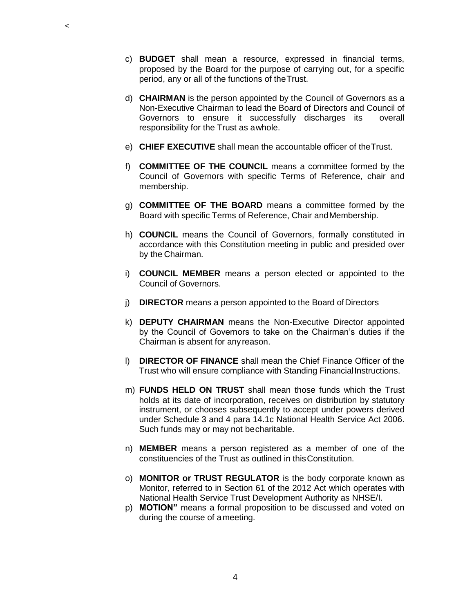- c) **BUDGET** shall mean a resource, expressed in financial terms, proposed by the Board for the purpose of carrying out, for a specific period, any or all of the functions of theTrust.
- d) **CHAIRMAN** is the person appointed by the Council of Governors as a Non-Executive Chairman to lead the Board of Directors and Council of Governors to ensure it successfully discharges its overall responsibility for the Trust as awhole.
- e) **CHIEF EXECUTIVE** shall mean the accountable officer of theTrust.
- f) **COMMITTEE OF THE COUNCIL** means a committee formed by the Council of Governors with specific Terms of Reference, chair and membership.
- g) **COMMITTEE OF THE BOARD** means a committee formed by the Board with specific Terms of Reference, Chair andMembership.
- h) **COUNCIL** means the Council of Governors, formally constituted in accordance with this Constitution meeting in public and presided over by the Chairman.
- i) **COUNCIL MEMBER** means a person elected or appointed to the Council of Governors.
- j) **DIRECTOR** means a person appointed to the Board of Directors
- k) **DEPUTY CHAIRMAN** means the Non-Executive Director appointed by the Council of Governors to take on the Chairman's duties if the Chairman is absent for any reason.
- l) **DIRECTOR OF FINANCE** shall mean the Chief Finance Officer of the Trust who will ensure compliance with Standing FinancialInstructions.
- m) **FUNDS HELD ON TRUST** shall mean those funds which the Trust holds at its date of incorporation, receives on distribution by statutory instrument, or chooses subsequently to accept under powers derived under Schedule 3 and 4 para 14.1c National Health Service Act 2006. Such funds may or may not becharitable.
- n) **MEMBER** means a person registered as a member of one of the constituencies of the Trust as outlined in thisConstitution.
- o) **MONITOR or TRUST REGULATOR** is the body corporate known as Monitor, referred to in Section 61 of the 2012 Act which operates with National Health Service Trust Development Authority as NHSE/I.
- p) **MOTION"** means a formal proposition to be discussed and voted on during the course of ameeting.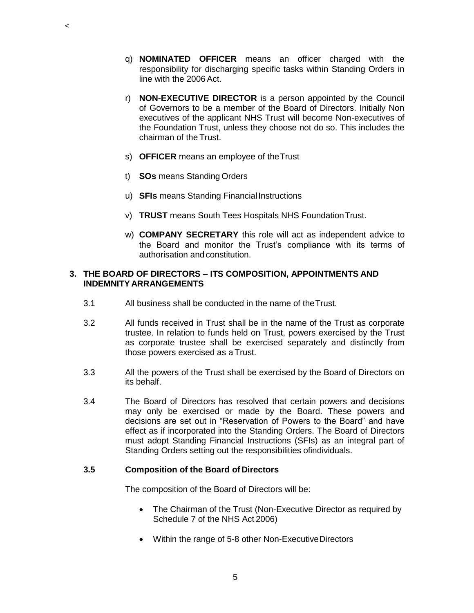- q) **NOMINATED OFFICER** means an officer charged with the responsibility for discharging specific tasks within Standing Orders in line with the 2006Act.
- r) **NON-EXECUTIVE DIRECTOR** is a person appointed by the Council of Governors to be a member of the Board of Directors. Initially Non executives of the applicant NHS Trust will become Non-executives of the Foundation Trust, unless they choose not do so. This includes the chairman of the Trust.
- s) **OFFICER** means an employee of theTrust
- t) **SOs** means Standing Orders

 $\,<$ 

- u) **SFIs** means Standing FinancialInstructions
- v) **TRUST** means South Tees Hospitals NHS FoundationTrust.
- w) **COMPANY SECRETARY** this role will act as independent advice to the Board and monitor the Trust's compliance with its terms of authorisation and constitution.

#### **3. THE BOARD OF DIRECTORS – ITS COMPOSITION, APPOINTMENTS AND INDEMNITY ARRANGEMENTS**

- 3.1 All business shall be conducted in the name of theTrust.
- 3.2 All funds received in Trust shall be in the name of the Trust as corporate trustee. In relation to funds held on Trust, powers exercised by the Trust as corporate trustee shall be exercised separately and distinctly from those powers exercised as a Trust.
- 3.3 All the powers of the Trust shall be exercised by the Board of Directors on its behalf.
- 3.4 The Board of Directors has resolved that certain powers and decisions may only be exercised or made by the Board. These powers and decisions are set out in "Reservation of Powers to the Board" and have effect as if incorporated into the Standing Orders. The Board of Directors must adopt Standing Financial Instructions (SFIs) as an integral part of Standing Orders setting out the responsibilities ofindividuals.

### **3.5 Composition of the Board of Directors**

The composition of the Board of Directors will be:

- The Chairman of the Trust (Non-Executive Director as required by Schedule 7 of the NHS Act 2006)
- Within the range of 5-8 other Non-ExecutiveDirectors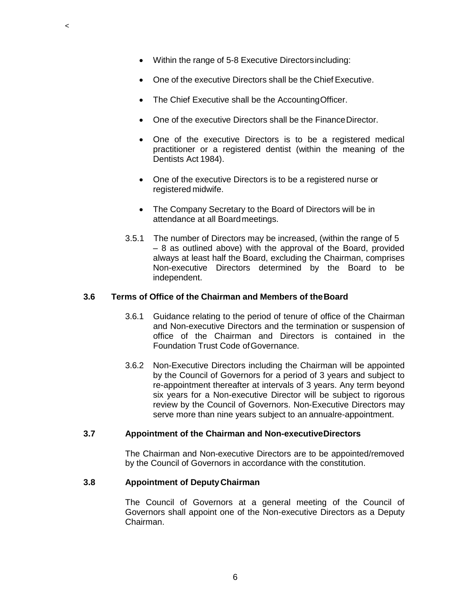$\prec$ 

- One of the executive Directors shall be the Chief Executive.
- The Chief Executive shall be the Accounting Officer.
- One of the executive Directors shall be the FinanceDirector.
- One of the executive Directors is to be a registered medical practitioner or a registered dentist (within the meaning of the Dentists Act 1984).
- One of the executive Directors is to be a registered nurse or registered midwife.
- The Company Secretary to the Board of Directors will be in attendance at all Boardmeetings.
- 3.5.1 The number of Directors may be increased, (within the range of 5 – 8 as outlined above) with the approval of the Board, provided always at least half the Board, excluding the Chairman, comprises Non-executive Directors determined by the Board to be independent.

### **3.6 Terms of Office of the Chairman and Members of theBoard**

- 3.6.1 Guidance relating to the period of tenure of office of the Chairman and Non-executive Directors and the termination or suspension of office of the Chairman and Directors is contained in the Foundation Trust Code ofGovernance.
- 3.6.2 Non-Executive Directors including the Chairman will be appointed by the Council of Governors for a period of 3 years and subject to re-appointment thereafter at intervals of 3 years. Any term beyond six years for a Non-executive Director will be subject to rigorous review by the Council of Governors. Non-Executive Directors may serve more than nine years subject to an annualre-appointment.

#### **3.7 Appointment of the Chairman and Non-executiveDirectors**

The Chairman and Non-executive Directors are to be appointed/removed by the Council of Governors in accordance with the constitution.

#### **3.8 Appointment of DeputyChairman**

The Council of Governors at a general meeting of the Council of Governors shall appoint one of the Non-executive Directors as a Deputy Chairman.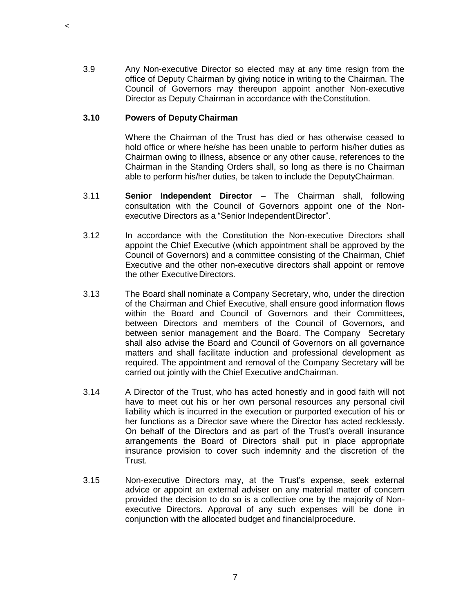3.9 Any Non-executive Director so elected may at any time resign from the office of Deputy Chairman by giving notice in writing to the Chairman. The Council of Governors may thereupon appoint another Non-executive Director as Deputy Chairman in accordance with theConstitution.

#### **3.10 Powers of Deputy Chairman**

 $\,<$ 

Where the Chairman of the Trust has died or has otherwise ceased to hold office or where he/she has been unable to perform his/her duties as Chairman owing to illness, absence or any other cause, references to the Chairman in the Standing Orders shall, so long as there is no Chairman able to perform his/her duties, be taken to include the DeputyChairman.

- 3.11 **Senior Independent Director**  The Chairman shall, following consultation with the Council of Governors appoint one of the Nonexecutive Directors as a "Senior Independent Director".
- 3.12 In accordance with the Constitution the Non-executive Directors shall appoint the Chief Executive (which appointment shall be approved by the Council of Governors) and a committee consisting of the Chairman, Chief Executive and the other non-executive directors shall appoint or remove the other Executive Directors.
- 3.13 The Board shall nominate a Company Secretary, who, under the direction of the Chairman and Chief Executive, shall ensure good information flows within the Board and Council of Governors and their Committees, between Directors and members of the Council of Governors, and between senior management and the Board. The Company Secretary shall also advise the Board and Council of Governors on all governance matters and shall facilitate induction and professional development as required. The appointment and removal of the Company Secretary will be carried out jointly with the Chief Executive andChairman.
- 3.14 A Director of the Trust, who has acted honestly and in good faith will not have to meet out his or her own personal resources any personal civil liability which is incurred in the execution or purported execution of his or her functions as a Director save where the Director has acted recklessly. On behalf of the Directors and as part of the Trust's overall insurance arrangements the Board of Directors shall put in place appropriate insurance provision to cover such indemnity and the discretion of the Trust.
- 3.15 Non-executive Directors may, at the Trust's expense, seek external advice or appoint an external adviser on any material matter of concern provided the decision to do so is a collective one by the majority of Nonexecutive Directors. Approval of any such expenses will be done in conjunction with the allocated budget and financialprocedure.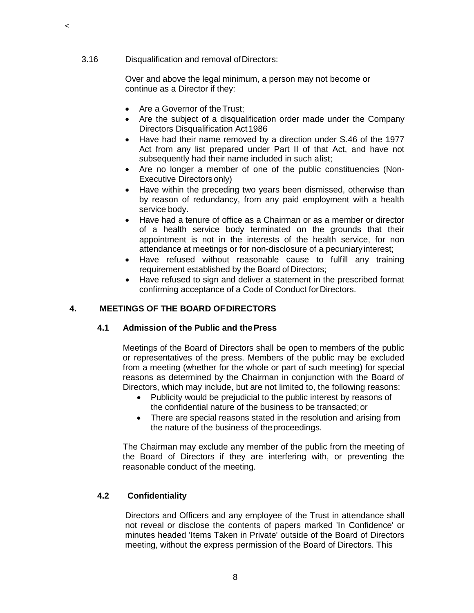### 3.16 Disqualification and removal ofDirectors:

 $\,<$ 

Over and above the legal minimum, a person may not become or continue as a Director if they:

- Are a Governor of the Trust;
- Are the subject of a disqualification order made under the Company Directors Disqualification Act1986
- Have had their name removed by a direction under S.46 of the 1977 Act from any list prepared under Part II of that Act, and have not subsequently had their name included in such alist;
- Are no longer a member of one of the public constituencies (Non-Executive Directors only)
- Have within the preceding two years been dismissed, otherwise than by reason of redundancy, from any paid employment with a health service body.
- Have had a tenure of office as a Chairman or as a member or director of a health service body terminated on the grounds that their appointment is not in the interests of the health service, for non attendance at meetings or for non-disclosure of a pecuniaryinterest;
- Have refused without reasonable cause to fulfill any training requirement established by the Board of Directors;
- Have refused to sign and deliver a statement in the prescribed format confirming acceptance of a Code of Conduct for Directors.

### **4. MEETINGS OF THE BOARD OFDIRECTORS**

### **4.1 Admission of the Public and thePress**

Meetings of the Board of Directors shall be open to members of the public or representatives of the press. Members of the public may be excluded from a meeting (whether for the whole or part of such meeting) for special reasons as determined by the Chairman in conjunction with the Board of Directors, which may include, but are not limited to, the following reasons:

- Publicity would be prejudicial to the public interest by reasons of the confidential nature of the business to be transacted;or
- There are special reasons stated in the resolution and arising from the nature of the business of theproceedings.

The Chairman may exclude any member of the public from the meeting of the Board of Directors if they are interfering with, or preventing the reasonable conduct of the meeting.

## **4.2 Confidentiality**

Directors and Officers and any employee of the Trust in attendance shall not reveal or disclose the contents of papers marked 'In Confidence' or minutes headed 'Items Taken in Private' outside of the Board of Directors meeting, without the express permission of the Board of Directors. This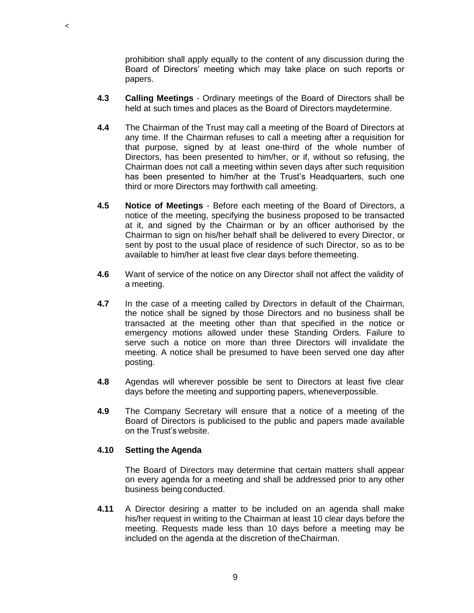prohibition shall apply equally to the content of any discussion during the Board of Directors' meeting which may take place on such reports or papers.

- **4.3 Calling Meetings**  Ordinary meetings of the Board of Directors shall be held at such times and places as the Board of Directors maydetermine.
- **4.4** The Chairman of the Trust may call a meeting of the Board of Directors at any time. If the Chairman refuses to call a meeting after a requisition for that purpose, signed by at least one-third of the whole number of Directors, has been presented to him/her, or if, without so refusing, the Chairman does not call a meeting within seven days after such requisition has been presented to him/her at the Trust's Headquarters, such one third or more Directors may forthwith call ameeting.
- **4.5 Notice of Meetings**  Before each meeting of the Board of Directors, a notice of the meeting, specifying the business proposed to be transacted at it, and signed by the Chairman or by an officer authorised by the Chairman to sign on his/her behalf shall be delivered to every Director, or sent by post to the usual place of residence of such Director, so as to be available to him/her at least five clear days before themeeting.
- **4.6** Want of service of the notice on any Director shall not affect the validity of a meeting.
- **4.7** In the case of a meeting called by Directors in default of the Chairman, the notice shall be signed by those Directors and no business shall be transacted at the meeting other than that specified in the notice or emergency motions allowed under these Standing Orders. Failure to serve such a notice on more than three Directors will invalidate the meeting. A notice shall be presumed to have been served one day after posting.
- **4.8** Agendas will wherever possible be sent to Directors at least five clear days before the meeting and supporting papers, wheneverpossible.
- **4.9** The Company Secretary will ensure that a notice of a meeting of the Board of Directors is publicised to the public and papers made available on the Trust's website.

#### **4.10 Setting the Agenda**

 $\prec$ 

The Board of Directors may determine that certain matters shall appear on every agenda for a meeting and shall be addressed prior to any other business being conducted.

**4.11** A Director desiring a matter to be included on an agenda shall make his/her request in writing to the Chairman at least 10 clear days before the meeting. Requests made less than 10 days before a meeting may be included on the agenda at the discretion of theChairman.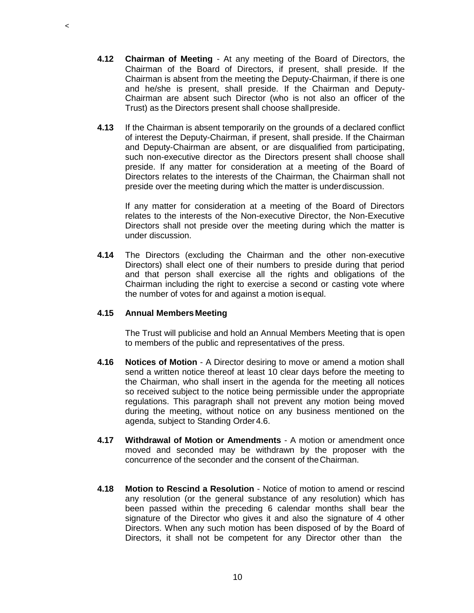- **4.12 Chairman of Meeting**  At any meeting of the Board of Directors, the Chairman of the Board of Directors, if present, shall preside. If the Chairman is absent from the meeting the Deputy-Chairman, if there is one and he/she is present, shall preside. If the Chairman and Deputy-Chairman are absent such Director (who is not also an officer of the Trust) as the Directors present shall choose shallpreside.
- **4.13** If the Chairman is absent temporarily on the grounds of a declared conflict of interest the Deputy-Chairman, if present, shall preside. If the Chairman and Deputy-Chairman are absent, or are disqualified from participating, such non-executive director as the Directors present shall choose shall preside. If any matter for consideration at a meeting of the Board of Directors relates to the interests of the Chairman, the Chairman shall not preside over the meeting during which the matter is underdiscussion.

If any matter for consideration at a meeting of the Board of Directors relates to the interests of the Non-executive Director, the Non-Executive Directors shall not preside over the meeting during which the matter is under discussion.

**4.14** The Directors (excluding the Chairman and the other non-executive Directors) shall elect one of their numbers to preside during that period and that person shall exercise all the rights and obligations of the Chairman including the right to exercise a second or casting vote where the number of votes for and against a motion isequal.

#### **4.15 Annual MembersMeeting**

The Trust will publicise and hold an Annual Members Meeting that is open to members of the public and representatives of the press.

- **4.16 Notices of Motion**  A Director desiring to move or amend a motion shall send a written notice thereof at least 10 clear days before the meeting to the Chairman, who shall insert in the agenda for the meeting all notices so received subject to the notice being permissible under the appropriate regulations. This paragraph shall not prevent any motion being moved during the meeting, without notice on any business mentioned on the agenda, subject to Standing Order 4.6.
- **4.17 Withdrawal of Motion or Amendments**  A motion or amendment once moved and seconded may be withdrawn by the proposer with the concurrence of the seconder and the consent of theChairman.
- **4.18 Motion to Rescind a Resolution**  Notice of motion to amend or rescind any resolution (or the general substance of any resolution) which has been passed within the preceding 6 calendar months shall bear the signature of the Director who gives it and also the signature of 4 other Directors. When any such motion has been disposed of by the Board of Directors, it shall not be competent for any Director other than the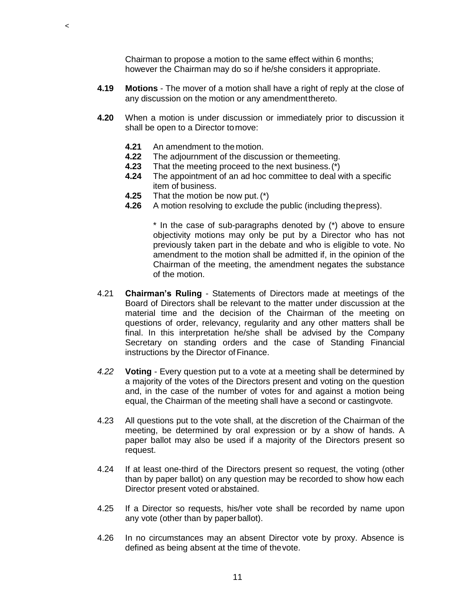Chairman to propose a motion to the same effect within 6 months; however the Chairman may do so if he/she considers it appropriate.

- **4.19 Motions**  The mover of a motion shall have a right of reply at the close of any discussion on the motion or any amendmentthereto.
- **4.20** When a motion is under discussion or immediately prior to discussion it shall be open to a Director tomove:
	- **4.21** An amendment to the motion.

 $\prec$ 

- **4.22** The adjournment of the discussion or themeeting.
- **4.23** That the meeting proceed to the next business.(\*)
- **4.24** The appointment of an ad hoc committee to deal with a specific item of business.
- **4.25** That the motion be now put.(\*)
- **4.26** A motion resolving to exclude the public (including thepress).

\* In the case of sub-paragraphs denoted by (\*) above to ensure objectivity motions may only be put by a Director who has not previously taken part in the debate and who is eligible to vote. No amendment to the motion shall be admitted if, in the opinion of the Chairman of the meeting, the amendment negates the substance of the motion.

- 4.21 **Chairman's Ruling**  Statements of Directors made at meetings of the Board of Directors shall be relevant to the matter under discussion at the material time and the decision of the Chairman of the meeting on questions of order, relevancy, regularity and any other matters shall be final. In this interpretation he/she shall be advised by the Company Secretary on standing orders and the case of Standing Financial instructions by the Director of Finance.
- *4.22* **Voting**  Every question put to a vote at a meeting shall be determined by a majority of the votes of the Directors present and voting on the question and, in the case of the number of votes for and against a motion being equal, the Chairman of the meeting shall have a second or castingvote*.*
- 4.23 All questions put to the vote shall, at the discretion of the Chairman of the meeting, be determined by oral expression or by a show of hands. A paper ballot may also be used if a majority of the Directors present so request.
- 4.24 If at least one-third of the Directors present so request, the voting (other than by paper ballot) on any question may be recorded to show how each Director present voted orabstained.
- 4.25 If a Director so requests, his/her vote shall be recorded by name upon any vote (other than by paperballot).
- 4.26 In no circumstances may an absent Director vote by proxy. Absence is defined as being absent at the time of thevote.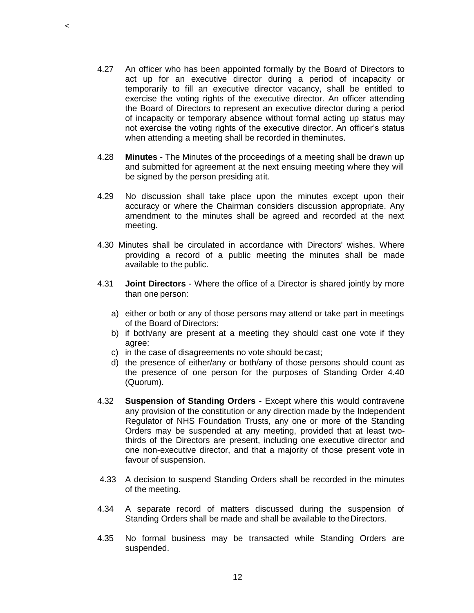4.27 An officer who has been appointed formally by the Board of Directors to act up for an executive director during a period of incapacity or temporarily to fill an executive director vacancy, shall be entitled to exercise the voting rights of the executive director. An officer attending the Board of Directors to represent an executive director during a period of incapacity or temporary absence without formal acting up status may not exercise the voting rights of the executive director. An officer's status when attending a meeting shall be recorded in theminutes.

 $\prec$ 

- 4.28 **Minutes**  The Minutes of the proceedings of a meeting shall be drawn up and submitted for agreement at the next ensuing meeting where they will be signed by the person presiding atit.
- 4.29 No discussion shall take place upon the minutes except upon their accuracy or where the Chairman considers discussion appropriate. Any amendment to the minutes shall be agreed and recorded at the next meeting.
- 4.30 Minutes shall be circulated in accordance with Directors' wishes. Where providing a record of a public meeting the minutes shall be made available to the public.
- 4.31 **Joint Directors**  Where the office of a Director is shared jointly by more than one person:
	- a) either or both or any of those persons may attend or take part in meetings of the Board of Directors:
	- b) if both/any are present at a meeting they should cast one vote if they agree:
	- c) in the case of disagreements no vote should becast;
	- d) the presence of either/any or both/any of those persons should count as the presence of one person for the purposes of Standing Order 4.40 (Quorum).
- 4.32 **Suspension of Standing Orders**  Except where this would contravene any provision of the constitution or any direction made by the Independent Regulator of NHS Foundation Trusts, any one or more of the Standing Orders may be suspended at any meeting, provided that at least twothirds of the Directors are present, including one executive director and one non-executive director, and that a majority of those present vote in favour of suspension.
- 4.33 A decision to suspend Standing Orders shall be recorded in the minutes of the meeting.
- 4.34 A separate record of matters discussed during the suspension of Standing Orders shall be made and shall be available to theDirectors.
- 4.35 No formal business may be transacted while Standing Orders are suspended.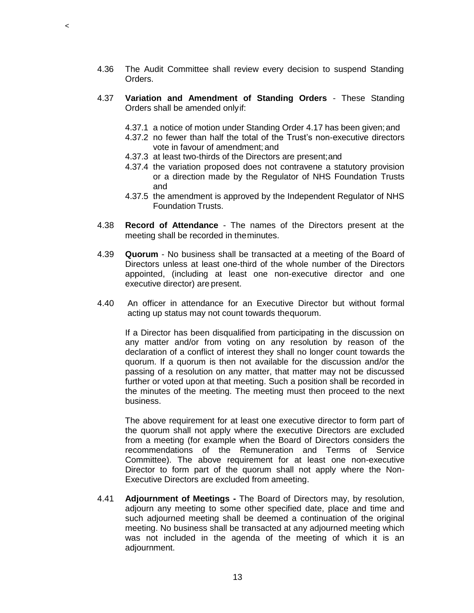- 4.36 The Audit Committee shall review every decision to suspend Standing Orders.
- 4.37 **Variation and Amendment of Standing Orders**  These Standing Orders shall be amended onlyif:
	- 4.37.1 a notice of motion under Standing Order 4.17 has been given;and
	- 4.37.2 no fewer than half the total of the Trust's non-executive directors vote in favour of amendment; and
	- 4.37.3 at least two-thirds of the Directors are present;and

 $\prec$ 

- 4.37.4 the variation proposed does not contravene a statutory provision or a direction made by the Regulator of NHS Foundation Trusts and
- 4.37.5 the amendment is approved by the Independent Regulator of NHS Foundation Trusts.
- 4.38 **Record of Attendance**  The names of the Directors present at the meeting shall be recorded in theminutes.
- 4.39 **Quorum**  No business shall be transacted at a meeting of the Board of Directors unless at least one-third of the whole number of the Directors appointed, (including at least one non-executive director and one executive director) are present.
- 4.40 An officer in attendance for an Executive Director but without formal acting up status may not count towards thequorum.

If a Director has been disqualified from participating in the discussion on any matter and/or from voting on any resolution by reason of the declaration of a conflict of interest they shall no longer count towards the quorum. If a quorum is then not available for the discussion and/or the passing of a resolution on any matter, that matter may not be discussed further or voted upon at that meeting. Such a position shall be recorded in the minutes of the meeting. The meeting must then proceed to the next business.

The above requirement for at least one executive director to form part of the quorum shall not apply where the executive Directors are excluded from a meeting (for example when the Board of Directors considers the recommendations of the Remuneration and Terms of Service Committee). The above requirement for at least one non-executive Director to form part of the quorum shall not apply where the Non-Executive Directors are excluded from ameeting.

4.41 **Adjournment of Meetings -** The Board of Directors may, by resolution, adjourn any meeting to some other specified date, place and time and such adjourned meeting shall be deemed a continuation of the original meeting. No business shall be transacted at any adjourned meeting which was not included in the agenda of the meeting of which it is an adjournment.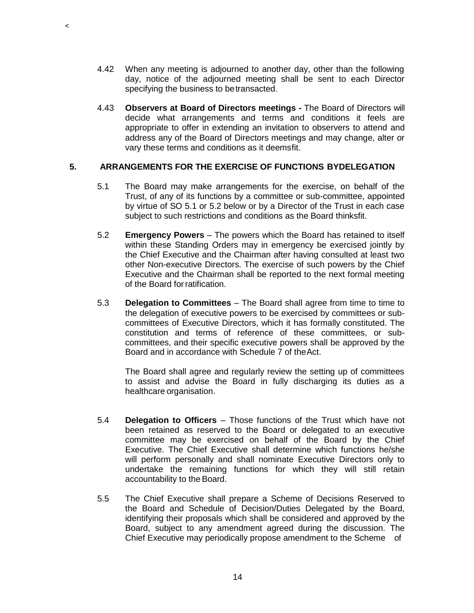- 4.42 When any meeting is adjourned to another day, other than the following day, notice of the adjourned meeting shall be sent to each Director specifying the business to betransacted.
- 4.43 **Observers at Board of Directors meetings -** The Board of Directors will decide what arrangements and terms and conditions it feels are appropriate to offer in extending an invitation to observers to attend and address any of the Board of Directors meetings and may change, alter or vary these terms and conditions as it deemsfit.

#### **5. ARRANGEMENTS FOR THE EXERCISE OF FUNCTIONS BYDELEGATION**

 $\,<$ 

- 5.1 The Board may make arrangements for the exercise, on behalf of the Trust, of any of its functions by a committee or sub-committee, appointed by virtue of SO 5.1 or 5.2 below or by a Director of the Trust in each case subject to such restrictions and conditions as the Board thinksfit.
- 5.2 **Emergency Powers**  The powers which the Board has retained to itself within these Standing Orders may in emergency be exercised jointly by the Chief Executive and the Chairman after having consulted at least two other Non-executive Directors. The exercise of such powers by the Chief Executive and the Chairman shall be reported to the next formal meeting of the Board forratification.
- 5.3 **Delegation to Committees**  The Board shall agree from time to time to the delegation of executive powers to be exercised by committees or subcommittees of Executive Directors, which it has formally constituted. The constitution and terms of reference of these committees, or subcommittees, and their specific executive powers shall be approved by the Board and in accordance with Schedule 7 of theAct.

The Board shall agree and regularly review the setting up of committees to assist and advise the Board in fully discharging its duties as a healthcare organisation.

- 5.4 **Delegation to Officers**  Those functions of the Trust which have not been retained as reserved to the Board or delegated to an executive committee may be exercised on behalf of the Board by the Chief Executive. The Chief Executive shall determine which functions he/she will perform personally and shall nominate Executive Directors only to undertake the remaining functions for which they will still retain accountability to the Board.
- 5.5 The Chief Executive shall prepare a Scheme of Decisions Reserved to the Board and Schedule of Decision/Duties Delegated by the Board, identifying their proposals which shall be considered and approved by the Board, subject to any amendment agreed during the discussion. The Chief Executive may periodically propose amendment to the Scheme of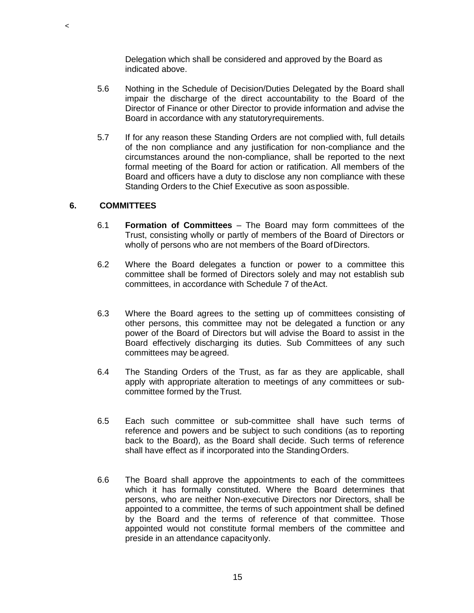Delegation which shall be considered and approved by the Board as indicated above.

- 5.6 Nothing in the Schedule of Decision/Duties Delegated by the Board shall impair the discharge of the direct accountability to the Board of the Director of Finance or other Director to provide information and advise the Board in accordance with any statutoryrequirements.
- 5.7 If for any reason these Standing Orders are not complied with, full details of the non compliance and any justification for non-compliance and the circumstances around the non-compliance, shall be reported to the next formal meeting of the Board for action or ratification. All members of the Board and officers have a duty to disclose any non compliance with these Standing Orders to the Chief Executive as soon aspossible.

### **6. COMMITTEES**

 $\,<$ 

- 6.1 **Formation of Committees**  The Board may form committees of the Trust, consisting wholly or partly of members of the Board of Directors or wholly of persons who are not members of the Board of Directors.
- 6.2 Where the Board delegates a function or power to a committee this committee shall be formed of Directors solely and may not establish sub committees, in accordance with Schedule 7 of theAct.
- 6.3 Where the Board agrees to the setting up of committees consisting of other persons, this committee may not be delegated a function or any power of the Board of Directors but will advise the Board to assist in the Board effectively discharging its duties. Sub Committees of any such committees may be agreed.
- 6.4 The Standing Orders of the Trust, as far as they are applicable, shall apply with appropriate alteration to meetings of any committees or subcommittee formed by theTrust.
- 6.5 Each such committee or sub-committee shall have such terms of reference and powers and be subject to such conditions (as to reporting back to the Board), as the Board shall decide. Such terms of reference shall have effect as if incorporated into the StandingOrders.
- 6.6 The Board shall approve the appointments to each of the committees which it has formally constituted. Where the Board determines that persons, who are neither Non-executive Directors nor Directors, shall be appointed to a committee, the terms of such appointment shall be defined by the Board and the terms of reference of that committee. Those appointed would not constitute formal members of the committee and preside in an attendance capacityonly.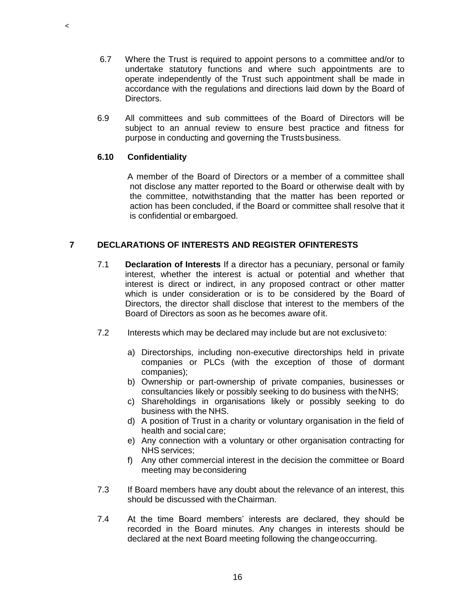- 6.7 Where the Trust is required to appoint persons to a committee and/or to undertake statutory functions and where such appointments are to operate independently of the Trust such appointment shall be made in accordance with the regulations and directions laid down by the Board of Directors.
- 6.9 All committees and sub committees of the Board of Directors will be subject to an annual review to ensure best practice and fitness for purpose in conducting and governing the Trustsbusiness.

### **6.10 Confidentiality**

 $\,<$ 

A member of the Board of Directors or a member of a committee shall not disclose any matter reported to the Board or otherwise dealt with by the committee, notwithstanding that the matter has been reported or action has been concluded, if the Board or committee shall resolve that it is confidential or embargoed.

### **7 DECLARATIONS OF INTERESTS AND REGISTER OFINTERESTS**

- 7.1 **Declaration of Interests** If a director has a pecuniary, personal or family interest, whether the interest is actual or potential and whether that interest is direct or indirect, in any proposed contract or other matter which is under consideration or is to be considered by the Board of Directors, the director shall disclose that interest to the members of the Board of Directors as soon as he becomes aware ofit.
- 7.2 Interests which may be declared may include but are not exclusiveto:
	- a) Directorships, including non-executive directorships held in private companies or PLCs (with the exception of those of dormant companies);
	- b) Ownership or part-ownership of private companies, businesses or consultancies likely or possibly seeking to do business with theNHS;
	- c) Shareholdings in organisations likely or possibly seeking to do business with the NHS.
	- d) A position of Trust in a charity or voluntary organisation in the field of health and social care;
	- e) Any connection with a voluntary or other organisation contracting for NHS services;
	- f) Any other commercial interest in the decision the committee or Board meeting may beconsidering
- 7.3 If Board members have any doubt about the relevance of an interest, this should be discussed with theChairman.
- 7.4 At the time Board members' interests are declared, they should be recorded in the Board minutes. Any changes in interests should be declared at the next Board meeting following the changeoccurring.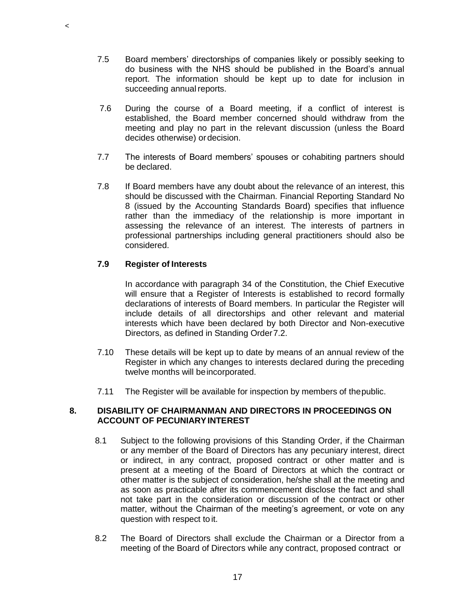- 7.5 Board members' directorships of companies likely or possibly seeking to do business with the NHS should be published in the Board's annual report. The information should be kept up to date for inclusion in succeeding annual reports.
- 7.6 During the course of a Board meeting, if a conflict of interest is established, the Board member concerned should withdraw from the meeting and play no part in the relevant discussion (unless the Board decides otherwise) or decision.
- 7.7 The interests of Board members' spouses or cohabiting partners should be declared.
- 7.8 If Board members have any doubt about the relevance of an interest, this should be discussed with the Chairman. Financial Reporting Standard No 8 (issued by the Accounting Standards Board) specifies that influence rather than the immediacy of the relationship is more important in assessing the relevance of an interest. The interests of partners in professional partnerships including general practitioners should also be considered.

### **7.9 Register of Interests**

 $\,<$ 

In accordance with paragraph 34 of the Constitution, the Chief Executive will ensure that a Register of Interests is established to record formally declarations of interests of Board members. In particular the Register will include details of all directorships and other relevant and material interests which have been declared by both Director and Non-executive Directors, as defined in Standing Order7.2.

- 7.10 These details will be kept up to date by means of an annual review of the Register in which any changes to interests declared during the preceding twelve months will beincorporated.
- 7.11 The Register will be available for inspection by members of thepublic.

### **8. DISABILITY OF CHAIRMANMAN AND DIRECTORS IN PROCEEDINGS ON ACCOUNT OF PECUNIARYINTEREST**

- 8.1 Subject to the following provisions of this Standing Order, if the Chairman or any member of the Board of Directors has any pecuniary interest, direct or indirect, in any contract, proposed contract or other matter and is present at a meeting of the Board of Directors at which the contract or other matter is the subject of consideration, he/she shall at the meeting and as soon as practicable after its commencement disclose the fact and shall not take part in the consideration or discussion of the contract or other matter, without the Chairman of the meeting's agreement, or vote on any question with respect to it.
- 8.2 The Board of Directors shall exclude the Chairman or a Director from a meeting of the Board of Directors while any contract, proposed contract or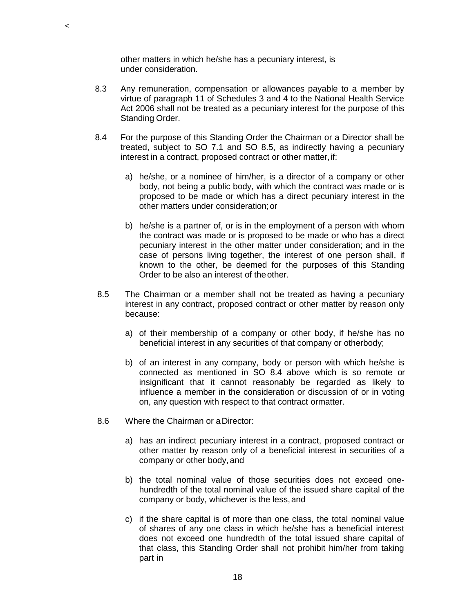other matters in which he/she has a pecuniary interest, is under consideration.

 $\,<$ 

- 8.3 Any remuneration, compensation or allowances payable to a member by virtue of paragraph 11 of Schedules 3 and 4 to the National Health Service Act 2006 shall not be treated as a pecuniary interest for the purpose of this Standing Order.
- 8.4 For the purpose of this Standing Order the Chairman or a Director shall be treated, subject to SO 7.1 and SO 8.5, as indirectly having a pecuniary interest in a contract, proposed contract or other matter, if:
	- a) he/she, or a nominee of him/her, is a director of a company or other body, not being a public body, with which the contract was made or is proposed to be made or which has a direct pecuniary interest in the other matters under consideration;or
	- b) he/she is a partner of, or is in the employment of a person with whom the contract was made or is proposed to be made or who has a direct pecuniary interest in the other matter under consideration; and in the case of persons living together, the interest of one person shall, if known to the other, be deemed for the purposes of this Standing Order to be also an interest of theother.
- 8.5 The Chairman or a member shall not be treated as having a pecuniary interest in any contract, proposed contract or other matter by reason only because:
	- a) of their membership of a company or other body, if he/she has no beneficial interest in any securities of that company or otherbody;
	- b) of an interest in any company, body or person with which he/she is connected as mentioned in SO 8.4 above which is so remote or insignificant that it cannot reasonably be regarded as likely to influence a member in the consideration or discussion of or in voting on, any question with respect to that contract ormatter.
- 8.6 Where the Chairman or aDirector:
	- a) has an indirect pecuniary interest in a contract, proposed contract or other matter by reason only of a beneficial interest in securities of a company or other body, and
	- b) the total nominal value of those securities does not exceed onehundredth of the total nominal value of the issued share capital of the company or body, whichever is the less,and
	- c) if the share capital is of more than one class, the total nominal value of shares of any one class in which he/she has a beneficial interest does not exceed one hundredth of the total issued share capital of that class, this Standing Order shall not prohibit him/her from taking part in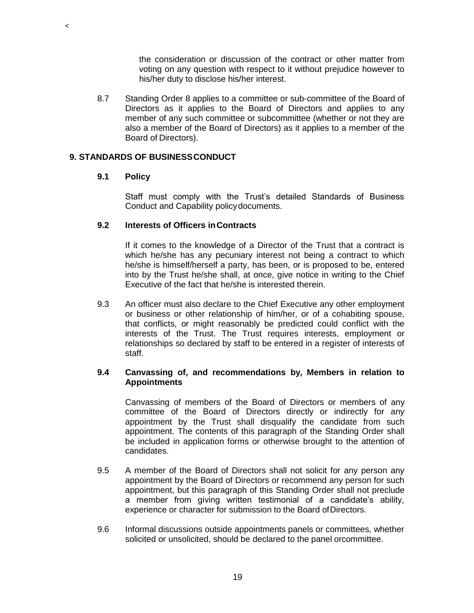the consideration or discussion of the contract or other matter from voting on any question with respect to it without prejudice however to his/her duty to disclose his/her interest.

8.7 Standing Order 8 applies to a committee or sub-committee of the Board of Directors as it applies to the Board of Directors and applies to any member of any such committee or subcommittee (whether or not they are also a member of the Board of Directors) as it applies to a member of the Board of Directors).

### **9. STANDARDS OF BUSINESSCONDUCT**

### **9.1 Policy**

 $\,<$ 

Staff must comply with the Trust's detailed Standards of Business Conduct and Capability policydocuments.

### **9.2 Interests of Officers inContracts**

If it comes to the knowledge of a Director of the Trust that a contract is which he/she has any pecuniary interest not being a contract to which he/she is himself/herself a party, has been, or is proposed to be, entered into by the Trust he/she shall, at once, give notice in writing to the Chief Executive of the fact that he/she is interested therein.

9.3 An officer must also declare to the Chief Executive any other employment or business or other relationship of him/her, or of a cohabiting spouse, that conflicts, or might reasonably be predicted could conflict with the interests of the Trust. The Trust requires interests, employment or relationships so declared by staff to be entered in a register of interests of staff.

### **9.4 Canvassing of, and recommendations by, Members in relation to Appointments**

Canvassing of members of the Board of Directors or members of any committee of the Board of Directors directly or indirectly for any appointment by the Trust shall disqualify the candidate from such appointment. The contents of this paragraph of the Standing Order shall be included in application forms or otherwise brought to the attention of candidates.

- 9.5 A member of the Board of Directors shall not solicit for any person any appointment by the Board of Directors or recommend any person for such appointment, but this paragraph of this Standing Order shall not preclude a member from giving written testimonial of a candidate's ability, experience or character for submission to the Board ofDirectors.
- 9.6 Informal discussions outside appointments panels or committees, whether solicited or unsolicited, should be declared to the panel orcommittee.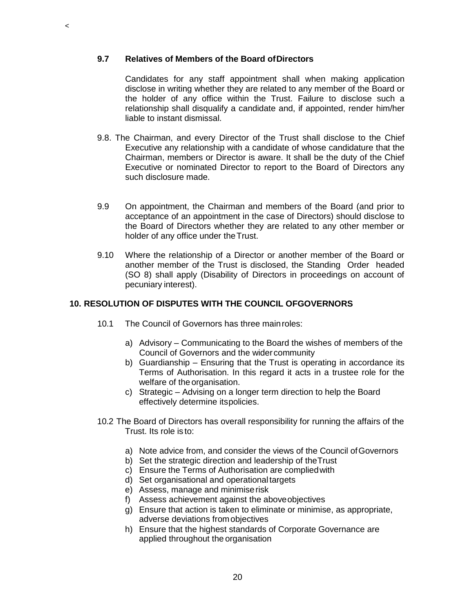### **9.7 Relatives of Members of the Board ofDirectors**

 $\,<$ 

Candidates for any staff appointment shall when making application disclose in writing whether they are related to any member of the Board or the holder of any office within the Trust. Failure to disclose such a relationship shall disqualify a candidate and, if appointed, render him/her liable to instant dismissal.

- 9.8. The Chairman, and every Director of the Trust shall disclose to the Chief Executive any relationship with a candidate of whose candidature that the Chairman, members or Director is aware. It shall be the duty of the Chief Executive or nominated Director to report to the Board of Directors any such disclosure made.
- 9.9 On appointment, the Chairman and members of the Board (and prior to acceptance of an appointment in the case of Directors) should disclose to the Board of Directors whether they are related to any other member or holder of any office under theTrust.
- 9.10 Where the relationship of a Director or another member of the Board or another member of the Trust is disclosed, the Standing Order headed (SO 8) shall apply (Disability of Directors in proceedings on account of pecuniary interest).

### **10. RESOLUTION OF DISPUTES WITH THE COUNCIL OFGOVERNORS**

- 10.1 The Council of Governors has three mainroles:
	- a) Advisory Communicating to the Board the wishes of members of the Council of Governors and the wider community
	- b) Guardianship Ensuring that the Trust is operating in accordance its Terms of Authorisation. In this regard it acts in a trustee role for the welfare of the organisation.
	- c) Strategic Advising on a longer term direction to help the Board effectively determine itspolicies.
- 10.2 The Board of Directors has overall responsibility for running the affairs of the Trust. Its role is to:
	- a) Note advice from, and consider the views of the Council of Governors
	- b) Set the strategic direction and leadership of theTrust
	- c) Ensure the Terms of Authorisation are compliedwith
	- d) Set organisational and operationaltargets
	- e) Assess, manage and minimiserisk
	- f) Assess achievement against the aboveobjectives
	- g) Ensure that action is taken to eliminate or minimise, as appropriate, adverse deviations fromobjectives
	- h) Ensure that the highest standards of Corporate Governance are applied throughout the organisation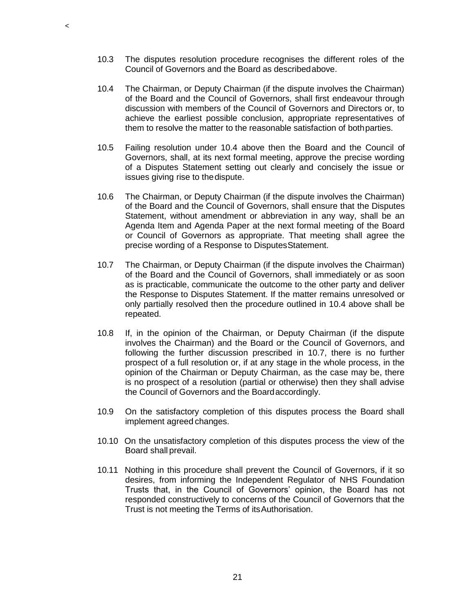- 10.3 The disputes resolution procedure recognises the different roles of the Council of Governors and the Board as describedabove.
- 10.4 The Chairman, or Deputy Chairman (if the dispute involves the Chairman) of the Board and the Council of Governors, shall first endeavour through discussion with members of the Council of Governors and Directors or, to achieve the earliest possible conclusion, appropriate representatives of them to resolve the matter to the reasonable satisfaction of bothparties.
- 10.5 Failing resolution under 10.4 above then the Board and the Council of Governors, shall, at its next formal meeting, approve the precise wording of a Disputes Statement setting out clearly and concisely the issue or issues giving rise to thedispute.
- 10.6 The Chairman, or Deputy Chairman (if the dispute involves the Chairman) of the Board and the Council of Governors, shall ensure that the Disputes Statement, without amendment or abbreviation in any way, shall be an Agenda Item and Agenda Paper at the next formal meeting of the Board or Council of Governors as appropriate. That meeting shall agree the precise wording of a Response to DisputesStatement.
- 10.7 The Chairman, or Deputy Chairman (if the dispute involves the Chairman) of the Board and the Council of Governors, shall immediately or as soon as is practicable, communicate the outcome to the other party and deliver the Response to Disputes Statement. If the matter remains unresolved or only partially resolved then the procedure outlined in 10.4 above shall be repeated.
- 10.8 If, in the opinion of the Chairman, or Deputy Chairman (if the dispute involves the Chairman) and the Board or the Council of Governors, and following the further discussion prescribed in 10.7, there is no further prospect of a full resolution or, if at any stage in the whole process, in the opinion of the Chairman or Deputy Chairman, as the case may be, there is no prospect of a resolution (partial or otherwise) then they shall advise the Council of Governors and the Boardaccordingly.
- 10.9 On the satisfactory completion of this disputes process the Board shall implement agreed changes.
- 10.10 On the unsatisfactory completion of this disputes process the view of the Board shall prevail.
- 10.11 Nothing in this procedure shall prevent the Council of Governors, if it so desires, from informing the Independent Regulator of NHS Foundation Trusts that, in the Council of Governors' opinion, the Board has not responded constructively to concerns of the Council of Governors that the Trust is not meeting the Terms of itsAuthorisation.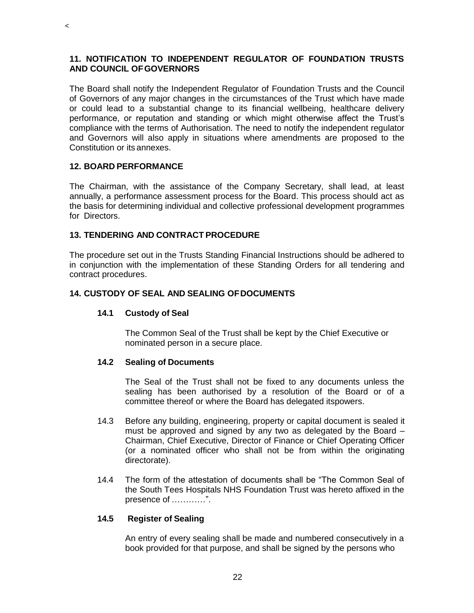### **11. NOTIFICATION TO INDEPENDENT REGULATOR OF FOUNDATION TRUSTS AND COUNCIL OFGOVERNORS**

The Board shall notify the Independent Regulator of Foundation Trusts and the Council of Governors of any major changes in the circumstances of the Trust which have made or could lead to a substantial change to its financial wellbeing, healthcare delivery performance, or reputation and standing or which might otherwise affect the Trust's compliance with the terms of Authorisation. The need to notify the independent regulator and Governors will also apply in situations where amendments are proposed to the Constitution or its annexes.

### **12. BOARD PERFORMANCE**

 $\,<$ 

The Chairman, with the assistance of the Company Secretary, shall lead, at least annually, a performance assessment process for the Board. This process should act as the basis for determining individual and collective professional development programmes for Directors.

### **13. TENDERING AND CONTRACT PROCEDURE**

The procedure set out in the Trusts Standing Financial Instructions should be adhered to in conjunction with the implementation of these Standing Orders for all tendering and contract procedures.

### **14. CUSTODY OF SEAL AND SEALING OFDOCUMENTS**

#### **14.1 Custody of Seal**

The Common Seal of the Trust shall be kept by the Chief Executive or nominated person in a secure place.

#### **14.2 Sealing of Documents**

The Seal of the Trust shall not be fixed to any documents unless the sealing has been authorised by a resolution of the Board or of a committee thereof or where the Board has delegated itspowers.

- 14.3 Before any building, engineering, property or capital document is sealed it must be approved and signed by any two as delegated by the Board – Chairman, Chief Executive, Director of Finance or Chief Operating Officer (or a nominated officer who shall not be from within the originating directorate).
- 14.4 The form of the attestation of documents shall be "The Common Seal of the South Tees Hospitals NHS Foundation Trust was hereto affixed in the presence of …………".

#### **14.5 Register of Sealing**

An entry of every sealing shall be made and numbered consecutively in a book provided for that purpose, and shall be signed by the persons who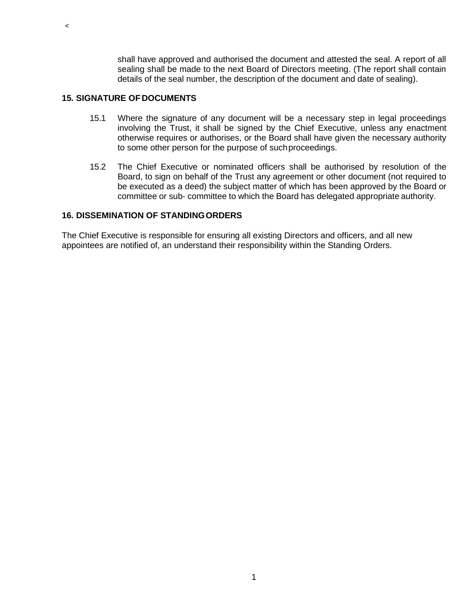shall have approved and authorised the document and attested the seal. A report of all sealing shall be made to the next Board of Directors meeting. (The report shall contain details of the seal number, the description of the document and date of sealing).

### **15. SIGNATURE OF DOCUMENTS**

 $\,<$ 

- 15.1 Where the signature of any document will be a necessary step in legal proceedings involving the Trust, it shall be signed by the Chief Executive, unless any enactment otherwise requires or authorises, or the Board shall have given the necessary authority to some other person for the purpose of suchproceedings.
- 15.2 The Chief Executive or nominated officers shall be authorised by resolution of the Board, to sign on behalf of the Trust any agreement or other document (not required to be executed as a deed) the subject matter of which has been approved by the Board or committee or sub- committee to which the Board has delegated appropriate authority.

### **16. DISSEMINATION OF STANDINGORDERS**

The Chief Executive is responsible for ensuring all existing Directors and officers, and all new appointees are notified of, an understand their responsibility within the Standing Orders.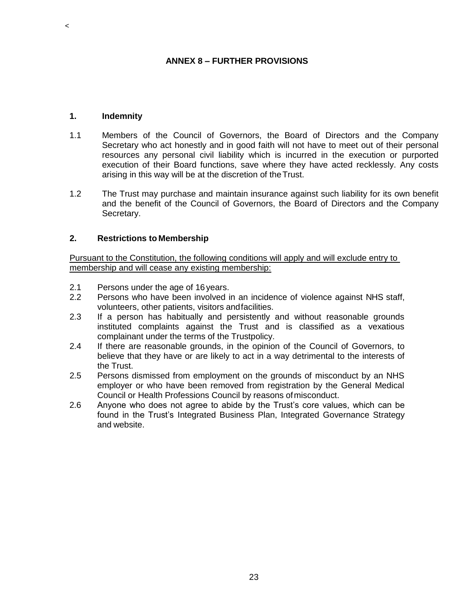### **ANNEX 8 – FURTHER PROVISIONS**

#### **1. Indemnity**

 $\,<$ 

- 1.1 Members of the Council of Governors, the Board of Directors and the Company Secretary who act honestly and in good faith will not have to meet out of their personal resources any personal civil liability which is incurred in the execution or purported execution of their Board functions, save where they have acted recklessly. Any costs arising in this way will be at the discretion of theTrust.
- 1.2 The Trust may purchase and maintain insurance against such liability for its own benefit and the benefit of the Council of Governors, the Board of Directors and the Company Secretary.

### **2. Restrictions to Membership**

Pursuant to the Constitution, the following conditions will apply and will exclude entry to membership and will cease any existing membership:

- 2.1 Persons under the age of 16years.
- 2.2 Persons who have been involved in an incidence of violence against NHS staff, volunteers, other patients, visitors andfacilities.
- 2.3 If a person has habitually and persistently and without reasonable grounds instituted complaints against the Trust and is classified as a vexatious complainant under the terms of the Trustpolicy.
- 2.4 If there are reasonable grounds, in the opinion of the Council of Governors, to believe that they have or are likely to act in a way detrimental to the interests of the Trust.
- 2.5 Persons dismissed from employment on the grounds of misconduct by an NHS employer or who have been removed from registration by the General Medical Council or Health Professions Council by reasons ofmisconduct.
- 2.6 Anyone who does not agree to abide by the Trust's core values, which can be found in the Trust's Integrated Business Plan, Integrated Governance Strategy and website.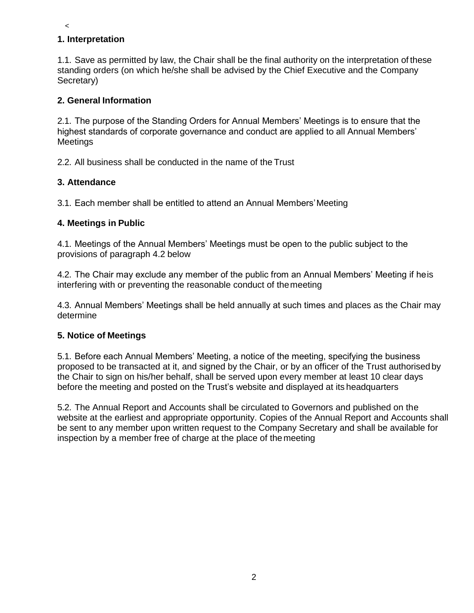# **1. Interpretation**

 $\,<$ 

1.1. Save as permitted by law, the Chair shall be the final authority on the interpretation of these standing orders (on which he/she shall be advised by the Chief Executive and the Company Secretary)

# **2. General Information**

2.1. The purpose of the Standing Orders for Annual Members' Meetings is to ensure that the highest standards of corporate governance and conduct are applied to all Annual Members' **Meetings** 

2.2. All business shall be conducted in the name of the Trust

# **3. Attendance**

3.1. Each member shall be entitled to attend an Annual Members'Meeting

# **4. Meetings in Public**

4.1. Meetings of the Annual Members' Meetings must be open to the public subject to the provisions of paragraph 4.2 below

4.2. The Chair may exclude any member of the public from an Annual Members' Meeting if heis interfering with or preventing the reasonable conduct of themeeting

4.3. Annual Members' Meetings shall be held annually at such times and places as the Chair may determine

# **5. Notice of Meetings**

5.1. Before each Annual Members' Meeting, a notice of the meeting, specifying the business proposed to be transacted at it, and signed by the Chair, or by an officer of the Trust authorised by the Chair to sign on his/her behalf, shall be served upon every member at least 10 clear days before the meeting and posted on the Trust's website and displayed at its headquarters

5.2. The Annual Report and Accounts shall be circulated to Governors and published on the website at the earliest and appropriate opportunity. Copies of the Annual Report and Accounts shall be sent to any member upon written request to the Company Secretary and shall be available for inspection by a member free of charge at the place of themeeting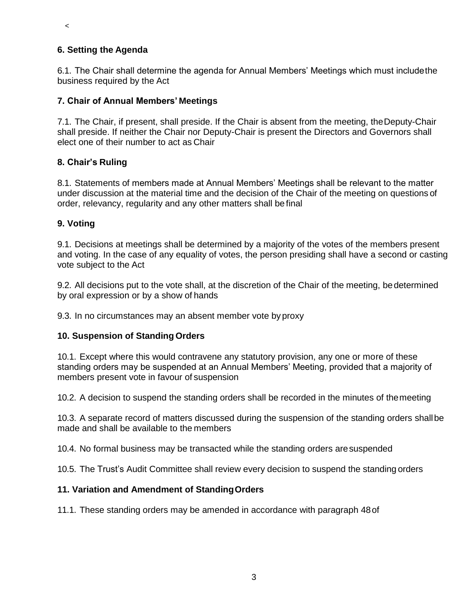# **6. Setting the Agenda**

 $\,<$ 

6.1. The Chair shall determine the agenda for Annual Members' Meetings which must includethe business required by the Act

# **7. Chair of Annual Members' Meetings**

7.1. The Chair, if present, shall preside. If the Chair is absent from the meeting, theDeputy-Chair shall preside. If neither the Chair nor Deputy-Chair is present the Directors and Governors shall elect one of their number to act as Chair

# **8. Chair's Ruling**

8.1. Statements of members made at Annual Members' Meetings shall be relevant to the matter under discussion at the material time and the decision of the Chair of the meeting on questions of order, relevancy, regularity and any other matters shall be final

# **9. Voting**

9.1. Decisions at meetings shall be determined by a majority of the votes of the members present and voting. In the case of any equality of votes, the person presiding shall have a second or casting vote subject to the Act

9.2. All decisions put to the vote shall, at the discretion of the Chair of the meeting, bedetermined by oral expression or by a show of hands

9.3. In no circumstances may an absent member vote byproxy

### **10. Suspension of Standing Orders**

10.1. Except where this would contravene any statutory provision, any one or more of these standing orders may be suspended at an Annual Members' Meeting, provided that a majority of members present vote in favour of suspension

10.2. A decision to suspend the standing orders shall be recorded in the minutes of themeeting

10.3. A separate record of matters discussed during the suspension of the standing orders shallbe made and shall be available to the members

10.4. No formal business may be transacted while the standing orders aresuspended

10.5. The Trust's Audit Committee shall review every decision to suspend the standing orders

# **11. Variation and Amendment of StandingOrders**

11.1. These standing orders may be amended in accordance with paragraph 48of